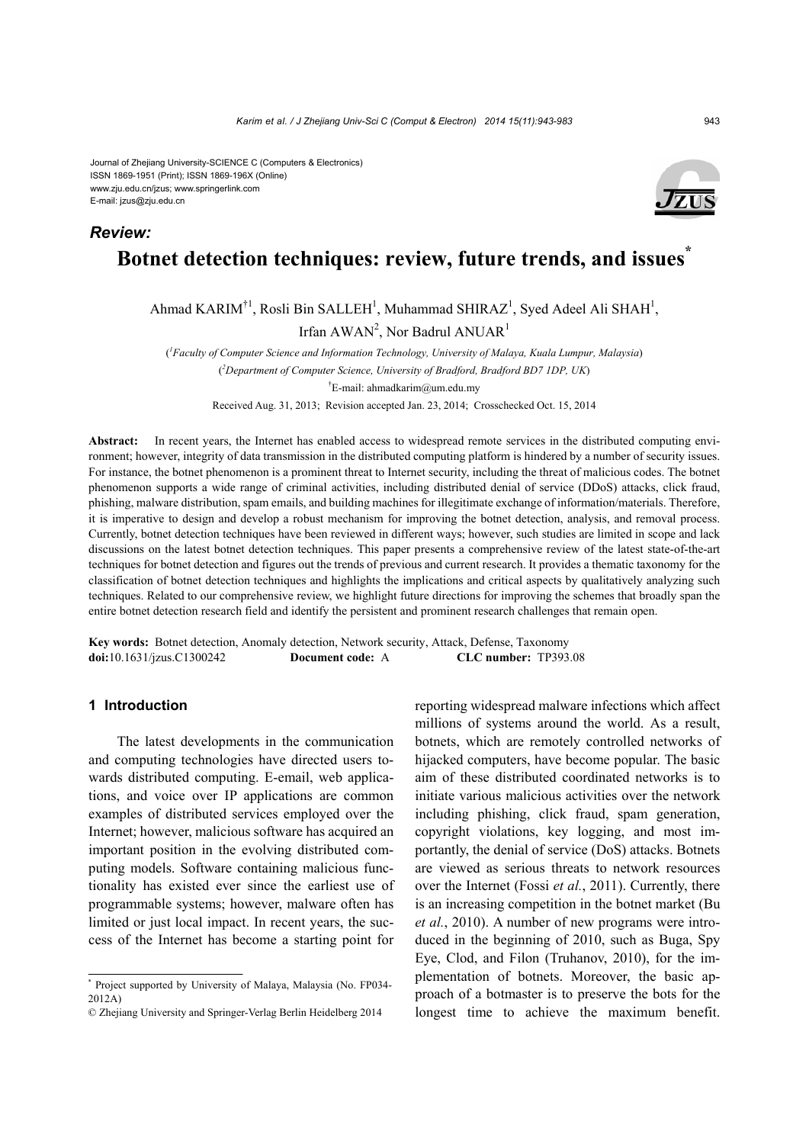# Journal of Zhejiang University-SCIENCE C (Computers & Electronics)

ISSN 1869-1951 (Print); ISSN 1869-196X (Online) www.zju.edu.cn/jzus; www.springerlink.com E-mail: jzus@zju.edu.cn

*Review:*

## **Botnet detection techniques: review, future trends, and issues\***

Ahmad KARIM<sup>†1</sup>, Rosli Bin SALLEH<sup>1</sup>, Muhammad SHIRAZ<sup>1</sup>, Syed Adeel Ali SHAH<sup>1</sup>,

Irfan AWAN<sup>2</sup>, Nor Badrul ANUAR<sup>1</sup>

( *1 Faculty of Computer Science and Information Technology, University of Malaya, Kuala Lumpur, Malaysia*) ( *2 Department of Computer Science, University of Bradford, Bradford BD7 1DP, UK*) † E-mail: ahmadkarim@um.edu.my

Received Aug. 31, 2013; Revision accepted Jan. 23, 2014; Crosschecked Oct. 15, 2014

Abstract: In recent years, the Internet has enabled access to widespread remote services in the distributed computing environment; however, integrity of data transmission in the distributed computing platform is hindered by a number of security issues. For instance, the botnet phenomenon is a prominent threat to Internet security, including the threat of malicious codes. The botnet phenomenon supports a wide range of criminal activities, including distributed denial of service (DDoS) attacks, click fraud, phishing, malware distribution, spam emails, and building machines for illegitimate exchange of information/materials. Therefore, it is imperative to design and develop a robust mechanism for improving the botnet detection, analysis, and removal process. Currently, botnet detection techniques have been reviewed in different ways; however, such studies are limited in scope and lack discussions on the latest botnet detection techniques. This paper presents a comprehensive review of the latest state-of-the-art techniques for botnet detection and figures out the trends of previous and current research. It provides a thematic taxonomy for the classification of botnet detection techniques and highlights the implications and critical aspects by qualitatively analyzing such techniques. Related to our comprehensive review, we highlight future directions for improving the schemes that broadly span the entire botnet detection research field and identify the persistent and prominent research challenges that remain open.

**Key words:** Botnet detection, Anomaly detection, Network security, Attack, Defense, Taxonomy **doi:**10.1631/jzus.C1300242 **Document code:** A **CLC number:** TP393.08

#### **1 Introduction**

The latest developments in the communication and computing technologies have directed users towards distributed computing. E-email, web applications, and voice over IP applications are common examples of distributed services employed over the Internet; however, malicious software has acquired an important position in the evolving distributed computing models. Software containing malicious functionality has existed ever since the earliest use of programmable systems; however, malware often has limited or just local impact. In recent years, the success of the Internet has become a starting point for

reporting widespread malware infections which affect millions of systems around the world. As a result, botnets, which are remotely controlled networks of hijacked computers, have become popular. The basic aim of these distributed coordinated networks is to initiate various malicious activities over the network including phishing, click fraud, spam generation, copyright violations, key logging, and most importantly, the denial of service (DoS) attacks. Botnets are viewed as serious threats to network resources over the Internet (Fossi *et al.*, 2011). Currently, there is an increasing competition in the botnet market (Bu *et al.*, 2010). A number of new programs were introduced in the beginning of 2010, such as Buga, Spy Eye, Clod, and Filon (Truhanov, 2010), for the implementation of botnets. Moreover, the basic approach of a botmaster is to preserve the bots for the longest time to achieve the maximum benefit.

<sup>\*</sup> Project supported by University of Malaya, Malaysia (No. FP034- 2012A)

<sup>©</sup> Zhejiang University and Springer-Verlag Berlin Heidelberg 2014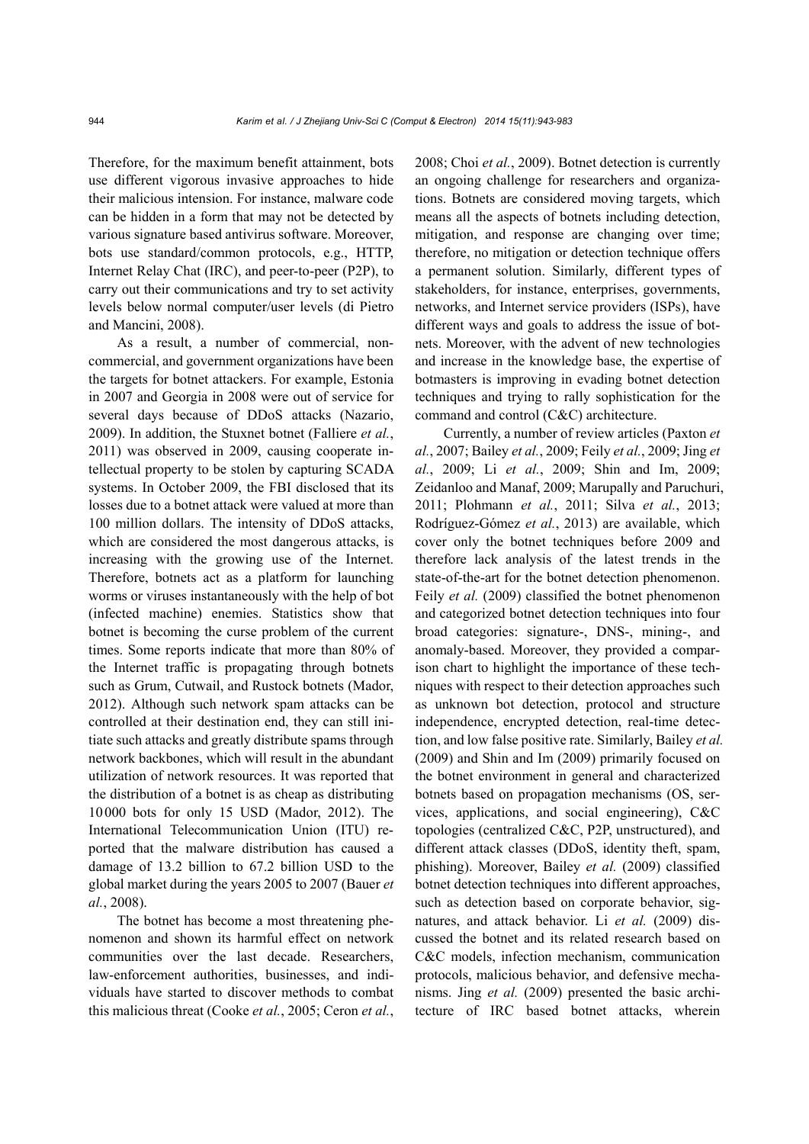Therefore, for the maximum benefit attainment, bots use different vigorous invasive approaches to hide their malicious intension. For instance, malware code can be hidden in a form that may not be detected by various signature based antivirus software. Moreover, bots use standard/common protocols, e.g., HTTP, Internet Relay Chat (IRC), and peer-to-peer (P2P), to carry out their communications and try to set activity levels below normal computer/user levels (di Pietro and Mancini, 2008).

As a result, a number of commercial, noncommercial, and government organizations have been the targets for botnet attackers. For example, Estonia in 2007 and Georgia in 2008 were out of service for several days because of DDoS attacks (Nazario, 2009). In addition, the Stuxnet botnet (Falliere *et al.*, 2011) was observed in 2009, causing cooperate intellectual property to be stolen by capturing SCADA systems. In October 2009, the FBI disclosed that its losses due to a botnet attack were valued at more than 100 million dollars. The intensity of DDoS attacks, which are considered the most dangerous attacks, is increasing with the growing use of the Internet. Therefore, botnets act as a platform for launching worms or viruses instantaneously with the help of bot (infected machine) enemies. Statistics show that botnet is becoming the curse problem of the current times. Some reports indicate that more than 80% of the Internet traffic is propagating through botnets such as Grum, Cutwail, and Rustock botnets (Mador, 2012). Although such network spam attacks can be controlled at their destination end, they can still initiate such attacks and greatly distribute spams through network backbones, which will result in the abundant utilization of network resources. It was reported that the distribution of a botnet is as cheap as distributing 10000 bots for only 15 USD (Mador, 2012). The International Telecommunication Union (ITU) reported that the malware distribution has caused a damage of 13.2 billion to 67.2 billion USD to the global market during the years 2005 to 2007 (Bauer *et al.*, 2008).

The botnet has become a most threatening phenomenon and shown its harmful effect on network communities over the last decade. Researchers, law-enforcement authorities, businesses, and individuals have started to discover methods to combat this malicious threat (Cooke *et al.*, 2005; Ceron *et al.*,

2008; Choi *et al.*, 2009). Botnet detection is currently an ongoing challenge for researchers and organizations. Botnets are considered moving targets, which means all the aspects of botnets including detection, mitigation, and response are changing over time; therefore, no mitigation or detection technique offers a permanent solution. Similarly, different types of stakeholders, for instance, enterprises, governments, networks, and Internet service providers (ISPs), have different ways and goals to address the issue of botnets. Moreover, with the advent of new technologies and increase in the knowledge base, the expertise of botmasters is improving in evading botnet detection techniques and trying to rally sophistication for the command and control (C&C) architecture.

Currently, a number of review articles (Paxton *et al.*, 2007; Bailey *et al.*, 2009; Feily *et al.*, 2009; Jing *et al.*, 2009; Li *et al.*, 2009; Shin and Im, 2009; Zeidanloo and Manaf, 2009; Marupally and Paruchuri, 2011; Plohmann *et al.*, 2011; Silva *et al.*, 2013; Rodríguez-Gómez *et al.*, 2013) are available, which cover only the botnet techniques before 2009 and therefore lack analysis of the latest trends in the state-of-the-art for the botnet detection phenomenon. Feily *et al.* (2009) classified the botnet phenomenon and categorized botnet detection techniques into four broad categories: signature-, DNS-, mining-, and anomaly-based. Moreover, they provided a comparison chart to highlight the importance of these techniques with respect to their detection approaches such as unknown bot detection, protocol and structure independence, encrypted detection, real-time detection, and low false positive rate. Similarly, Bailey *et al.* (2009) and Shin and Im (2009) primarily focused on the botnet environment in general and characterized botnets based on propagation mechanisms (OS, services, applications, and social engineering), C&C topologies (centralized C&C, P2P, unstructured), and different attack classes (DDoS, identity theft, spam, phishing). Moreover, Bailey *et al.* (2009) classified botnet detection techniques into different approaches, such as detection based on corporate behavior, signatures, and attack behavior. Li *et al.* (2009) discussed the botnet and its related research based on C&C models, infection mechanism, communication protocols, malicious behavior, and defensive mechanisms. Jing *et al.* (2009) presented the basic architecture of IRC based botnet attacks, wherein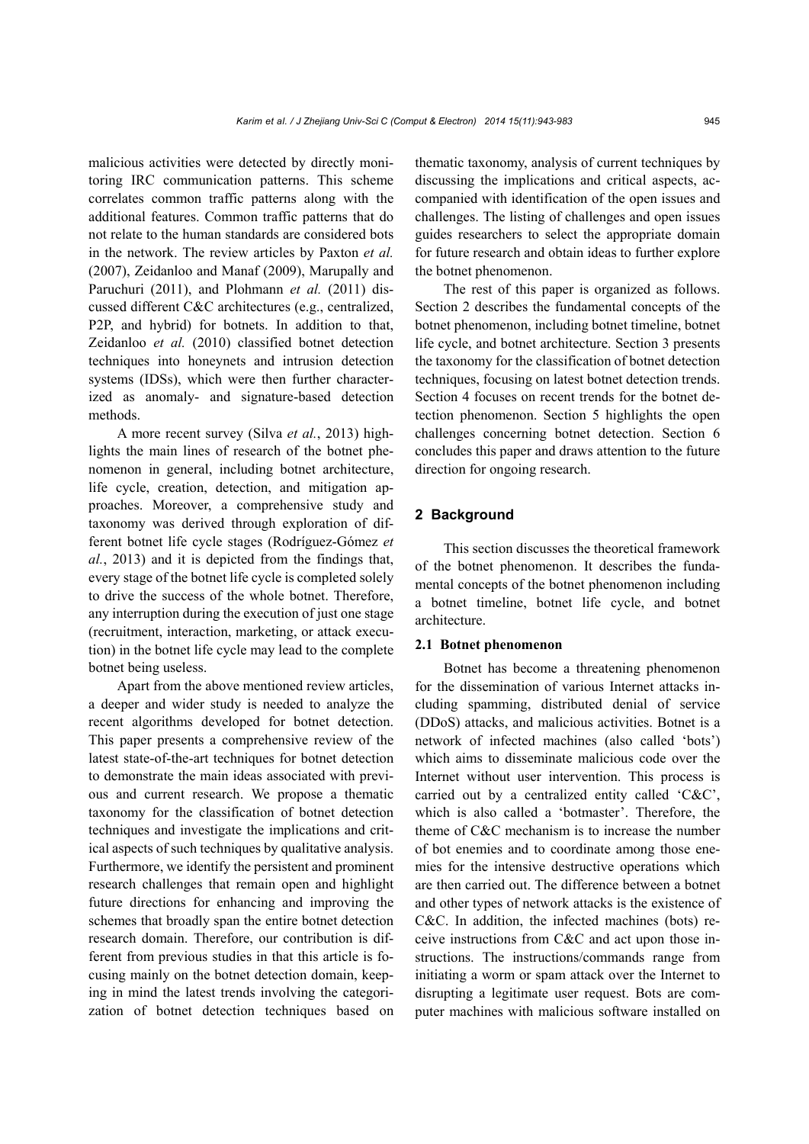malicious activities were detected by directly monitoring IRC communication patterns. This scheme correlates common traffic patterns along with the additional features. Common traffic patterns that do not relate to the human standards are considered bots in the network. The review articles by Paxton *et al.* (2007), Zeidanloo and Manaf (2009), Marupally and Paruchuri (2011), and Plohmann *et al.* (2011) discussed different C&C architectures (e.g., centralized, P2P, and hybrid) for botnets. In addition to that, Zeidanloo *et al.* (2010) classified botnet detection techniques into honeynets and intrusion detection systems (IDSs), which were then further characterized as anomaly- and signature-based detection methods.

A more recent survey (Silva *et al.*, 2013) highlights the main lines of research of the botnet phenomenon in general, including botnet architecture, life cycle, creation, detection, and mitigation approaches. Moreover, a comprehensive study and taxonomy was derived through exploration of different botnet life cycle stages (Rodríguez-Gómez *et al.*, 2013) and it is depicted from the findings that, every stage of the botnet life cycle is completed solely to drive the success of the whole botnet. Therefore, any interruption during the execution of just one stage (recruitment, interaction, marketing, or attack execution) in the botnet life cycle may lead to the complete botnet being useless.

Apart from the above mentioned review articles, a deeper and wider study is needed to analyze the recent algorithms developed for botnet detection. This paper presents a comprehensive review of the latest state-of-the-art techniques for botnet detection to demonstrate the main ideas associated with previous and current research. We propose a thematic taxonomy for the classification of botnet detection techniques and investigate the implications and critical aspects of such techniques by qualitative analysis. Furthermore, we identify the persistent and prominent research challenges that remain open and highlight future directions for enhancing and improving the schemes that broadly span the entire botnet detection research domain. Therefore, our contribution is different from previous studies in that this article is focusing mainly on the botnet detection domain, keeping in mind the latest trends involving the categorization of botnet detection techniques based on thematic taxonomy, analysis of current techniques by discussing the implications and critical aspects, accompanied with identification of the open issues and challenges. The listing of challenges and open issues guides researchers to select the appropriate domain for future research and obtain ideas to further explore the botnet phenomenon.

The rest of this paper is organized as follows. Section 2 describes the fundamental concepts of the botnet phenomenon, including botnet timeline, botnet life cycle, and botnet architecture. Section 3 presents the taxonomy for the classification of botnet detection techniques, focusing on latest botnet detection trends. Section 4 focuses on recent trends for the botnet detection phenomenon. Section 5 highlights the open challenges concerning botnet detection. Section 6 concludes this paper and draws attention to the future direction for ongoing research.

#### **2 Background**

This section discusses the theoretical framework of the botnet phenomenon. It describes the fundamental concepts of the botnet phenomenon including a botnet timeline, botnet life cycle, and botnet architecture.

#### **2.1 Botnet phenomenon**

Botnet has become a threatening phenomenon for the dissemination of various Internet attacks including spamming, distributed denial of service (DDoS) attacks, and malicious activities. Botnet is a network of infected machines (also called 'bots') which aims to disseminate malicious code over the Internet without user intervention. This process is carried out by a centralized entity called 'C&C', which is also called a 'botmaster'. Therefore, the theme of C&C mechanism is to increase the number of bot enemies and to coordinate among those enemies for the intensive destructive operations which are then carried out. The difference between a botnet and other types of network attacks is the existence of C&C. In addition, the infected machines (bots) receive instructions from C&C and act upon those instructions. The instructions/commands range from initiating a worm or spam attack over the Internet to disrupting a legitimate user request. Bots are computer machines with malicious software installed on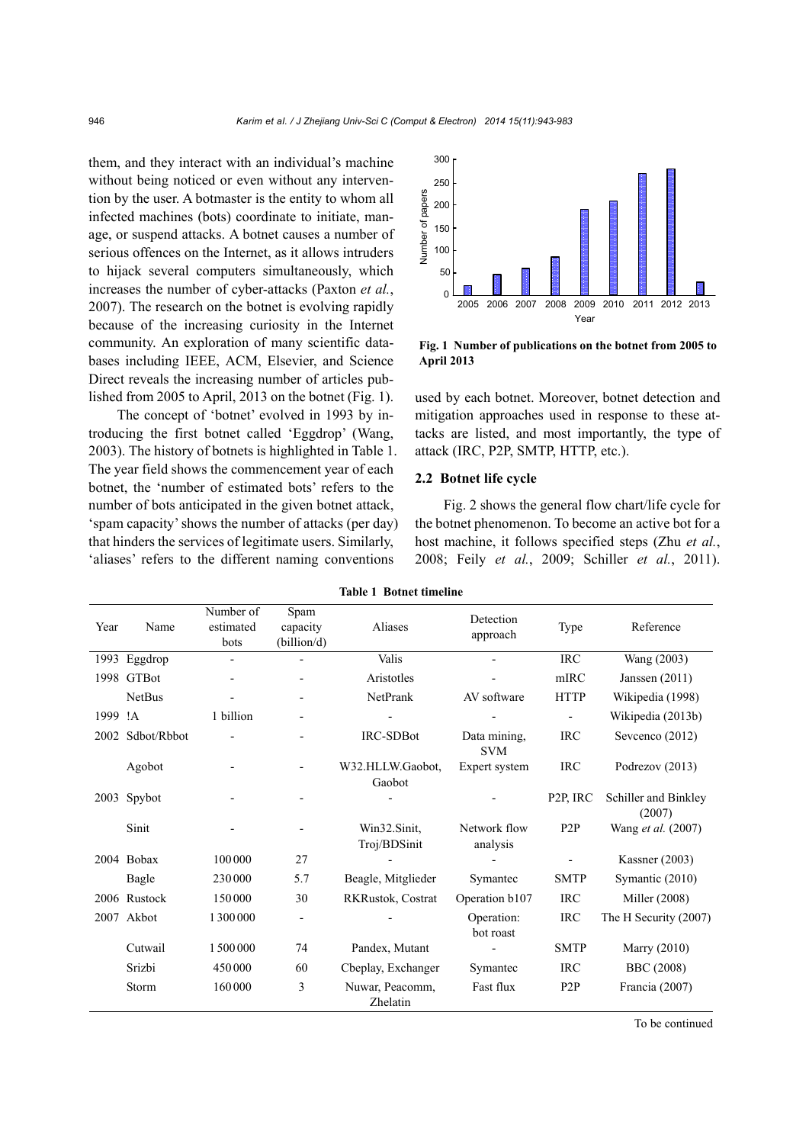them, and they interact with an individual's machine without being noticed or even without any intervention by the user. A botmaster is the entity to whom all infected machines (bots) coordinate to initiate, manage, or suspend attacks. A botnet causes a number of serious offences on the Internet, as it allows intruders to hijack several computers simultaneously, which increases the number of cyber-attacks (Paxton *et al.*, 2007). The research on the botnet is evolving rapidly because of the increasing curiosity in the Internet community. An exploration of many scientific databases including IEEE, ACM, Elsevier, and Science Direct reveals the increasing number of articles published from 2005 to April, 2013 on the botnet (Fig. 1).

The concept of 'botnet' evolved in 1993 by introducing the first botnet called 'Eggdrop' (Wang, 2003). The history of botnets is highlighted in Table 1. The year field shows the commencement year of each botnet, the 'number of estimated bots' refers to the number of bots anticipated in the given botnet attack, 'spam capacity' shows the number of attacks (per day) that hinders the services of legitimate users. Similarly, 'aliases' refers to the different naming conventions



**Fig. 1 Number of publications on the botnet from 2005 to April 2013** 

used by each botnet. Moreover, botnet detection and mitigation approaches used in response to these attacks are listed, and most importantly, the type of attack (IRC, P2P, SMTP, HTTP, etc.).

#### **2.2 Botnet life cycle**

Fig. 2 shows the general flow chart/life cycle for the botnet phenomenon. To become an active bot for a host machine, it follows specified steps (Zhu *et al.*, 2008; Feily *et al.*, 2009; Schiller *et al.*, 2011).

| Year | Name          | Number of<br>estimated<br>bots | Spam<br>capacity<br>(billion/d) | Aliases                      | Detection<br>approach      | Type                     | Reference                      |
|------|---------------|--------------------------------|---------------------------------|------------------------------|----------------------------|--------------------------|--------------------------------|
| 1993 | Eggdrop       |                                |                                 | Valis                        |                            | <b>IRC</b>               | Wang $\overline{(2003)}$       |
| 1998 | <b>GTBot</b>  |                                |                                 | Aristotles                   |                            | mIRC                     | Janssen $(2011)$               |
|      | <b>NetBus</b> |                                |                                 | NetPrank                     | AV software                | <b>HTTP</b>              | Wikipedia (1998)               |
| 1999 | !A            | 1 billion                      |                                 |                              |                            | $\overline{\phantom{0}}$ | Wikipedia (2013b)              |
| 2002 | Sdbot/Rbbot   |                                |                                 | IRC-SDBot                    | Data mining,<br><b>SVM</b> | <b>IRC</b>               | Seveenco (2012)                |
|      | Agobot        |                                |                                 | W32.HLLW.Gaobot,<br>Gaobot   | Expert system              | <b>IRC</b>               | Podrezov (2013)                |
| 2003 | Spybot        |                                |                                 |                              |                            | P <sub>2P</sub> , IRC    | Schiller and Binkley<br>(2007) |
|      | Sinit         |                                |                                 | Win32.Sinit,<br>Troj/BDSinit | Network flow<br>analysis   | P2P                      | Wang et al. (2007)             |
|      | 2004 Bobax    | 100000                         | 27                              |                              |                            |                          | Kassner $(2003)$               |
|      | Bagle         | 230000                         | 5.7                             | Beagle, Mitglieder           | Symantec                   | <b>SMTP</b>              | Symantic (2010)                |
|      | 2006 Rustock  | 150000                         | 30                              | RKRustok, Costrat            | Operation b107             | <b>IRC</b>               | Miller (2008)                  |
|      | 2007 Akbot    | 1300000                        | ٠                               |                              | Operation:<br>bot roast    | <b>IRC</b>               | The H Security (2007)          |
|      | Cutwail       | 1500000                        | 74                              | Pandex, Mutant               |                            | <b>SMTP</b>              | Marry (2010)                   |
|      | Srizbi        | 450000                         | 60                              | Cbeplay, Exchanger           | Symantec                   | <b>IRC</b>               | BBC (2008)                     |
|      | Storm         | 160000                         | 3                               | Nuwar, Peacomm,<br>Zhelatin  | Fast flux                  | P2P                      | Francia (2007)                 |

**Table 1 Botnet timeline** 

To be continued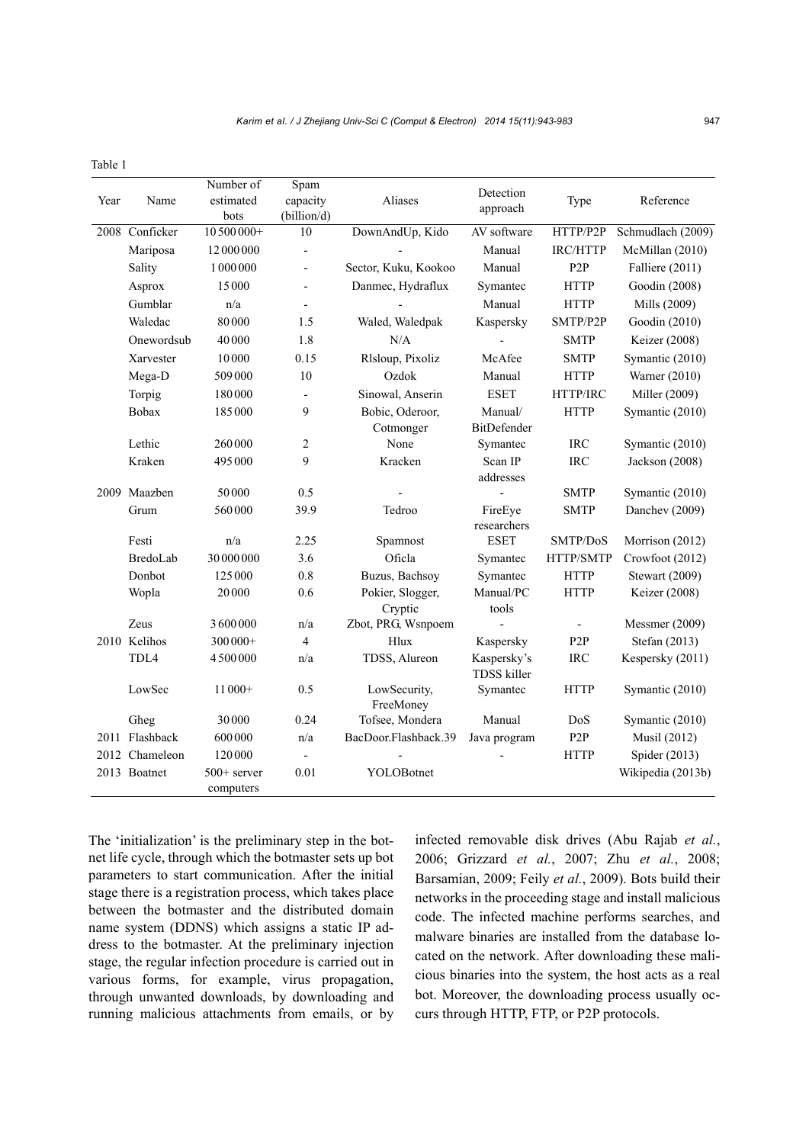| × |  |
|---|--|
|---|--|

|      |                    | Number of         | Spam                     |                             | Detection                  |                          |                   |
|------|--------------------|-------------------|--------------------------|-----------------------------|----------------------------|--------------------------|-------------------|
| Year | Name               | estimated         | capacity                 | Aliases                     | approach                   | Type                     | Reference         |
|      |                    | bots              | (billion/d)              |                             |                            |                          |                   |
|      | 2008 Conficker     | 10 500 000+       | 10                       | DownAndUp, Kido             | AV software                | HTTP/P2P                 | Schmudlach (2009) |
|      | Mariposa           | 12 000 000        |                          |                             | Manual                     | IRC/HTTP                 | McMillan (2010)   |
|      | Sality             | 1 000 000         |                          | Sector, Kuku, Kookoo        | Manual                     | P <sub>2</sub> P         | Falliere (2011)   |
|      | Asprox             | 15000             | $\overline{a}$           | Danmec, Hydraflux           | Symantec                   | <b>HTTP</b>              | Goodin (2008)     |
|      | Gumblar            | n/a               | $\overline{\phantom{0}}$ |                             | Manual                     | <b>HTTP</b>              | Mills (2009)      |
|      | Waledac            | 80000             | 1.5                      | Waled, Waledpak             | Kaspersky                  | SMTP/P2P                 | Goodin (2010)     |
|      | Onewordsub         | 40000             | 1.8                      | N/A                         |                            | <b>SMTP</b>              | Keizer (2008)     |
|      | Xarvester          | 10000             | 0.15                     | Rlsloup, Pixoliz            | McAfee                     | <b>SMTP</b>              | Symantic (2010)   |
|      | Mega-D             | 509000            | 10                       | Ozdok                       | Manual                     | <b>HTTP</b>              | Warner (2010)     |
|      | Torpig             | 180000            |                          | Sinowal, Anserin            | <b>ESET</b>                | HTTP/IRC                 | Miller (2009)     |
|      | Bobax              | 185000            | 9                        | Bobic, Oderoor,             | Manual/                    | <b>HTTP</b>              | Symantic (2010)   |
|      |                    |                   |                          | Cotmonger                   | <b>BitDefender</b>         |                          |                   |
|      | Lethic             | 260000            | $\overline{2}$           | None                        | Symantec                   | <b>IRC</b>               | Symantic (2010)   |
|      | Kraken             | 495000            | 9                        | Kracken                     | Scan IP                    | <b>IRC</b>               | Jackson (2008)    |
|      |                    |                   |                          |                             | addresses                  |                          |                   |
|      | 2009 Maazben       | 50000             | 0.5                      |                             | $\overline{a}$             | <b>SMTP</b>              | Symantic (2010)   |
|      | Grum               | 560000            | 39.9                     | Tedroo                      | FireEye                    | <b>SMTP</b>              | Danchev (2009)    |
|      |                    |                   |                          |                             | researchers<br><b>ESET</b> |                          |                   |
|      | Festi              | n/a<br>30 000 000 | 2.25<br>3.6              | Spamnost<br>Oficla          |                            | SMTP/DoS                 | Morrison (2012)   |
|      | BredoLab<br>Donbot | 125 000           | 0.8                      |                             | Symantec                   | HTTP/SMTP                | Crowfoot (2012)   |
|      |                    | 20000             |                          | Buzus, Bachsoy              | Symantec<br>Manual/PC      | <b>HTTP</b>              | Stewart (2009)    |
|      | Wopla              |                   | 0.6                      | Pokier, Slogger,<br>Cryptic | tools                      | <b>HTTP</b>              | Keizer (2008)     |
|      | Zeus               | 3600000           | n/a                      | Zbot, PRG, Wsnpoem          |                            | $\overline{\phantom{a}}$ | Messmer $(2009)$  |
|      | 2010 Kelihos       | 300 000+          | $\overline{\mathbf{4}}$  | Hlux                        | Kaspersky                  | P <sub>2</sub> P         | Stefan (2013)     |
|      | TDL4               | 4500000           | n/a                      | TDSS, Alureon               | Kaspersky's                | <b>IRC</b>               | Kespersky (2011)  |
|      |                    |                   |                          |                             | <b>TDSS</b> killer         |                          |                   |
|      | LowSec             | $11000+$          | 0.5                      | LowSecurity,                | Symantec                   | <b>HTTP</b>              | Symantic (2010)   |
|      |                    |                   |                          | FreeMoney                   |                            |                          |                   |
|      | Gheg               | 30000             | 0.24                     | Tofsee, Mondera             | Manual                     | DoS                      | Symantic (2010)   |
| 2011 | Flashback          | 600000            | n/a                      | BacDoor.Flashback.39        | Java program               | P <sub>2</sub> P         | Musil (2012)      |
|      | 2012 Chameleon     | 120000            |                          |                             |                            | <b>HTTP</b>              | Spider (2013)     |
|      | 2013 Boatnet       | $500+$ server     | 0.01                     | YOLOBotnet                  |                            |                          | Wikipedia (2013b) |
|      |                    | computers         |                          |                             |                            |                          |                   |

The 'initialization' is the preliminary step in the botnet life cycle, through which the botmaster sets up bot parameters to start communication. After the initial stage there is a registration process, which takes place between the botmaster and the distributed domain name system (DDNS) which assigns a static IP address to the botmaster. At the preliminary injection stage, the regular infection procedure is carried out in various forms, for example, virus propagation, through unwanted downloads, by downloading and running malicious attachments from emails, or by infected removable disk drives (Abu Rajab *et al.*, 2006; Grizzard *et al.*, 2007; Zhu *et al.*, 2008; Barsamian, 2009; Feily *et al.*, 2009). Bots build their networks in the proceeding stage and install malicious code. The infected machine performs searches, and malware binaries are installed from the database located on the network. After downloading these malicious binaries into the system, the host acts as a real bot. Moreover, the downloading process usually occurs through HTTP, FTP, or P2P protocols.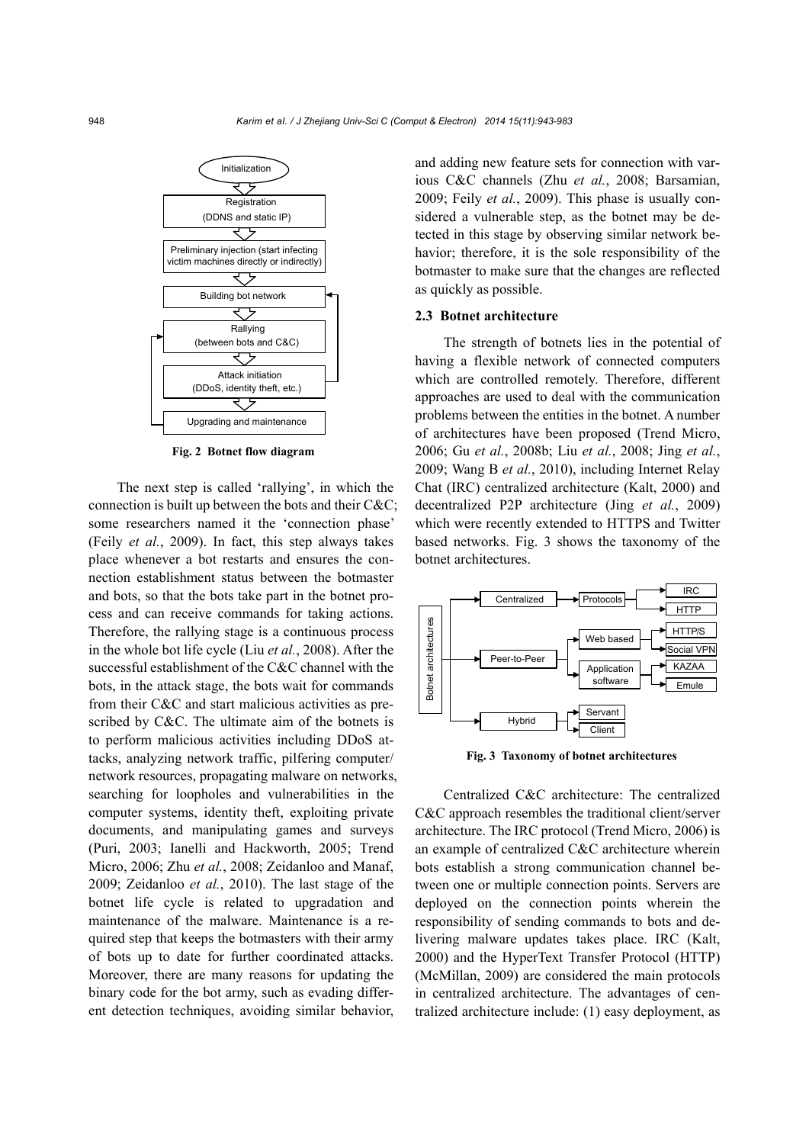

**Fig. 2 Botnet flow diagram** 

The next step is called 'rallying', in which the connection is built up between the bots and their  $C&C$ ; some researchers named it the 'connection phase' (Feily *et al.*, 2009). In fact, this step always takes place whenever a bot restarts and ensures the connection establishment status between the botmaster and bots, so that the bots take part in the botnet process and can receive commands for taking actions. Therefore, the rallying stage is a continuous process in the whole bot life cycle (Liu *et al.*, 2008). After the successful establishment of the C&C channel with the bots, in the attack stage, the bots wait for commands from their C&C and start malicious activities as prescribed by C&C. The ultimate aim of the botnets is to perform malicious activities including DDoS attacks, analyzing network traffic, pilfering computer/ network resources, propagating malware on networks, searching for loopholes and vulnerabilities in the computer systems, identity theft, exploiting private documents, and manipulating games and surveys (Puri, 2003; Ianelli and Hackworth, 2005; Trend Micro, 2006; Zhu *et al.*, 2008; Zeidanloo and Manaf, 2009; Zeidanloo *et al.*, 2010). The last stage of the botnet life cycle is related to upgradation and maintenance of the malware. Maintenance is a required step that keeps the botmasters with their army of bots up to date for further coordinated attacks. Moreover, there are many reasons for updating the binary code for the bot army, such as evading different detection techniques, avoiding similar behavior,

and adding new feature sets for connection with various C&C channels (Zhu *et al.*, 2008; Barsamian, 2009; Feily *et al.*, 2009). This phase is usually considered a vulnerable step, as the botnet may be detected in this stage by observing similar network behavior; therefore, it is the sole responsibility of the botmaster to make sure that the changes are reflected as quickly as possible.

#### **2.3 Botnet architecture**

The strength of botnets lies in the potential of having a flexible network of connected computers which are controlled remotely. Therefore, different approaches are used to deal with the communication problems between the entities in the botnet. A number of architectures have been proposed (Trend Micro, 2006; Gu *et al.*, 2008b; Liu *et al.*, 2008; Jing *et al.*, 2009; Wang B *et al.*, 2010), including Internet Relay Chat (IRC) centralized architecture (Kalt, 2000) and decentralized P2P architecture (Jing *et al.*, 2009) which were recently extended to HTTPS and Twitter based networks. Fig. 3 shows the taxonomy of the botnet architectures.



**Fig. 3 Taxonomy of botnet architectures** 

Centralized C&C architecture: The centralized C&C approach resembles the traditional client/server architecture. The IRC protocol (Trend Micro, 2006) is an example of centralized C&C architecture wherein bots establish a strong communication channel between one or multiple connection points. Servers are deployed on the connection points wherein the responsibility of sending commands to bots and delivering malware updates takes place. IRC (Kalt, 2000) and the HyperText Transfer Protocol (HTTP) (McMillan, 2009) are considered the main protocols in centralized architecture. The advantages of centralized architecture include: (1) easy deployment, as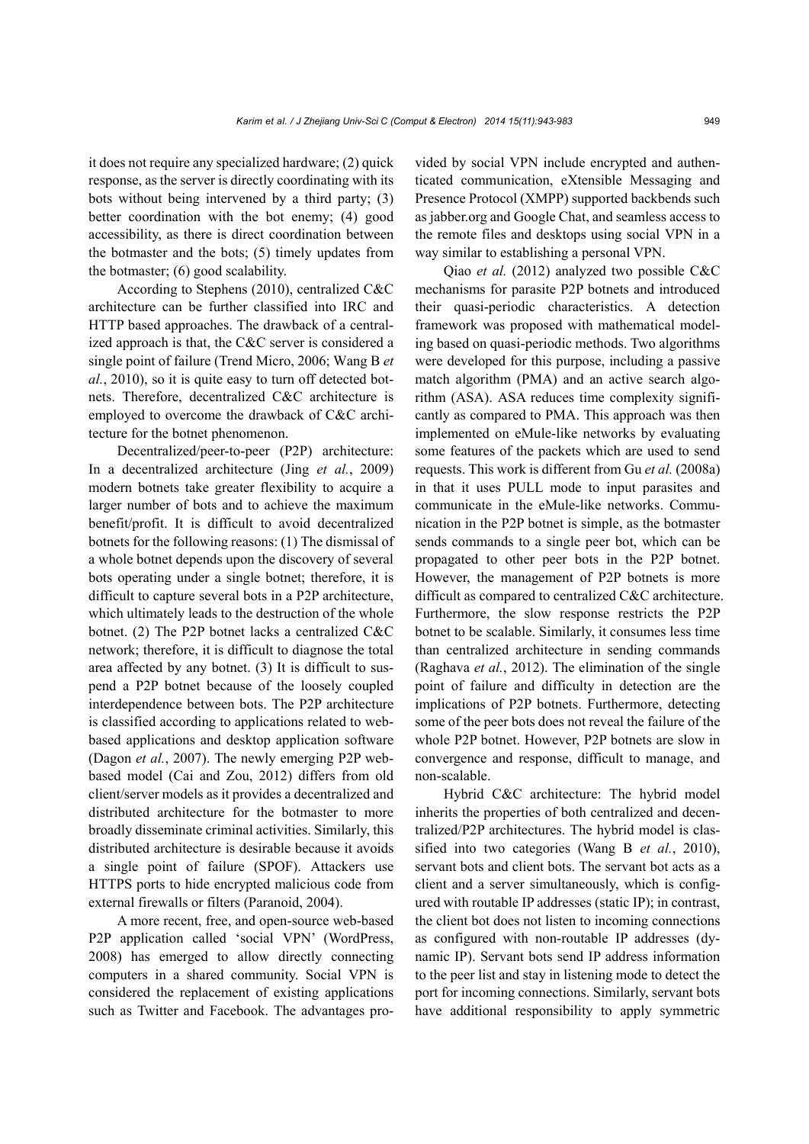it does not require any specialized hardware; (2) quick response, as the server is directly coordinating with its bots without being intervened by a third party; (3) better coordination with the bot enemy; (4) good accessibility, as there is direct coordination between the botmaster and the bots; (5) timely updates from the botmaster; (6) good scalability.

According to Stephens (2010), centralized C&C architecture can be further classified into IRC and HTTP based approaches. The drawback of a centralized approach is that, the C&C server is considered a single point of failure (Trend Micro, 2006; Wang B *et al.*, 2010), so it is quite easy to turn off detected botnets. Therefore, decentralized C&C architecture is employed to overcome the drawback of C&C architecture for the botnet phenomenon.

Decentralized/peer-to-peer (P2P) architecture: In a decentralized architecture (Jing *et al.*, 2009) modern botnets take greater flexibility to acquire a larger number of bots and to achieve the maximum benefit/profit. It is difficult to avoid decentralized botnets for the following reasons: (1) The dismissal of a whole botnet depends upon the discovery of several bots operating under a single botnet; therefore, it is difficult to capture several bots in a P2P architecture, which ultimately leads to the destruction of the whole botnet. (2) The P2P botnet lacks a centralized C&C network; therefore, it is difficult to diagnose the total area affected by any botnet. (3) It is difficult to suspend a P2P botnet because of the loosely coupled interdependence between bots. The P2P architecture is classified according to applications related to webbased applications and desktop application software (Dagon *et al.*, 2007). The newly emerging P2P webbased model (Cai and Zou, 2012) differs from old client/server models as it provides a decentralized and distributed architecture for the botmaster to more broadly disseminate criminal activities. Similarly, this distributed architecture is desirable because it avoids a single point of failure (SPOF). Attackers use HTTPS ports to hide encrypted malicious code from external firewalls or filters (Paranoid, 2004).

A more recent, free, and open-source web-based P2P application called 'social VPN' (WordPress, 2008) has emerged to allow directly connecting computers in a shared community. Social VPN is considered the replacement of existing applications such as Twitter and Facebook. The advantages provided by social VPN include encrypted and authenticated communication, eXtensible Messaging and Presence Protocol (XMPP) supported backbends such as jabber.org and Google Chat, and seamless access to the remote files and desktops using social VPN in a way similar to establishing a personal VPN.

Qiao *et al.* (2012) analyzed two possible C&C mechanisms for parasite P2P botnets and introduced their quasi-periodic characteristics. A detection framework was proposed with mathematical modeling based on quasi-periodic methods. Two algorithms were developed for this purpose, including a passive match algorithm (PMA) and an active search algorithm (ASA). ASA reduces time complexity significantly as compared to PMA. This approach was then implemented on eMule-like networks by evaluating some features of the packets which are used to send requests. This work is different from Gu *et al.* (2008a) in that it uses PULL mode to input parasites and communicate in the eMule-like networks. Communication in the P2P botnet is simple, as the botmaster sends commands to a single peer bot, which can be propagated to other peer bots in the P2P botnet. However, the management of P2P botnets is more difficult as compared to centralized C&C architecture. Furthermore, the slow response restricts the P2P botnet to be scalable. Similarly, it consumes less time than centralized architecture in sending commands (Raghava *et al.*, 2012). The elimination of the single point of failure and difficulty in detection are the implications of P2P botnets. Furthermore, detecting some of the peer bots does not reveal the failure of the whole P2P botnet. However, P2P botnets are slow in convergence and response, difficult to manage, and non-scalable.

Hybrid C&C architecture: The hybrid model inherits the properties of both centralized and decentralized/P2P architectures. The hybrid model is classified into two categories (Wang B *et al.*, 2010), servant bots and client bots. The servant bot acts as a client and a server simultaneously, which is configured with routable IP addresses (static IP); in contrast, the client bot does not listen to incoming connections as configured with non-routable IP addresses (dynamic IP). Servant bots send IP address information to the peer list and stay in listening mode to detect the port for incoming connections. Similarly, servant bots have additional responsibility to apply symmetric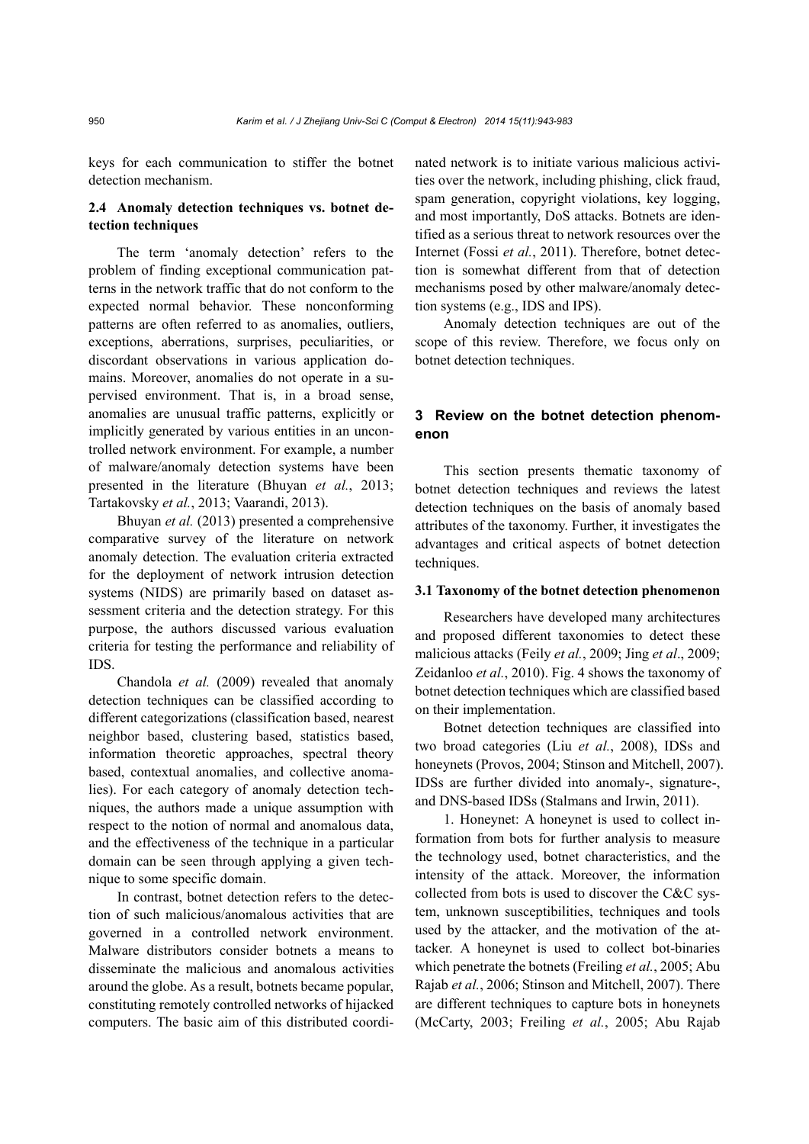keys for each communication to stiffer the botnet detection mechanism.

#### **2.4 Anomaly detection techniques vs. botnet detection techniques**

The term 'anomaly detection' refers to the problem of finding exceptional communication patterns in the network traffic that do not conform to the expected normal behavior. These nonconforming patterns are often referred to as anomalies, outliers, exceptions, aberrations, surprises, peculiarities, or discordant observations in various application domains. Moreover, anomalies do not operate in a supervised environment. That is, in a broad sense, anomalies are unusual traffic patterns, explicitly or implicitly generated by various entities in an uncontrolled network environment. For example, a number of malware/anomaly detection systems have been presented in the literature (Bhuyan *et al.*, 2013; Tartakovsky *et al.*, 2013; Vaarandi, 2013).

Bhuyan *et al.* (2013) presented a comprehensive comparative survey of the literature on network anomaly detection. The evaluation criteria extracted for the deployment of network intrusion detection systems (NIDS) are primarily based on dataset assessment criteria and the detection strategy. For this purpose, the authors discussed various evaluation criteria for testing the performance and reliability of IDS.

Chandola *et al.* (2009) revealed that anomaly detection techniques can be classified according to different categorizations (classification based, nearest neighbor based, clustering based, statistics based, information theoretic approaches, spectral theory based, contextual anomalies, and collective anomalies). For each category of anomaly detection techniques, the authors made a unique assumption with respect to the notion of normal and anomalous data, and the effectiveness of the technique in a particular domain can be seen through applying a given technique to some specific domain.

In contrast, botnet detection refers to the detection of such malicious/anomalous activities that are governed in a controlled network environment. Malware distributors consider botnets a means to disseminate the malicious and anomalous activities around the globe. As a result, botnets became popular, constituting remotely controlled networks of hijacked computers. The basic aim of this distributed coordinated network is to initiate various malicious activities over the network, including phishing, click fraud, spam generation, copyright violations, key logging, and most importantly, DoS attacks. Botnets are identified as a serious threat to network resources over the Internet (Fossi *et al.*, 2011). Therefore, botnet detection is somewhat different from that of detection mechanisms posed by other malware/anomaly detection systems (e.g., IDS and IPS).

Anomaly detection techniques are out of the scope of this review. Therefore, we focus only on botnet detection techniques.

### **3 Review on the botnet detection phenomenon**

This section presents thematic taxonomy of botnet detection techniques and reviews the latest detection techniques on the basis of anomaly based attributes of the taxonomy. Further, it investigates the advantages and critical aspects of botnet detection techniques.

#### **3.1 Taxonomy of the botnet detection phenomenon**

Researchers have developed many architectures and proposed different taxonomies to detect these malicious attacks (Feily *et al.*, 2009; Jing *et al*., 2009; Zeidanloo *et al.*, 2010). Fig. 4 shows the taxonomy of botnet detection techniques which are classified based on their implementation.

Botnet detection techniques are classified into two broad categories (Liu *et al.*, 2008), IDSs and honeynets (Provos, 2004; Stinson and Mitchell, 2007). IDSs are further divided into anomaly-, signature-, and DNS-based IDSs (Stalmans and Irwin, 2011).

1. Honeynet: A honeynet is used to collect information from bots for further analysis to measure the technology used, botnet characteristics, and the intensity of the attack. Moreover, the information collected from bots is used to discover the C&C system, unknown susceptibilities, techniques and tools used by the attacker, and the motivation of the attacker. A honeynet is used to collect bot-binaries which penetrate the botnets (Freiling *et al.*, 2005; Abu Rajab *et al.*, 2006; Stinson and Mitchell, 2007). There are different techniques to capture bots in honeynets (McCarty, 2003; Freiling *et al.*, 2005; Abu Rajab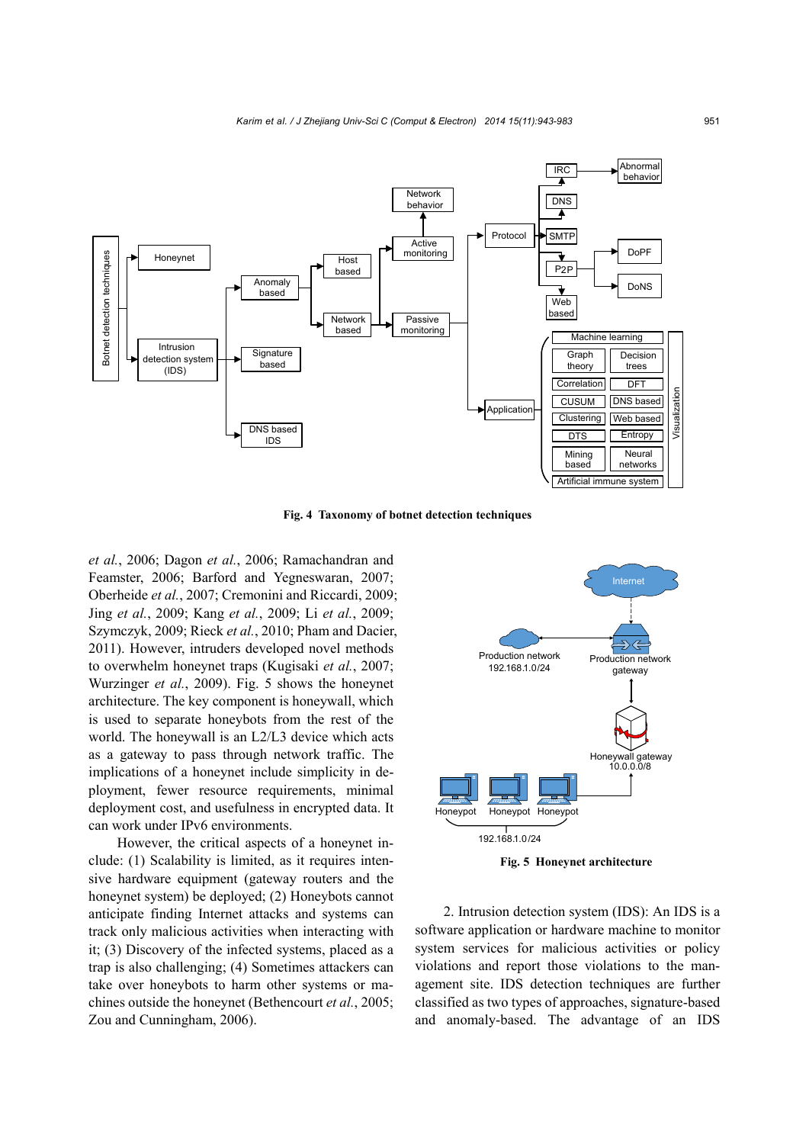

**Fig. 4 Taxonomy of botnet detection techniques** 

*et al.*, 2006; Dagon *et al.*, 2006; Ramachandran and Feamster, 2006; Barford and Yegneswaran, 2007; Oberheide *et al.*, 2007; Cremonini and Riccardi, 2009; Jing *et al.*, 2009; Kang *et al.*, 2009; Li *et al.*, 2009; Szymczyk, 2009; Rieck *et al.*, 2010; Pham and Dacier, 2011). However, intruders developed novel methods to overwhelm honeynet traps (Kugisaki *et al.*, 2007; Wurzinger *et al.*, 2009). Fig. 5 shows the honeynet architecture. The key component is honeywall, which is used to separate honeybots from the rest of the world. The honeywall is an L2/L3 device which acts as a gateway to pass through network traffic. The implications of a honeynet include simplicity in deployment, fewer resource requirements, minimal deployment cost, and usefulness in encrypted data. It can work under IPv6 environments.

However, the critical aspects of a honeynet include: (1) Scalability is limited, as it requires intensive hardware equipment (gateway routers and the honeynet system) be deployed; (2) Honeybots cannot anticipate finding Internet attacks and systems can track only malicious activities when interacting with it; (3) Discovery of the infected systems, placed as a trap is also challenging; (4) Sometimes attackers can take over honeybots to harm other systems or machines outside the honeynet (Bethencourt *et al.*, 2005; Zou and Cunningham, 2006).



**Fig. 5 Honeynet architecture** 

2. Intrusion detection system (IDS): An IDS is a software application or hardware machine to monitor system services for malicious activities or policy violations and report those violations to the management site. IDS detection techniques are further classified as two types of approaches, signature-based and anomaly-based. The advantage of an IDS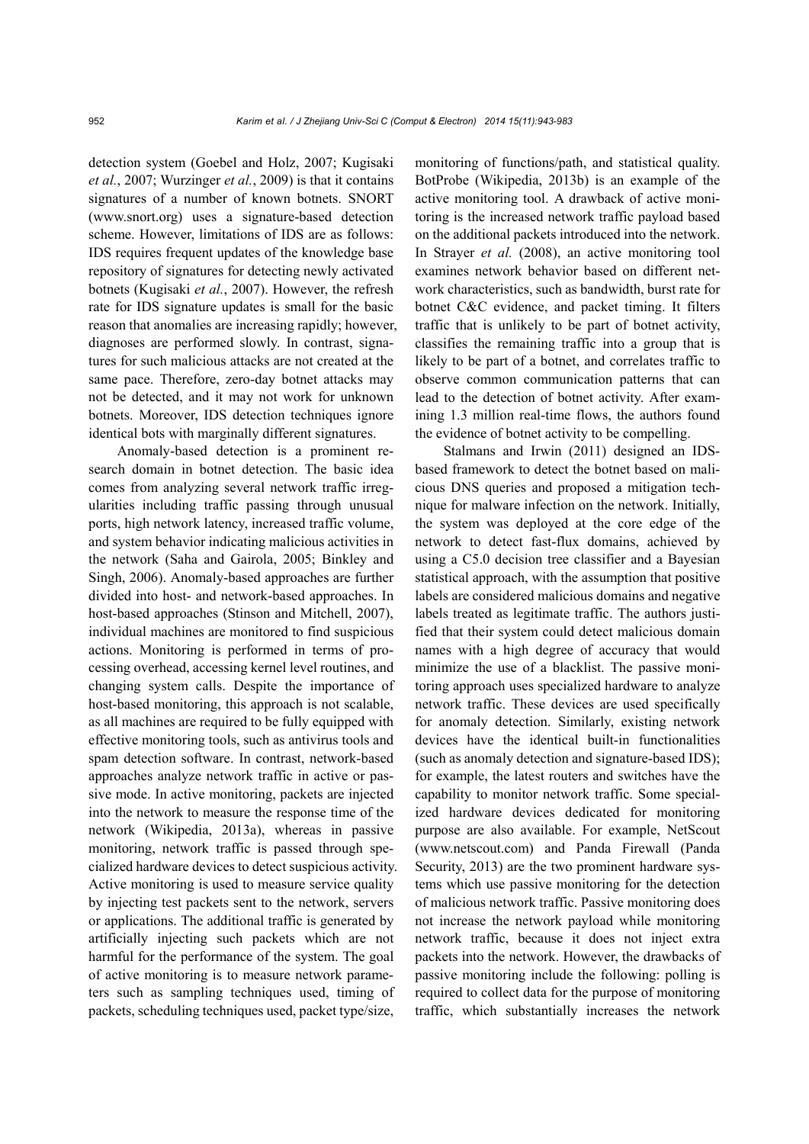detection system (Goebel and Holz, 2007; Kugisaki *et al.*, 2007; Wurzinger *et al.*, 2009) is that it contains signatures of a number of known botnets. SNORT (www.snort.org) uses a signature-based detection scheme. However, limitations of IDS are as follows: IDS requires frequent updates of the knowledge base repository of signatures for detecting newly activated botnets (Kugisaki *et al.*, 2007). However, the refresh rate for IDS signature updates is small for the basic reason that anomalies are increasing rapidly; however, diagnoses are performed slowly. In contrast, signatures for such malicious attacks are not created at the same pace. Therefore, zero-day botnet attacks may not be detected, and it may not work for unknown botnets. Moreover, IDS detection techniques ignore identical bots with marginally different signatures.

Anomaly-based detection is a prominent research domain in botnet detection. The basic idea comes from analyzing several network traffic irregularities including traffic passing through unusual ports, high network latency, increased traffic volume, and system behavior indicating malicious activities in the network (Saha and Gairola, 2005; Binkley and Singh, 2006). Anomaly-based approaches are further divided into host- and network-based approaches. In host-based approaches (Stinson and Mitchell, 2007), individual machines are monitored to find suspicious actions. Monitoring is performed in terms of processing overhead, accessing kernel level routines, and changing system calls. Despite the importance of host-based monitoring, this approach is not scalable, as all machines are required to be fully equipped with effective monitoring tools, such as antivirus tools and spam detection software. In contrast, network-based approaches analyze network traffic in active or passive mode. In active monitoring, packets are injected into the network to measure the response time of the network (Wikipedia, 2013a), whereas in passive monitoring, network traffic is passed through specialized hardware devices to detect suspicious activity. Active monitoring is used to measure service quality by injecting test packets sent to the network, servers or applications. The additional traffic is generated by artificially injecting such packets which are not harmful for the performance of the system. The goal of active monitoring is to measure network parameters such as sampling techniques used, timing of packets, scheduling techniques used, packet type/size,

monitoring of functions/path, and statistical quality. BotProbe (Wikipedia, 2013b) is an example of the active monitoring tool. A drawback of active monitoring is the increased network traffic payload based on the additional packets introduced into the network. In Strayer *et al.* (2008), an active monitoring tool examines network behavior based on different network characteristics, such as bandwidth, burst rate for botnet C&C evidence, and packet timing. It filters traffic that is unlikely to be part of botnet activity, classifies the remaining traffic into a group that is likely to be part of a botnet, and correlates traffic to observe common communication patterns that can lead to the detection of botnet activity. After examining 1.3 million real-time flows, the authors found the evidence of botnet activity to be compelling.

Stalmans and Irwin (2011) designed an IDSbased framework to detect the botnet based on malicious DNS queries and proposed a mitigation technique for malware infection on the network. Initially, the system was deployed at the core edge of the network to detect fast-flux domains, achieved by using a C5.0 decision tree classifier and a Bayesian statistical approach, with the assumption that positive labels are considered malicious domains and negative labels treated as legitimate traffic. The authors justified that their system could detect malicious domain names with a high degree of accuracy that would minimize the use of a blacklist. The passive monitoring approach uses specialized hardware to analyze network traffic. These devices are used specifically for anomaly detection. Similarly, existing network devices have the identical built-in functionalities (such as anomaly detection and signature-based IDS); for example, the latest routers and switches have the capability to monitor network traffic. Some specialized hardware devices dedicated for monitoring purpose are also available. For example, NetScout (www.netscout.com) and Panda Firewall (Panda Security, 2013) are the two prominent hardware systems which use passive monitoring for the detection of malicious network traffic. Passive monitoring does not increase the network payload while monitoring network traffic, because it does not inject extra packets into the network. However, the drawbacks of passive monitoring include the following: polling is required to collect data for the purpose of monitoring traffic, which substantially increases the network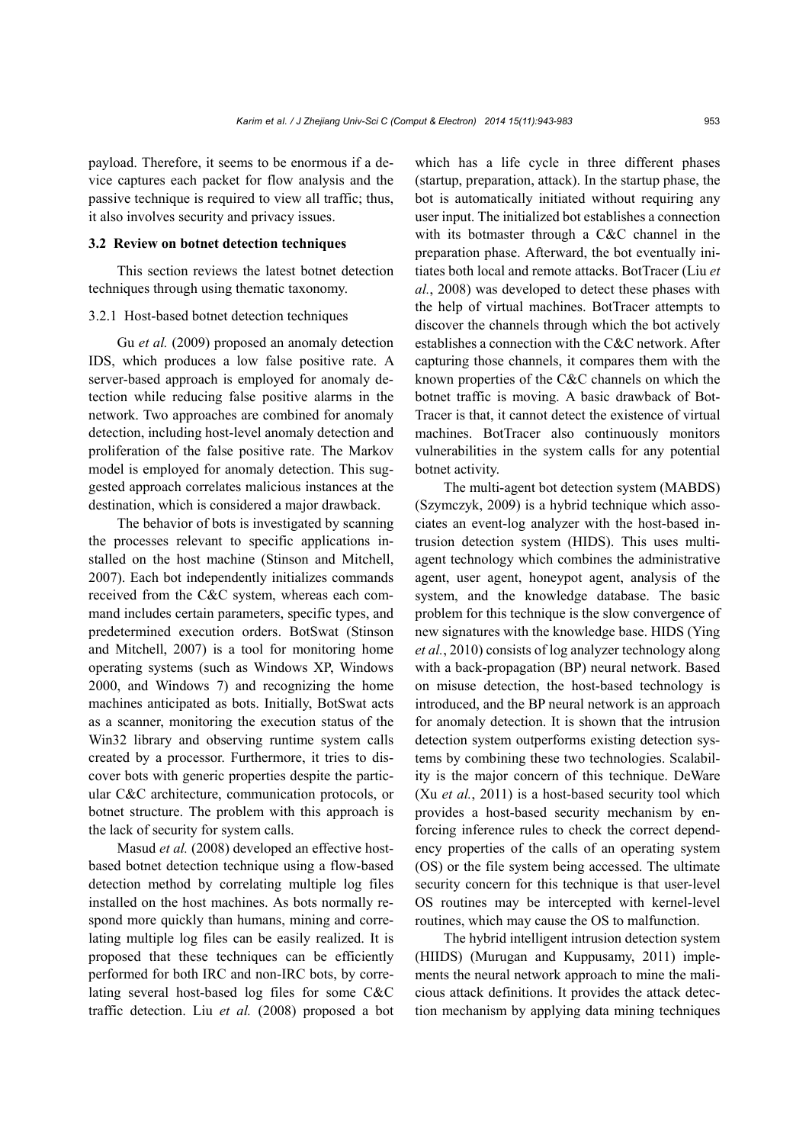payload. Therefore, it seems to be enormous if a device captures each packet for flow analysis and the passive technique is required to view all traffic; thus, it also involves security and privacy issues.

#### **3.2 Review on botnet detection techniques**

This section reviews the latest botnet detection techniques through using thematic taxonomy.

#### 3.2.1 Host-based botnet detection techniques

Gu *et al.* (2009) proposed an anomaly detection IDS, which produces a low false positive rate. A server-based approach is employed for anomaly detection while reducing false positive alarms in the network. Two approaches are combined for anomaly detection, including host-level anomaly detection and proliferation of the false positive rate. The Markov model is employed for anomaly detection. This suggested approach correlates malicious instances at the destination, which is considered a major drawback.

The behavior of bots is investigated by scanning the processes relevant to specific applications installed on the host machine (Stinson and Mitchell, 2007). Each bot independently initializes commands received from the C&C system, whereas each command includes certain parameters, specific types, and predetermined execution orders. BotSwat (Stinson and Mitchell, 2007) is a tool for monitoring home operating systems (such as Windows XP, Windows 2000, and Windows 7) and recognizing the home machines anticipated as bots. Initially, BotSwat acts as a scanner, monitoring the execution status of the Win32 library and observing runtime system calls created by a processor. Furthermore, it tries to discover bots with generic properties despite the particular C&C architecture, communication protocols, or botnet structure. The problem with this approach is the lack of security for system calls.

Masud *et al.* (2008) developed an effective hostbased botnet detection technique using a flow-based detection method by correlating multiple log files installed on the host machines. As bots normally respond more quickly than humans, mining and correlating multiple log files can be easily realized. It is proposed that these techniques can be efficiently performed for both IRC and non-IRC bots, by correlating several host-based log files for some C&C traffic detection. Liu *et al.* (2008) proposed a bot which has a life cycle in three different phases (startup, preparation, attack). In the startup phase, the bot is automatically initiated without requiring any user input. The initialized bot establishes a connection with its botmaster through a C&C channel in the preparation phase. Afterward, the bot eventually initiates both local and remote attacks. BotTracer (Liu *et al.*, 2008) was developed to detect these phases with the help of virtual machines. BotTracer attempts to discover the channels through which the bot actively establishes a connection with the C&C network. After capturing those channels, it compares them with the known properties of the C&C channels on which the botnet traffic is moving. A basic drawback of Bot-Tracer is that, it cannot detect the existence of virtual machines. BotTracer also continuously monitors vulnerabilities in the system calls for any potential botnet activity.

The multi-agent bot detection system (MABDS) (Szymczyk, 2009) is a hybrid technique which associates an event-log analyzer with the host-based intrusion detection system (HIDS). This uses multiagent technology which combines the administrative agent, user agent, honeypot agent, analysis of the system, and the knowledge database. The basic problem for this technique is the slow convergence of new signatures with the knowledge base. HIDS (Ying *et al.*, 2010) consists of log analyzer technology along with a back-propagation (BP) neural network. Based on misuse detection, the host-based technology is introduced, and the BP neural network is an approach for anomaly detection. It is shown that the intrusion detection system outperforms existing detection systems by combining these two technologies. Scalability is the major concern of this technique. DeWare (Xu *et al.*, 2011) is a host-based security tool which provides a host-based security mechanism by enforcing inference rules to check the correct dependency properties of the calls of an operating system (OS) or the file system being accessed. The ultimate security concern for this technique is that user-level OS routines may be intercepted with kernel-level routines, which may cause the OS to malfunction.

The hybrid intelligent intrusion detection system (HIIDS) (Murugan and Kuppusamy, 2011) implements the neural network approach to mine the malicious attack definitions. It provides the attack detection mechanism by applying data mining techniques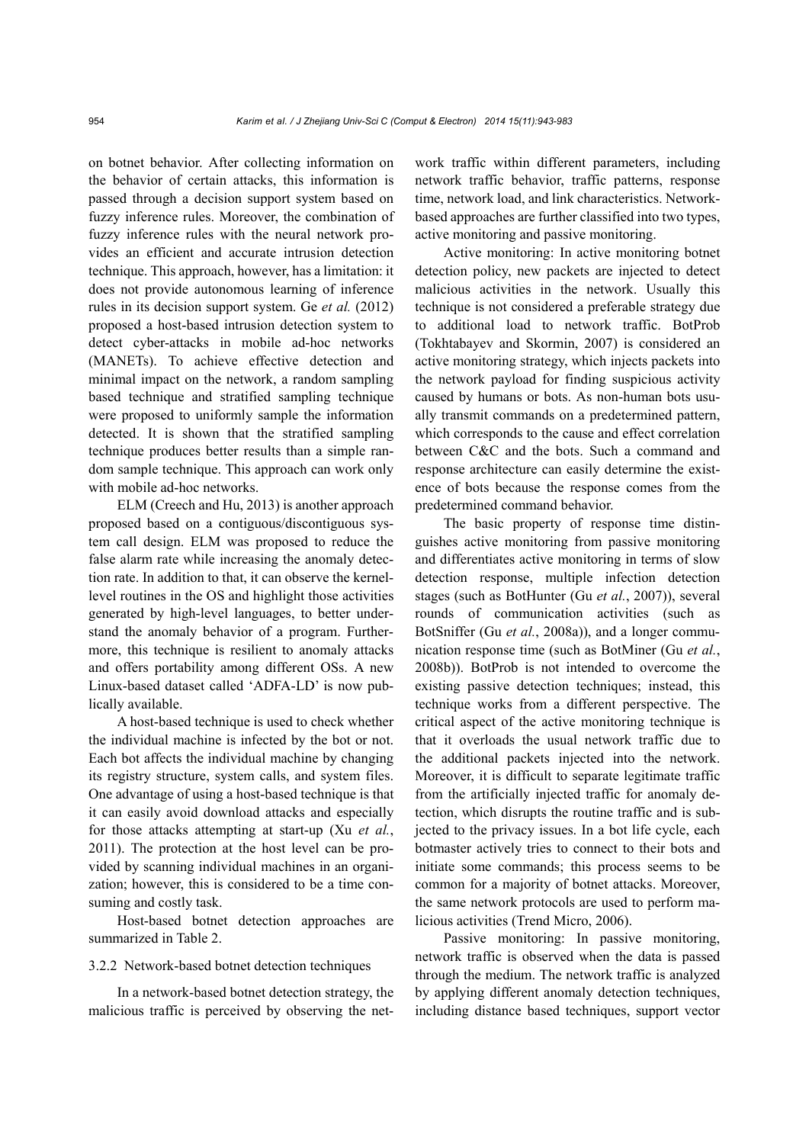on botnet behavior. After collecting information on the behavior of certain attacks, this information is passed through a decision support system based on fuzzy inference rules. Moreover, the combination of fuzzy inference rules with the neural network provides an efficient and accurate intrusion detection technique. This approach, however, has a limitation: it does not provide autonomous learning of inference rules in its decision support system. Ge *et al.* (2012) proposed a host-based intrusion detection system to detect cyber-attacks in mobile ad-hoc networks (MANETs). To achieve effective detection and minimal impact on the network, a random sampling based technique and stratified sampling technique were proposed to uniformly sample the information detected. It is shown that the stratified sampling technique produces better results than a simple random sample technique. This approach can work only with mobile ad-hoc networks.

ELM (Creech and Hu, 2013) is another approach proposed based on a contiguous/discontiguous system call design. ELM was proposed to reduce the false alarm rate while increasing the anomaly detection rate. In addition to that, it can observe the kernellevel routines in the OS and highlight those activities generated by high-level languages, to better understand the anomaly behavior of a program. Furthermore, this technique is resilient to anomaly attacks and offers portability among different OSs. A new Linux-based dataset called 'ADFA-LD' is now publically available.

A host-based technique is used to check whether the individual machine is infected by the bot or not. Each bot affects the individual machine by changing its registry structure, system calls, and system files. One advantage of using a host-based technique is that it can easily avoid download attacks and especially for those attacks attempting at start-up (Xu *et al.*, 2011). The protection at the host level can be provided by scanning individual machines in an organization; however, this is considered to be a time consuming and costly task.

Host-based botnet detection approaches are summarized in Table 2.

#### 3.2.2 Network-based botnet detection techniques

In a network-based botnet detection strategy, the malicious traffic is perceived by observing the network traffic within different parameters, including network traffic behavior, traffic patterns, response time, network load, and link characteristics. Networkbased approaches are further classified into two types, active monitoring and passive monitoring.

Active monitoring: In active monitoring botnet detection policy, new packets are injected to detect malicious activities in the network. Usually this technique is not considered a preferable strategy due to additional load to network traffic. BotProb (Tokhtabayev and Skormin, 2007) is considered an active monitoring strategy, which injects packets into the network payload for finding suspicious activity caused by humans or bots. As non-human bots usually transmit commands on a predetermined pattern, which corresponds to the cause and effect correlation between C&C and the bots. Such a command and response architecture can easily determine the existence of bots because the response comes from the predetermined command behavior.

The basic property of response time distinguishes active monitoring from passive monitoring and differentiates active monitoring in terms of slow detection response, multiple infection detection stages (such as BotHunter (Gu *et al.*, 2007)), several rounds of communication activities (such as BotSniffer (Gu *et al.*, 2008a)), and a longer communication response time (such as BotMiner (Gu *et al.*, 2008b)). BotProb is not intended to overcome the existing passive detection techniques; instead, this technique works from a different perspective. The critical aspect of the active monitoring technique is that it overloads the usual network traffic due to the additional packets injected into the network. Moreover, it is difficult to separate legitimate traffic from the artificially injected traffic for anomaly detection, which disrupts the routine traffic and is subjected to the privacy issues. In a bot life cycle, each botmaster actively tries to connect to their bots and initiate some commands; this process seems to be common for a majority of botnet attacks. Moreover, the same network protocols are used to perform malicious activities (Trend Micro, 2006).

Passive monitoring: In passive monitoring, network traffic is observed when the data is passed through the medium. The network traffic is analyzed by applying different anomaly detection techniques, including distance based techniques, support vector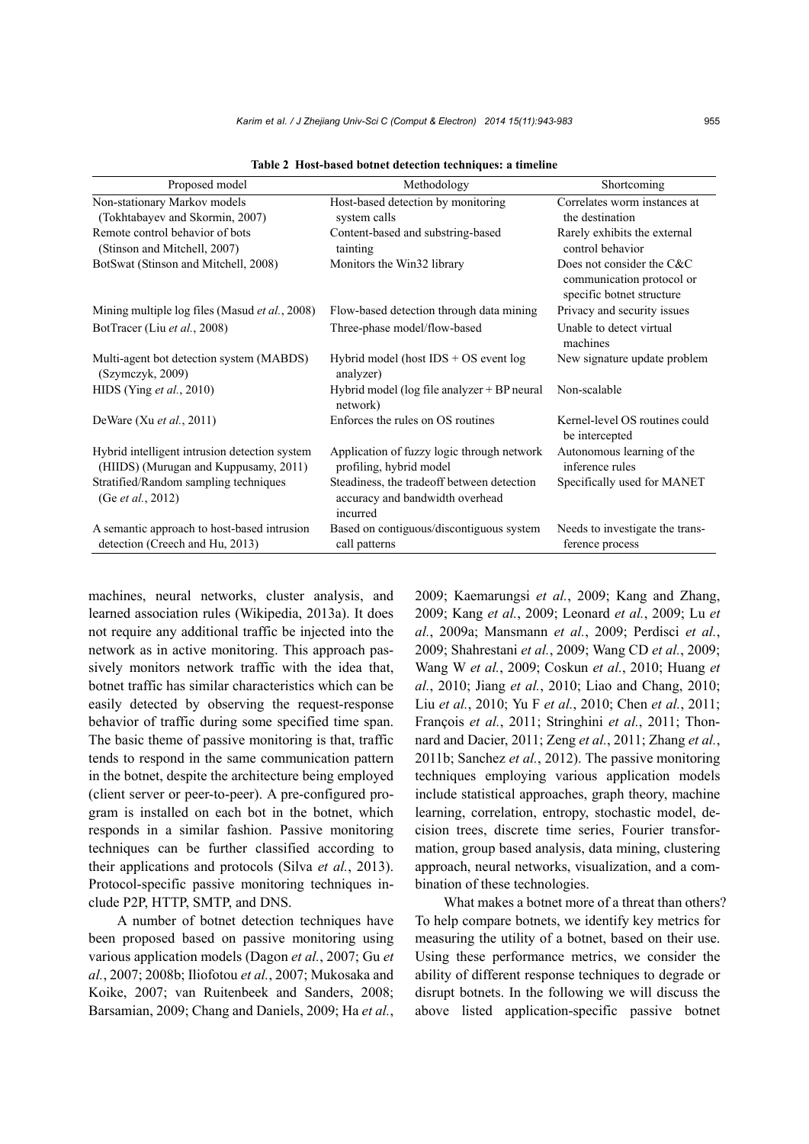| Proposed model                                                                         | Methodology                                                                               | Shortcoming                                                                         |
|----------------------------------------------------------------------------------------|-------------------------------------------------------------------------------------------|-------------------------------------------------------------------------------------|
| Non-stationary Markov models<br>(Tokhtabayev and Skormin, 2007)                        | Host-based detection by monitoring<br>system calls                                        | Correlates worm instances at<br>the destination                                     |
| Remote control behavior of bots<br>(Stinson and Mitchell, 2007)                        | Content-based and substring-based<br>tainting                                             | Rarely exhibits the external<br>control behavior                                    |
| BotSwat (Stinson and Mitchell, 2008)                                                   | Monitors the Win32 library                                                                | Does not consider the C&C<br>communication protocol or<br>specific botnet structure |
| Mining multiple log files (Masud et al., 2008)                                         | Flow-based detection through data mining                                                  | Privacy and security issues                                                         |
| BotTracer (Liu et al., 2008)                                                           | Three-phase model/flow-based                                                              | Unable to detect virtual<br>machines                                                |
| Multi-agent bot detection system (MABDS)<br>(Szymczyk, 2009)                           | Hybrid model (host $IDS + OS$ event log<br>analyzer)                                      | New signature update problem                                                        |
| HIDS (Ying $et al., 2010$ )                                                            | Hybrid model (log file analyzer + BP neural<br>network)                                   | Non-scalable                                                                        |
| DeWare (Xu et al., 2011)                                                               | Enforces the rules on OS routines                                                         | Kernel-level OS routines could<br>be intercepted                                    |
| Hybrid intelligent intrusion detection system<br>(HIIDS) (Murugan and Kuppusamy, 2011) | Application of fuzzy logic through network<br>profiling, hybrid model                     | Autonomous learning of the<br>inference rules                                       |
| Stratified/Random sampling techniques<br>(Ge <i>et al.</i> , 2012)                     | Steadiness, the tradeoff between detection<br>accuracy and bandwidth overhead<br>incurred | Specifically used for MANET                                                         |
| A semantic approach to host-based intrusion<br>detection (Creech and Hu, 2013)         | Based on contiguous/discontiguous system<br>call patterns                                 | Needs to investigate the trans-<br>ference process                                  |

**Table 2 Host-based botnet detection techniques: a timeline** 

machines, neural networks, cluster analysis, and learned association rules (Wikipedia, 2013a). It does not require any additional traffic be injected into the network as in active monitoring. This approach passively monitors network traffic with the idea that, botnet traffic has similar characteristics which can be easily detected by observing the request-response behavior of traffic during some specified time span. The basic theme of passive monitoring is that, traffic tends to respond in the same communication pattern in the botnet, despite the architecture being employed (client server or peer-to-peer). A pre-configured program is installed on each bot in the botnet, which responds in a similar fashion. Passive monitoring techniques can be further classified according to their applications and protocols (Silva *et al.*, 2013). Protocol-specific passive monitoring techniques include P2P, HTTP, SMTP, and DNS.

A number of botnet detection techniques have been proposed based on passive monitoring using various application models (Dagon *et al.*, 2007; Gu *et al.*, 2007; 2008b; Iliofotou *et al.*, 2007; Mukosaka and Koike, 2007; van Ruitenbeek and Sanders, 2008; Barsamian, 2009; Chang and Daniels, 2009; Ha *et al.*,

2009; Kaemarungsi *et al.*, 2009; Kang and Zhang, 2009; Kang *et al.*, 2009; Leonard *et al.*, 2009; Lu *et al.*, 2009a; Mansmann *et al.*, 2009; Perdisci *et al.*, 2009; Shahrestani *et al.*, 2009; Wang CD *et al.*, 2009; Wang W *et al.*, 2009; Coskun *et al.*, 2010; Huang *et al.*, 2010; Jiang *et al.*, 2010; Liao and Chang, 2010; Liu *et al.*, 2010; Yu F *et al.*, 2010; Chen *et al.*, 2011; François *et al.*, 2011; Stringhini *et al.*, 2011; Thonnard and Dacier, 2011; Zeng *et al.*, 2011; Zhang *et al.*, 2011b; Sanchez *et al.*, 2012). The passive monitoring techniques employing various application models include statistical approaches, graph theory, machine learning, correlation, entropy, stochastic model, decision trees, discrete time series, Fourier transformation, group based analysis, data mining, clustering approach, neural networks, visualization, and a combination of these technologies.

What makes a botnet more of a threat than others? To help compare botnets, we identify key metrics for measuring the utility of a botnet, based on their use. Using these performance metrics, we consider the ability of different response techniques to degrade or disrupt botnets. In the following we will discuss the above listed application-specific passive botnet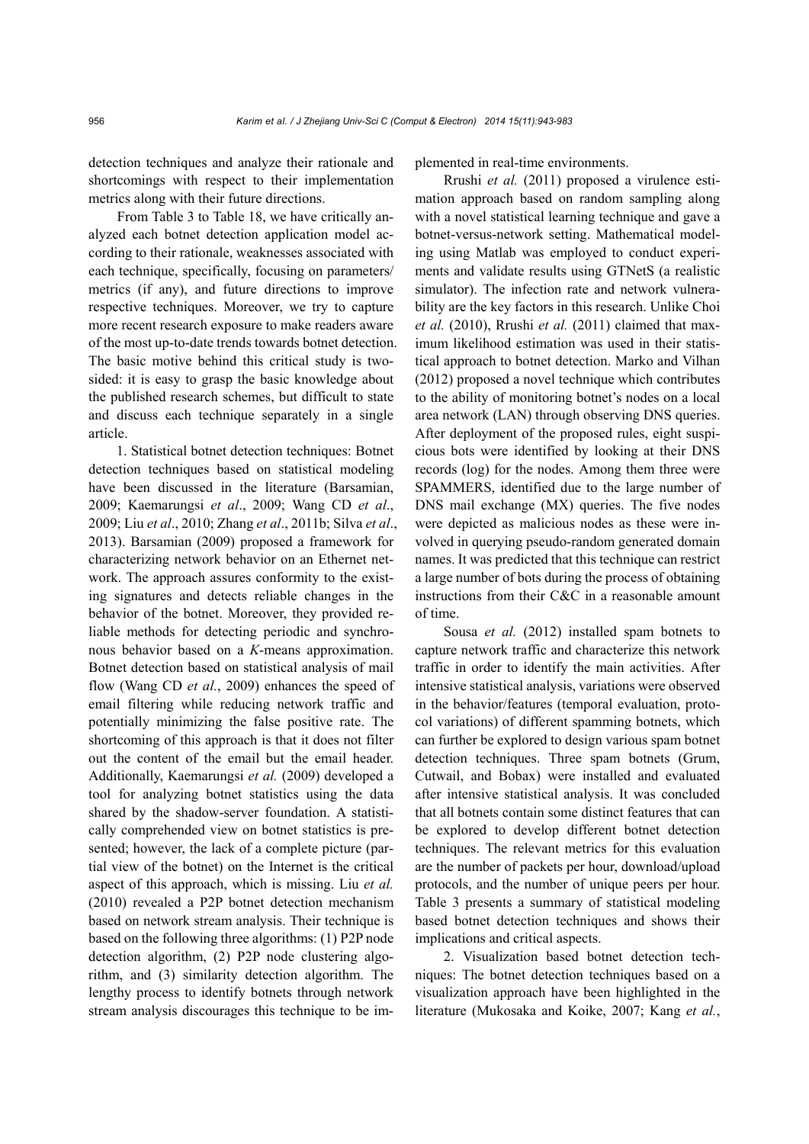detection techniques and analyze their rationale and shortcomings with respect to their implementation metrics along with their future directions.

From Table 3 to Table 18, we have critically analyzed each botnet detection application model according to their rationale, weaknesses associated with each technique, specifically, focusing on parameters/ metrics (if any), and future directions to improve respective techniques. Moreover, we try to capture more recent research exposure to make readers aware of the most up-to-date trends towards botnet detection. The basic motive behind this critical study is twosided: it is easy to grasp the basic knowledge about the published research schemes, but difficult to state and discuss each technique separately in a single article.

1. Statistical botnet detection techniques: Botnet detection techniques based on statistical modeling have been discussed in the literature (Barsamian, 2009; Kaemarungsi *et al*., 2009; Wang CD *et al*., 2009; Liu *et al*., 2010; Zhang *et al*., 2011b; Silva *et al*., 2013). Barsamian (2009) proposed a framework for characterizing network behavior on an Ethernet network. The approach assures conformity to the existing signatures and detects reliable changes in the behavior of the botnet. Moreover, they provided reliable methods for detecting periodic and synchronous behavior based on a *K*-means approximation. Botnet detection based on statistical analysis of mail flow (Wang CD et al., 2009) enhances the speed of email filtering while reducing network traffic and potentially minimizing the false positive rate. The shortcoming of this approach is that it does not filter out the content of the email but the email header. Additionally, Kaemarungsi *et al.* (2009) developed a tool for analyzing botnet statistics using the data shared by the shadow-server foundation. A statistically comprehended view on botnet statistics is presented; however, the lack of a complete picture (partial view of the botnet) on the Internet is the critical aspect of this approach, which is missing. Liu *et al.* (2010) revealed a P2P botnet detection mechanism based on network stream analysis. Their technique is based on the following three algorithms: (1) P2P node detection algorithm, (2) P2P node clustering algorithm, and (3) similarity detection algorithm. The lengthy process to identify botnets through network stream analysis discourages this technique to be implemented in real-time environments.

Rrushi *et al.* (2011) proposed a virulence estimation approach based on random sampling along with a novel statistical learning technique and gave a botnet-versus-network setting. Mathematical modeling using Matlab was employed to conduct experiments and validate results using GTNetS (a realistic simulator). The infection rate and network vulnerability are the key factors in this research. Unlike Choi *et al.* (2010), Rrushi *et al.* (2011) claimed that maximum likelihood estimation was used in their statistical approach to botnet detection. Marko and Vilhan (2012) proposed a novel technique which contributes to the ability of monitoring botnet's nodes on a local area network (LAN) through observing DNS queries. After deployment of the proposed rules, eight suspicious bots were identified by looking at their DNS records (log) for the nodes. Among them three were SPAMMERS, identified due to the large number of DNS mail exchange (MX) queries. The five nodes were depicted as malicious nodes as these were involved in querying pseudo-random generated domain names. It was predicted that this technique can restrict a large number of bots during the process of obtaining instructions from their C&C in a reasonable amount of time.

Sousa *et al.* (2012) installed spam botnets to capture network traffic and characterize this network traffic in order to identify the main activities. After intensive statistical analysis, variations were observed in the behavior/features (temporal evaluation, protocol variations) of different spamming botnets, which can further be explored to design various spam botnet detection techniques. Three spam botnets (Grum, Cutwail, and Bobax) were installed and evaluated after intensive statistical analysis. It was concluded that all botnets contain some distinct features that can be explored to develop different botnet detection techniques. The relevant metrics for this evaluation are the number of packets per hour, download/upload protocols, and the number of unique peers per hour. Table 3 presents a summary of statistical modeling based botnet detection techniques and shows their implications and critical aspects.

2. Visualization based botnet detection techniques: The botnet detection techniques based on a visualization approach have been highlighted in the literature (Mukosaka and Koike, 2007; Kang *et al.*,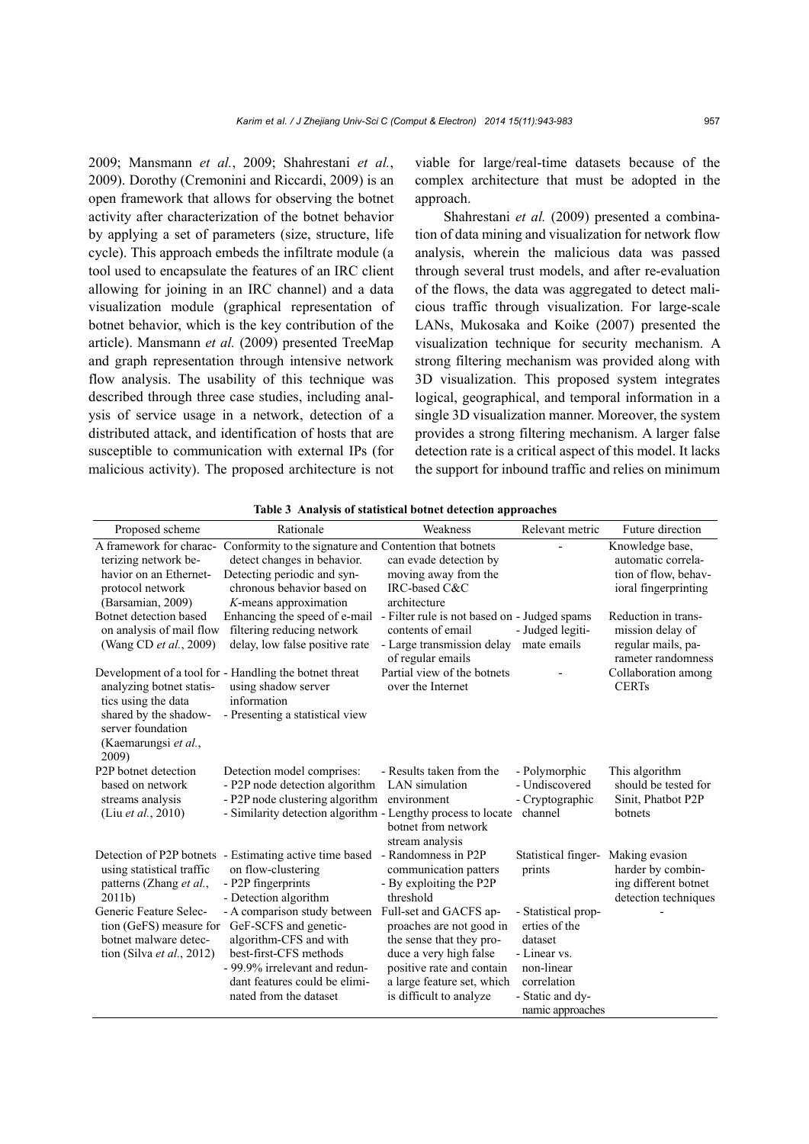2009; Mansmann *et al.*, 2009; Shahrestani *et al.*, 2009). Dorothy (Cremonini and Riccardi, 2009) is an open framework that allows for observing the botnet activity after characterization of the botnet behavior by applying a set of parameters (size, structure, life cycle). This approach embeds the infiltrate module (a tool used to encapsulate the features of an IRC client allowing for joining in an IRC channel) and a data visualization module (graphical representation of botnet behavior, which is the key contribution of the article). Mansmann *et al.* (2009) presented TreeMap and graph representation through intensive network flow analysis. The usability of this technique was described through three case studies, including analysis of service usage in a network, detection of a distributed attack, and identification of hosts that are susceptible to communication with external IPs (for malicious activity). The proposed architecture is not viable for large/real-time datasets because of the complex architecture that must be adopted in the approach.

Shahrestani *et al.* (2009) presented a combination of data mining and visualization for network flow analysis, wherein the malicious data was passed through several trust models, and after re-evaluation of the flows, the data was aggregated to detect malicious traffic through visualization. For large-scale LANs, Mukosaka and Koike (2007) presented the visualization technique for security mechanism. A strong filtering mechanism was provided along with 3D visualization. This proposed system integrates logical, geographical, and temporal information in a single 3D visualization manner. Moreover, the system provides a strong filtering mechanism. A larger false detection rate is a critical aspect of this model. It lacks the support for inbound traffic and relies on minimum

| Proposed scheme                                                                                                                | Rationale                                                                                                                                                                                             | Weakness                                                                                                                                                                                       | Relevant metric                                                                                                                      | Future direction                                                                      |
|--------------------------------------------------------------------------------------------------------------------------------|-------------------------------------------------------------------------------------------------------------------------------------------------------------------------------------------------------|------------------------------------------------------------------------------------------------------------------------------------------------------------------------------------------------|--------------------------------------------------------------------------------------------------------------------------------------|---------------------------------------------------------------------------------------|
| A framework for charac-<br>terizing network be-<br>havior on an Ethernet-<br>protocol network<br>(Barsamian, 2009)             | Conformity to the signature and Contention that botnets<br>detect changes in behavior.<br>Detecting periodic and syn-<br>chronous behavior based on<br>$K$ -means approximation                       | can evade detection by<br>moving away from the<br>IRC-based C&C<br>architecture                                                                                                                |                                                                                                                                      | Knowledge base,<br>automatic correla-<br>tion of flow, behav-<br>ioral fingerprinting |
| Botnet detection based<br>on analysis of mail flow<br>(Wang CD et al., 2009)                                                   | Enhancing the speed of e-mail<br>filtering reducing network<br>delay, low false positive rate                                                                                                         | - Filter rule is not based on - Judged spams<br>contents of email<br>- Large transmission delay mate emails<br>of regular emails                                                               | - Judged legiti-                                                                                                                     | Reduction in trans-<br>mission delay of<br>regular mails, pa-<br>rameter randomness   |
| analyzing botnet statis-<br>tics using the data<br>shared by the shadow-<br>server foundation<br>(Kaemarungsi et al.,<br>2009) | Development of a tool for - Handling the botnet threat<br>using shadow server<br>information<br>- Presenting a statistical view                                                                       | Partial view of the botnets<br>over the Internet                                                                                                                                               |                                                                                                                                      | Collaboration among<br><b>CERTs</b>                                                   |
| P <sub>2</sub> P botnet detection<br>based on network<br>streams analysis<br>(Liu et al., 2010)                                | Detection model comprises:<br>- P2P node detection algorithm<br>- P2P node clustering algorithm environment<br>- Similarity detection algorithm - Lengthy process to locate                           | - Results taken from the<br>LAN simulation<br>botnet from network<br>stream analysis                                                                                                           | - Polymorphic<br>- Undiscovered<br>- Cryptographic<br>channel                                                                        | This algorithm<br>should be tested for<br>Sinit, Phatbot P2P<br>botnets               |
| using statistical traffic<br>patterns (Zhang et al.,<br>2011b)                                                                 | Detection of P2P botnets - Estimating active time based<br>on flow-clustering<br>- P2P fingerprints<br>- Detection algorithm                                                                          | - Randomness in P2P<br>communication patters<br>- By exploiting the P2P<br>threshold                                                                                                           | Statistical finger-<br>prints                                                                                                        | Making evasion<br>harder by combin-<br>ing different botnet<br>detection techniques   |
| Generic Feature Selec-<br>tion (GeFS) measure for<br>botnet malware detec-<br>tion (Silva et al., 2012)                        | - A comparison study between<br>GeF-SCFS and genetic-<br>algorithm-CFS and with<br>best-first-CFS methods<br>- 99.9% irrelevant and redun-<br>dant features could be elimi-<br>nated from the dataset | Full-set and GACFS ap-<br>proaches are not good in<br>the sense that they pro-<br>duce a very high false<br>positive rate and contain<br>a large feature set, which<br>is difficult to analyze | - Statistical prop-<br>erties of the<br>dataset<br>- Linear vs.<br>non-linear<br>correlation<br>- Static and dy-<br>namic approaches |                                                                                       |

**Table 3 Analysis of statistical botnet detection approaches**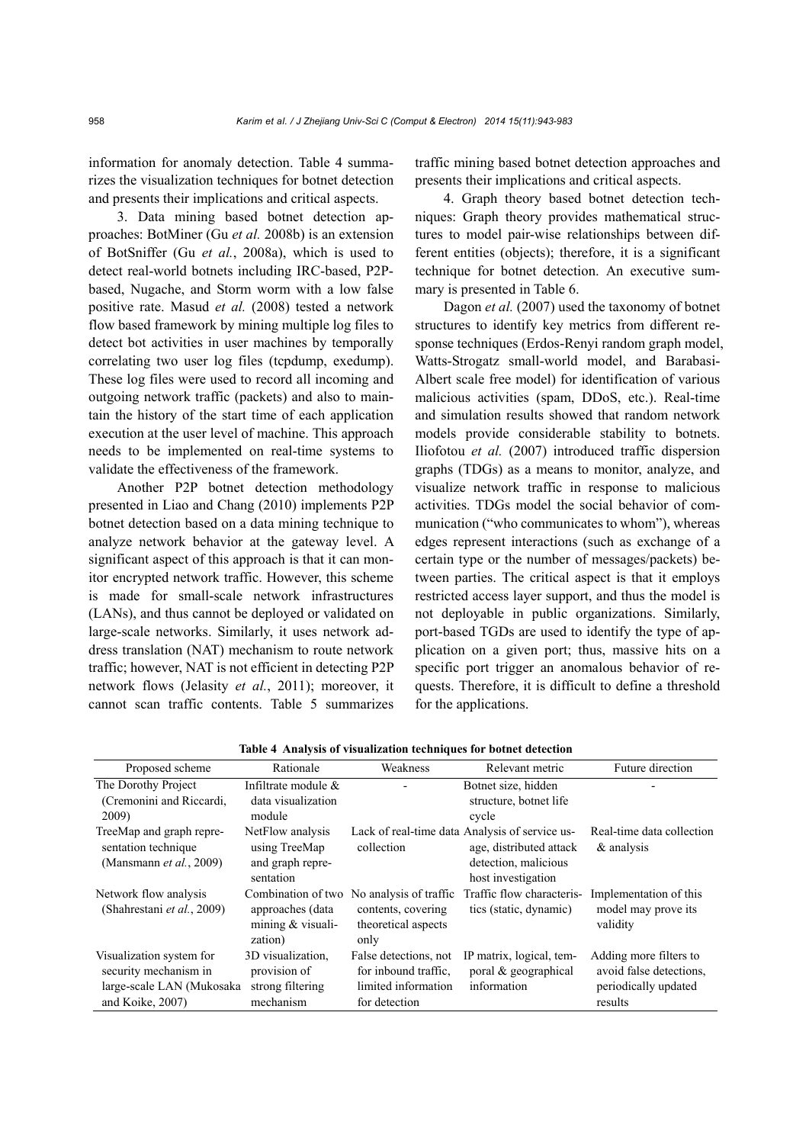information for anomaly detection. Table 4 summarizes the visualization techniques for botnet detection and presents their implications and critical aspects.

3. Data mining based botnet detection approaches: BotMiner (Gu *et al.* 2008b) is an extension of BotSniffer (Gu *et al.*, 2008a), which is used to detect real-world botnets including IRC-based, P2Pbased, Nugache, and Storm worm with a low false positive rate. Masud *et al.* (2008) tested a network flow based framework by mining multiple log files to detect bot activities in user machines by temporally correlating two user log files (tcpdump, exedump). These log files were used to record all incoming and outgoing network traffic (packets) and also to maintain the history of the start time of each application execution at the user level of machine. This approach needs to be implemented on real-time systems to validate the effectiveness of the framework.

Another P2P botnet detection methodology presented in Liao and Chang (2010) implements P2P botnet detection based on a data mining technique to analyze network behavior at the gateway level. A significant aspect of this approach is that it can monitor encrypted network traffic. However, this scheme is made for small-scale network infrastructures (LANs), and thus cannot be deployed or validated on large-scale networks. Similarly, it uses network address translation (NAT) mechanism to route network traffic; however, NAT is not efficient in detecting P2P network flows (Jelasity *et al.*, 2011); moreover, it cannot scan traffic contents. Table 5 summarizes traffic mining based botnet detection approaches and presents their implications and critical aspects.

4. Graph theory based botnet detection techniques: Graph theory provides mathematical structures to model pair-wise relationships between different entities (objects); therefore, it is a significant technique for botnet detection. An executive summary is presented in Table 6.

Dagon *et al.* (2007) used the taxonomy of botnet structures to identify key metrics from different response techniques (Erdos-Renyi random graph model, Watts-Strogatz small-world model, and Barabasi-Albert scale free model) for identification of various malicious activities (spam, DDoS, etc.). Real-time and simulation results showed that random network models provide considerable stability to botnets. Iliofotou *et al.* (2007) introduced traffic dispersion graphs (TDGs) as a means to monitor, analyze, and visualize network traffic in response to malicious activities. TDGs model the social behavior of communication ("who communicates to whom"), whereas edges represent interactions (such as exchange of a certain type or the number of messages/packets) between parties. The critical aspect is that it employs restricted access layer support, and thus the model is not deployable in public organizations. Similarly, port-based TGDs are used to identify the type of application on a given port; thus, massive hits on a specific port trigger an anomalous behavior of requests. Therefore, it is difficult to define a threshold for the applications.

| Proposed scheme                                                                                    | Rationale                                                                | Weakness                                                                              | Relevant metric                                                                                                         | Future direction                                                                     |
|----------------------------------------------------------------------------------------------------|--------------------------------------------------------------------------|---------------------------------------------------------------------------------------|-------------------------------------------------------------------------------------------------------------------------|--------------------------------------------------------------------------------------|
| The Dorothy Project<br>(Cremonini and Riccardi,<br>2009)                                           | Infiltrate module $\&$<br>data visualization<br>module                   |                                                                                       | Botnet size, hidden<br>structure, botnet life<br>cycle                                                                  |                                                                                      |
| TreeMap and graph repre-<br>sentation technique<br>(Mansmann et al., 2009)                         | NetFlow analysis<br>using TreeMap<br>and graph repre-<br>sentation       | collection                                                                            | Lack of real-time data Analysis of service us-<br>age, distributed attack<br>detection, malicious<br>host investigation | Real-time data collection<br>$\&$ analysis                                           |
| Network flow analysis<br>(Shahrestani et al., 2009)                                                | Combination of two<br>approaches (data<br>mining $&$ visuali-<br>zation) | No analysis of traffic<br>contents, covering<br>theoretical aspects<br>only           | Traffic flow characteris-<br>tics (static, dynamic)                                                                     | Implementation of this<br>model may prove its<br>validity                            |
| Visualization system for<br>security mechanism in<br>large-scale LAN (Mukosaka<br>and Koike, 2007) | 3D visualization.<br>provision of<br>strong filtering<br>mechanism       | False detections, not<br>for inbound traffic.<br>limited information<br>for detection | IP matrix, logical, tem-<br>poral & geographical<br>information                                                         | Adding more filters to<br>avoid false detections,<br>periodically updated<br>results |

**Table 4 Analysis of visualization techniques for botnet detection**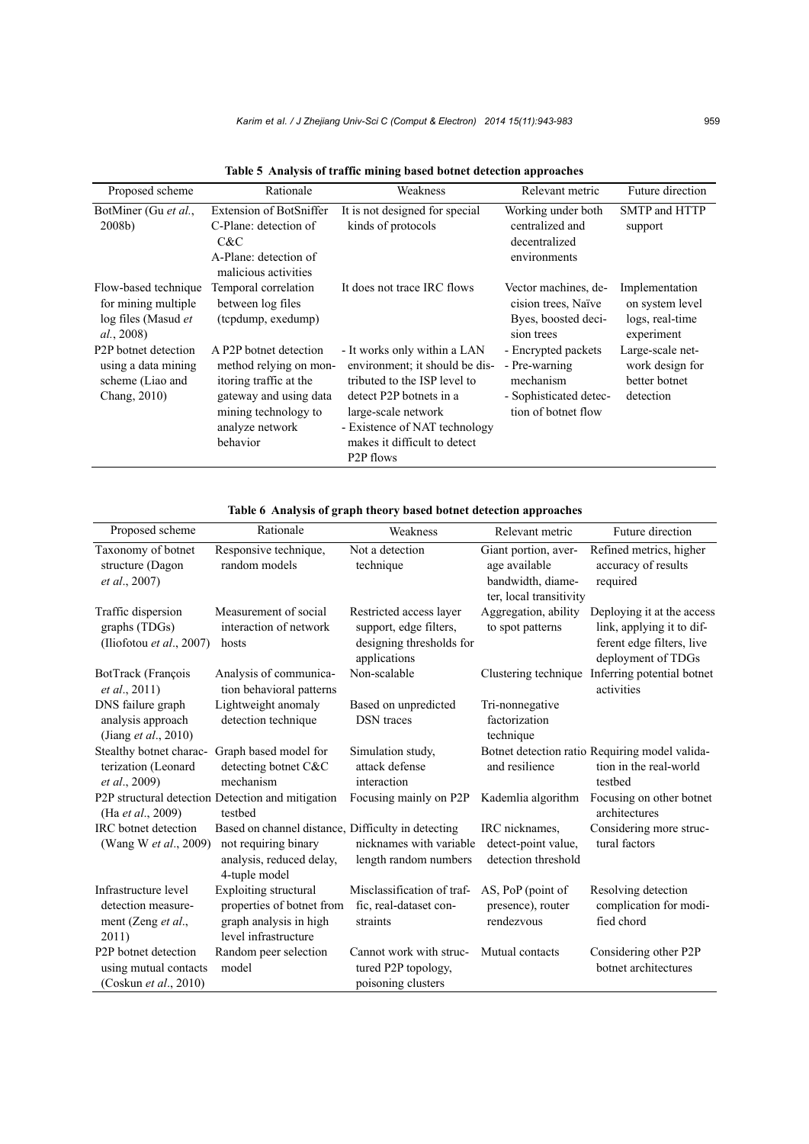| Proposed scheme                                                                              | Rationale                                                                                                                                                   | Weakness                                                                                                                                                                                                                                               | Relevant metric                                                                                    | Future direction                                                   |
|----------------------------------------------------------------------------------------------|-------------------------------------------------------------------------------------------------------------------------------------------------------------|--------------------------------------------------------------------------------------------------------------------------------------------------------------------------------------------------------------------------------------------------------|----------------------------------------------------------------------------------------------------|--------------------------------------------------------------------|
| BotMiner (Gu et al.,<br>2008b)                                                               | <b>Extension of BotSniffer</b><br>C-Plane: detection of<br>C&C<br>A-Plane: detection of<br>malicious activities                                             | It is not designed for special<br>kinds of protocols                                                                                                                                                                                                   | Working under both<br>centralized and<br>decentralized<br>environments                             | <b>SMTP</b> and HTTP<br>support                                    |
| Flow-based technique<br>for mining multiple<br>log files (Masud et<br>al., 2008)             | Temporal correlation<br>between log files<br>(tcpdump, exedump)                                                                                             | It does not trace IRC flows                                                                                                                                                                                                                            | Vector machines, de-<br>cision trees, Naïve<br>Byes, boosted deci-<br>sion trees                   | Implementation<br>on system level<br>logs, real-time<br>experiment |
| P <sub>2</sub> P botnet detection<br>using a data mining<br>scheme (Liao and<br>Chang, 2010) | A P2P botnet detection<br>method relying on mon-<br>itoring traffic at the<br>gateway and using data<br>mining technology to<br>analyze network<br>behavior | - It works only within a LAN<br>environment; it should be dis-<br>tributed to the ISP level to<br>detect P2P botnets in a<br>large-scale network<br>- Existence of NAT technology<br>makes it difficult to detect<br>P <sub>2</sub> P <sub>flows</sub> | - Encrypted packets<br>- Pre-warning<br>mechanism<br>- Sophisticated detec-<br>tion of botnet flow | Large-scale net-<br>work design for<br>better botnet<br>detection  |

**Table 5 Analysis of traffic mining based botnet detection approaches**

|  |  | Table 6 Analysis of graph theory based botnet detection approaches |  |
|--|--|--------------------------------------------------------------------|--|
|  |  |                                                                    |  |

| Proposed scheme                                                                     | Rationale                                                                                                               | Weakness                                                                                      | Relevant metric                                                                       | Future direction                                                                                           |
|-------------------------------------------------------------------------------------|-------------------------------------------------------------------------------------------------------------------------|-----------------------------------------------------------------------------------------------|---------------------------------------------------------------------------------------|------------------------------------------------------------------------------------------------------------|
| Taxonomy of botnet<br>structure (Dagon<br>et al., 2007)                             | Responsive technique,<br>random models                                                                                  | Not a detection<br>technique                                                                  | Giant portion, aver-<br>age available<br>bandwidth, diame-<br>ter, local transitivity | Refined metrics, higher<br>accuracy of results<br>required                                                 |
| Traffic dispersion<br>graphs (TDGs)<br>(Iliofotou et al., 2007)                     | Measurement of social<br>interaction of network<br>hosts                                                                | Restricted access layer<br>support, edge filters,<br>designing thresholds for<br>applications | Aggregation, ability<br>to spot patterns                                              | Deploying it at the access<br>link, applying it to dif-<br>ferent edge filters, live<br>deployment of TDGs |
| BotTrack (François<br><i>et al.</i> , 2011)                                         | Analysis of communica-<br>tion behavioral patterns                                                                      | Non-scalable                                                                                  | Clustering technique                                                                  | Inferring potential botnet<br>activities                                                                   |
| DNS failure graph<br>analysis approach<br>(Jiang et al., 2010)                      | Lightweight anomaly<br>detection technique                                                                              | Based on unpredicted<br><b>DSN</b> traces                                                     | Tri-nonnegative<br>factorization<br>technique                                         |                                                                                                            |
| Stealthy botnet charac-<br>terization (Leonard<br>et al., 2009)                     | Graph based model for<br>detecting botnet C&C<br>mechanism                                                              | Simulation study,<br>attack defense<br>interaction                                            | and resilience                                                                        | Botnet detection ratio Requiring model valida-<br>tion in the real-world<br>testbed                        |
| (Ha et al., 2009)                                                                   | P2P structural detection Detection and mitigation<br>testbed                                                            | Focusing mainly on P2P                                                                        | Kademlia algorithm                                                                    | Focusing on other botnet<br>architectures                                                                  |
| IRC botnet detection<br>(Wang W et al., 2009)                                       | Based on channel distance, Difficulty in detecting<br>not requiring binary<br>analysis, reduced delay,<br>4-tuple model | nicknames with variable<br>length random numbers                                              | IRC nicknames.<br>detect-point value,<br>detection threshold                          | Considering more struc-<br>tural factors                                                                   |
| Infrastructure level<br>detection measure-<br>ment (Zeng et al.,<br>2011)           | <b>Exploiting structural</b><br>properties of botnet from<br>graph analysis in high<br>level infrastructure             | Misclassification of traf-<br>fic, real-dataset con-<br>straints                              | AS, PoP (point of<br>presence), router<br>rendezvous                                  | Resolving detection<br>complication for modi-<br>fied chord                                                |
| P <sub>2</sub> P botnet detection<br>using mutual contacts<br>(Coskun et al., 2010) | Random peer selection<br>model                                                                                          | Cannot work with struc-<br>tured P2P topology,<br>poisoning clusters                          | Mutual contacts                                                                       | Considering other P2P<br>botnet architectures                                                              |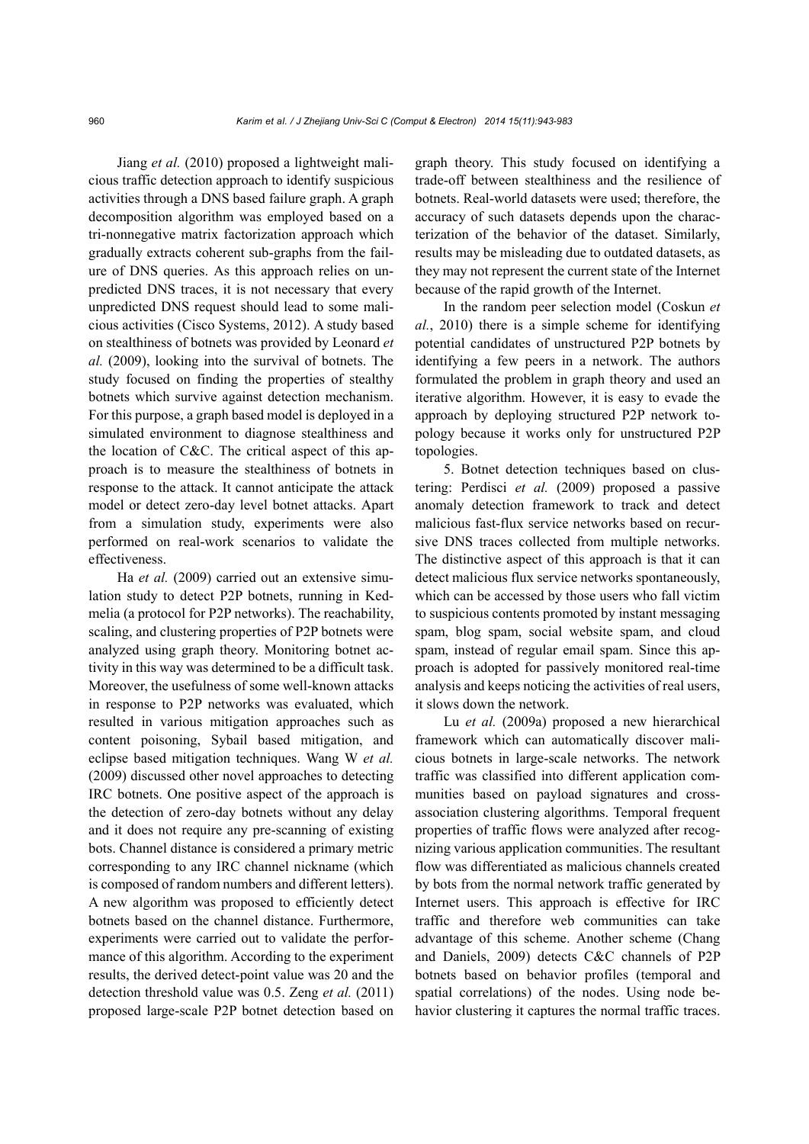Jiang *et al.* (2010) proposed a lightweight malicious traffic detection approach to identify suspicious activities through a DNS based failure graph. A graph decomposition algorithm was employed based on a tri-nonnegative matrix factorization approach which gradually extracts coherent sub-graphs from the failure of DNS queries. As this approach relies on unpredicted DNS traces, it is not necessary that every unpredicted DNS request should lead to some malicious activities (Cisco Systems, 2012). A study based on stealthiness of botnets was provided by Leonard *et al.* (2009), looking into the survival of botnets. The study focused on finding the properties of stealthy botnets which survive against detection mechanism. For this purpose, a graph based model is deployed in a simulated environment to diagnose stealthiness and the location of C&C. The critical aspect of this approach is to measure the stealthiness of botnets in response to the attack. It cannot anticipate the attack model or detect zero-day level botnet attacks. Apart from a simulation study, experiments were also performed on real-work scenarios to validate the effectiveness.

Ha *et al.* (2009) carried out an extensive simulation study to detect P2P botnets, running in Kedmelia (a protocol for P2P networks). The reachability, scaling, and clustering properties of P2P botnets were analyzed using graph theory. Monitoring botnet activity in this way was determined to be a difficult task. Moreover, the usefulness of some well-known attacks in response to P2P networks was evaluated, which resulted in various mitigation approaches such as content poisoning, Sybail based mitigation, and eclipse based mitigation techniques. Wang W *et al.* (2009) discussed other novel approaches to detecting IRC botnets. One positive aspect of the approach is the detection of zero-day botnets without any delay and it does not require any pre-scanning of existing bots. Channel distance is considered a primary metric corresponding to any IRC channel nickname (which is composed of random numbers and different letters). A new algorithm was proposed to efficiently detect botnets based on the channel distance. Furthermore, experiments were carried out to validate the performance of this algorithm. According to the experiment results, the derived detect-point value was 20 and the detection threshold value was 0.5. Zeng *et al.* (2011) proposed large-scale P2P botnet detection based on

graph theory. This study focused on identifying a trade-off between stealthiness and the resilience of botnets. Real-world datasets were used; therefore, the accuracy of such datasets depends upon the characterization of the behavior of the dataset. Similarly, results may be misleading due to outdated datasets, as they may not represent the current state of the Internet because of the rapid growth of the Internet.

In the random peer selection model (Coskun *et al.*, 2010) there is a simple scheme for identifying potential candidates of unstructured P2P botnets by identifying a few peers in a network. The authors formulated the problem in graph theory and used an iterative algorithm. However, it is easy to evade the approach by deploying structured P2P network topology because it works only for unstructured P2P topologies.

5. Botnet detection techniques based on clustering: Perdisci *et al.* (2009) proposed a passive anomaly detection framework to track and detect malicious fast-flux service networks based on recursive DNS traces collected from multiple networks. The distinctive aspect of this approach is that it can detect malicious flux service networks spontaneously, which can be accessed by those users who fall victim to suspicious contents promoted by instant messaging spam, blog spam, social website spam, and cloud spam, instead of regular email spam. Since this approach is adopted for passively monitored real-time analysis and keeps noticing the activities of real users, it slows down the network.

Lu *et al.* (2009a) proposed a new hierarchical framework which can automatically discover malicious botnets in large-scale networks. The network traffic was classified into different application communities based on payload signatures and crossassociation clustering algorithms. Temporal frequent properties of traffic flows were analyzed after recognizing various application communities. The resultant flow was differentiated as malicious channels created by bots from the normal network traffic generated by Internet users. This approach is effective for IRC traffic and therefore web communities can take advantage of this scheme. Another scheme (Chang and Daniels, 2009) detects C&C channels of P2P botnets based on behavior profiles (temporal and spatial correlations) of the nodes. Using node behavior clustering it captures the normal traffic traces.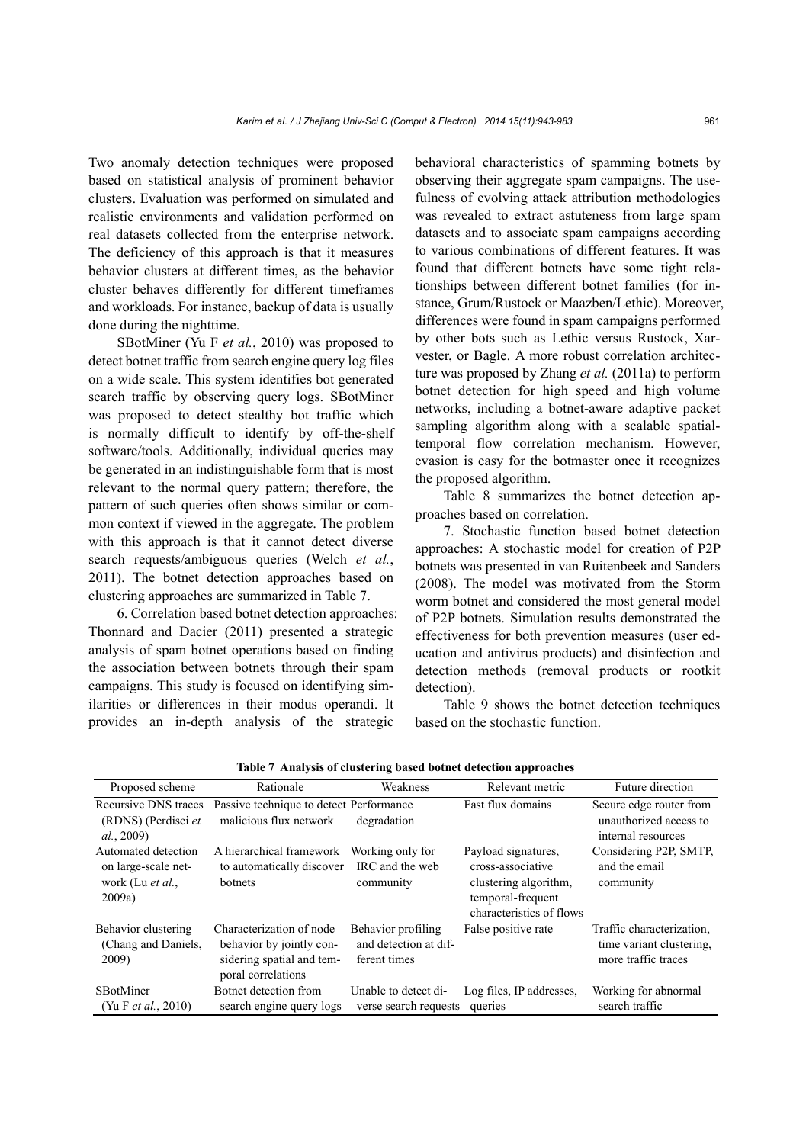Two anomaly detection techniques were proposed based on statistical analysis of prominent behavior clusters. Evaluation was performed on simulated and realistic environments and validation performed on real datasets collected from the enterprise network. The deficiency of this approach is that it measures behavior clusters at different times, as the behavior cluster behaves differently for different timeframes and workloads. For instance, backup of data is usually done during the nighttime.

SBotMiner (Yu F *et al.*, 2010) was proposed to detect botnet traffic from search engine query log files on a wide scale. This system identifies bot generated search traffic by observing query logs. SBotMiner was proposed to detect stealthy bot traffic which is normally difficult to identify by off-the-shelf software/tools. Additionally, individual queries may be generated in an indistinguishable form that is most relevant to the normal query pattern; therefore, the pattern of such queries often shows similar or common context if viewed in the aggregate. The problem with this approach is that it cannot detect diverse search requests/ambiguous queries (Welch *et al.*, 2011). The botnet detection approaches based on clustering approaches are summarized in Table 7.

6. Correlation based botnet detection approaches: Thonnard and Dacier (2011) presented a strategic analysis of spam botnet operations based on finding the association between botnets through their spam campaigns. This study is focused on identifying similarities or differences in their modus operandi. It provides an in-depth analysis of the strategic

behavioral characteristics of spamming botnets by observing their aggregate spam campaigns. The usefulness of evolving attack attribution methodologies was revealed to extract astuteness from large spam datasets and to associate spam campaigns according to various combinations of different features. It was found that different botnets have some tight relationships between different botnet families (for instance, Grum/Rustock or Maazben/Lethic). Moreover, differences were found in spam campaigns performed by other bots such as Lethic versus Rustock, Xarvester, or Bagle. A more robust correlation architecture was proposed by Zhang *et al.* (2011a) to perform botnet detection for high speed and high volume networks, including a botnet-aware adaptive packet sampling algorithm along with a scalable spatialtemporal flow correlation mechanism. However, evasion is easy for the botmaster once it recognizes the proposed algorithm.

Table 8 summarizes the botnet detection approaches based on correlation.

7. Stochastic function based botnet detection approaches: A stochastic model for creation of P2P botnets was presented in van Ruitenbeek and Sanders (2008). The model was motivated from the Storm worm botnet and considered the most general model of P2P botnets. Simulation results demonstrated the effectiveness for both prevention measures (user education and antivirus products) and disinfection and detection methods (removal products or rootkit detection).

Table 9 shows the botnet detection techniques based on the stochastic function.

| Proposed scheme                                                          | Rationale                                                                                               | Weakness                                                    | Relevant metric                                                                                                    | Future direction                                                             |
|--------------------------------------------------------------------------|---------------------------------------------------------------------------------------------------------|-------------------------------------------------------------|--------------------------------------------------------------------------------------------------------------------|------------------------------------------------------------------------------|
| Recursive DNS traces<br>(RDNS) (Perdisci et<br>al., 2009)                | Passive technique to detect Performance<br>malicious flux network                                       | degradation                                                 | Fast flux domains                                                                                                  | Secure edge router from<br>unauthorized access to<br>internal resources      |
| Automated detection<br>on large-scale net-<br>work (Lu et al.,<br>2009a) | A hierarchical framework<br>to automatically discover<br><b>botnets</b>                                 | Working only for<br>IRC and the web<br>community            | Payload signatures,<br>cross-associative<br>clustering algorithm,<br>temporal-frequent<br>characteristics of flows | Considering P2P, SMTP.<br>and the email<br>community                         |
| Behavior clustering<br>(Chang and Daniels,<br>2009)                      | Characterization of node<br>behavior by jointly con-<br>sidering spatial and tem-<br>poral correlations | Behavior profiling<br>and detection at dif-<br>ferent times | False positive rate                                                                                                | Traffic characterization.<br>time variant clustering,<br>more traffic traces |
| <b>SBotMiner</b><br>$(Yu \nvert \nvert s t a l., 2010)$                  | Botnet detection from<br>search engine query logs                                                       | Unable to detect di-<br>verse search requests               | Log files, IP addresses,<br>queries                                                                                | Working for abnormal<br>search traffic                                       |

**Table 7 Analysis of clustering based botnet detection approaches**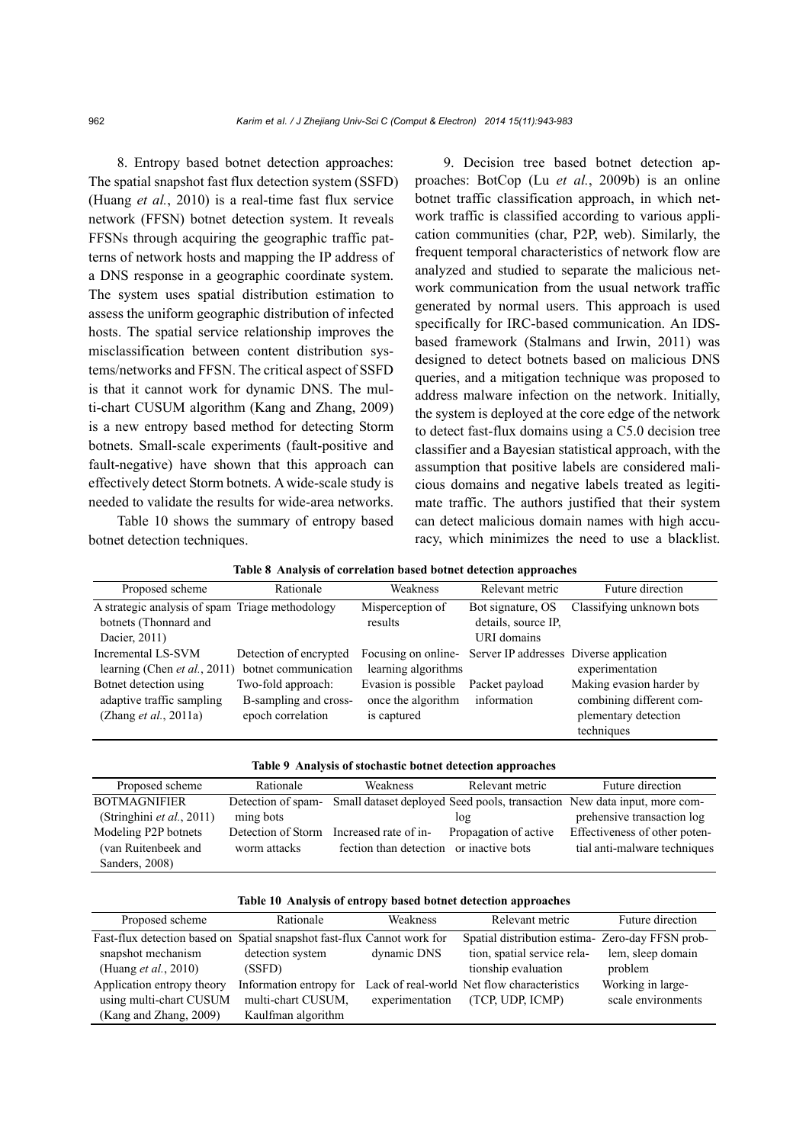8. Entropy based botnet detection approaches: The spatial snapshot fast flux detection system (SSFD) (Huang *et al.*, 2010) is a real-time fast flux service network (FFSN) botnet detection system. It reveals FFSNs through acquiring the geographic traffic patterns of network hosts and mapping the IP address of a DNS response in a geographic coordinate system. The system uses spatial distribution estimation to assess the uniform geographic distribution of infected hosts. The spatial service relationship improves the misclassification between content distribution systems/networks and FFSN. The critical aspect of SSFD is that it cannot work for dynamic DNS. The multi-chart CUSUM algorithm (Kang and Zhang, 2009) is a new entropy based method for detecting Storm botnets. Small-scale experiments (fault-positive and fault-negative) have shown that this approach can effectively detect Storm botnets. A wide-scale study is needed to validate the results for wide-area networks.

Table 10 shows the summary of entropy based botnet detection techniques.

9. Decision tree based botnet detection approaches: BotCop (Lu *et al.*, 2009b) is an online botnet traffic classification approach, in which network traffic is classified according to various application communities (char, P2P, web). Similarly, the frequent temporal characteristics of network flow are analyzed and studied to separate the malicious network communication from the usual network traffic generated by normal users. This approach is used specifically for IRC-based communication. An IDSbased framework (Stalmans and Irwin, 2011) was designed to detect botnets based on malicious DNS queries, and a mitigation technique was proposed to address malware infection on the network. Initially, the system is deployed at the core edge of the network to detect fast-flux domains using a C5.0 decision tree classifier and a Bayesian statistical approach, with the assumption that positive labels are considered malicious domains and negative labels treated as legitimate traffic. The authors justified that their system can detect malicious domain names with high accuracy, which minimizes the need to use a blacklist.

| Proposed scheme                                                                      | Rationale                                                        | Weakness                                                   | Relevant metric               | Future direction                                                                           |
|--------------------------------------------------------------------------------------|------------------------------------------------------------------|------------------------------------------------------------|-------------------------------|--------------------------------------------------------------------------------------------|
| A strategic analysis of spam Triage methodology                                      |                                                                  | Misperception of                                           | Bot signature, OS             | Classifying unknown bots                                                                   |
| botnets (Thonnard and                                                                |                                                                  | results                                                    | details, source IP.           |                                                                                            |
| Dacier, 2011)                                                                        |                                                                  |                                                            | URI domains                   |                                                                                            |
| Incremental LS-SVM                                                                   | Detection of encrypted                                           | Focusing on online-Server IP addresses Diverse application |                               |                                                                                            |
| learning (Chen et al., 2011) botnet communication                                    |                                                                  | learning algorithms                                        |                               | experimentation                                                                            |
| Botnet detection using<br>adaptive traffic sampling<br>(Zhang <i>et al.</i> , 2011a) | Two-fold approach:<br>B-sampling and cross-<br>epoch correlation | Evasion is possible<br>once the algorithm<br>is captured   | Packet payload<br>information | Making evasion harder by<br>combining different com-<br>plementary detection<br>techniques |

|  | Table 8 Analysis of correlation based botnet detection approaches |  |
|--|-------------------------------------------------------------------|--|
|  |                                                                   |  |

**Table 9 Analysis of stochastic botnet detection approaches**

| Proposed scheme                   | Rationale          | Weakness                                | Relevant metric       | Future direction                                                         |
|-----------------------------------|--------------------|-----------------------------------------|-----------------------|--------------------------------------------------------------------------|
| <b>BOTMAGNIFIER</b>               | Detection of spam- |                                         |                       | Small dataset deployed Seed pools, transaction New data input, more com- |
| (Stringhini <i>et al.</i> , 2011) | ming bots          |                                         | log                   | prehensive transaction log                                               |
| Modeling P2P botnets              | Detection of Storm | Increased rate of in-                   | Propagation of active | Effectiveness of other poten-                                            |
| (van Ruitenbeek and               | worm attacks       | fection than detection or inactive bots |                       | tial anti-malware techniques                                             |
| Sanders, 2008)                    |                    |                                         |                       |                                                                          |

|  |  | Table 10 Analysis of entropy based botnet detection approaches |
|--|--|----------------------------------------------------------------|
|  |  |                                                                |

| Proposed scheme                                                         | Rationale               | Weakness        | Relevant metric                                  | Future direction   |
|-------------------------------------------------------------------------|-------------------------|-----------------|--------------------------------------------------|--------------------|
| Fast-flux detection based on Spatial snapshot fast-flux Cannot work for |                         |                 | Spatial distribution estima- Zero-day FFSN prob- |                    |
| snapshot mechanism                                                      | detection system        | dynamic DNS     | tion, spatial service rela-                      | lem, sleep domain  |
| (Huang <i>et al.</i> , 2010)                                            | (SSFD)                  |                 | tionship evaluation                              | problem            |
| Application entropy theory                                              | Information entropy for |                 | Lack of real-world Net flow characteristics      | Working in large-  |
| using multi-chart CUSUM                                                 | multi-chart CUSUM,      | experimentation | (TCP, UDP, ICMP)                                 | scale environments |
| (Kang and Zhang, 2009)                                                  | Kaulfman algorithm      |                 |                                                  |                    |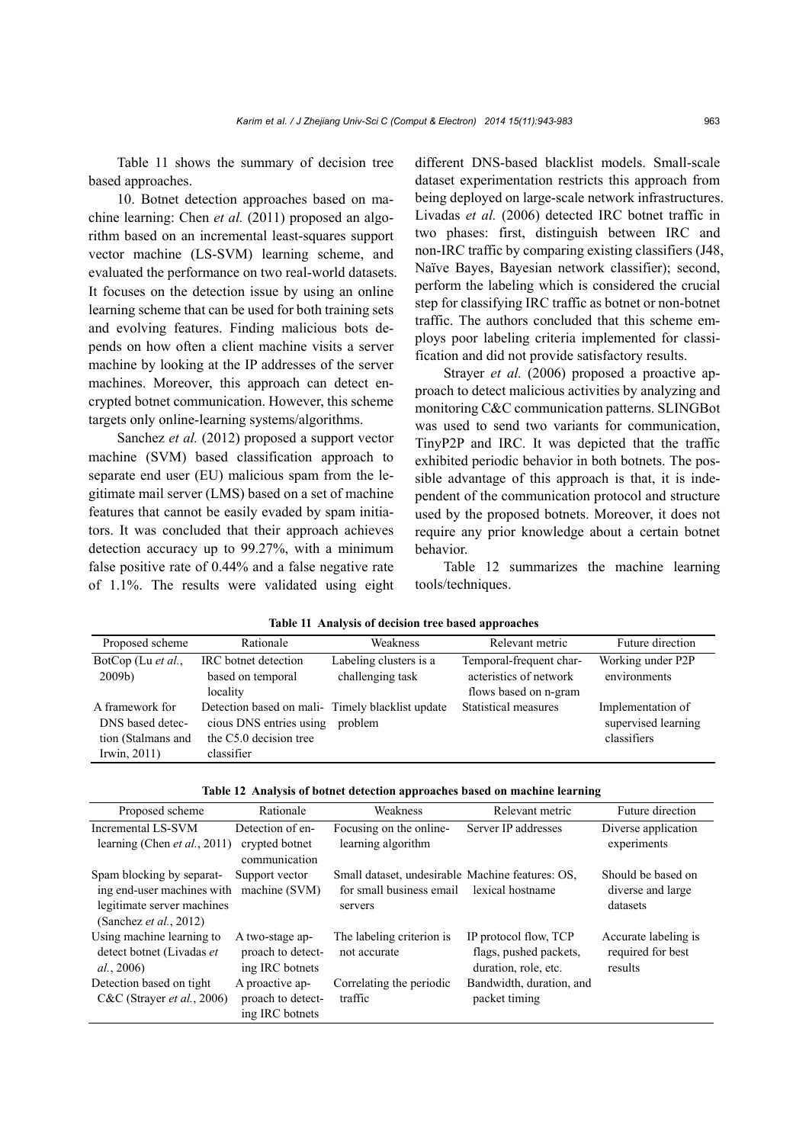Table 11 shows the summary of decision tree based approaches.

10. Botnet detection approaches based on machine learning: Chen *et al.* (2011) proposed an algorithm based on an incremental least-squares support vector machine (LS-SVM) learning scheme, and evaluated the performance on two real-world datasets. It focuses on the detection issue by using an online learning scheme that can be used for both training sets and evolving features. Finding malicious bots depends on how often a client machine visits a server machine by looking at the IP addresses of the server machines. Moreover, this approach can detect encrypted botnet communication. However, this scheme targets only online-learning systems/algorithms.

Sanchez *et al.* (2012) proposed a support vector machine (SVM) based classification approach to separate end user (EU) malicious spam from the legitimate mail server (LMS) based on a set of machine features that cannot be easily evaded by spam initiators. It was concluded that their approach achieves detection accuracy up to 99.27%, with a minimum false positive rate of 0.44% and a false negative rate of 1.1%. The results were validated using eight different DNS-based blacklist models. Small-scale dataset experimentation restricts this approach from being deployed on large-scale network infrastructures. Livadas *et al.* (2006) detected IRC botnet traffic in two phases: first, distinguish between IRC and non-IRC traffic by comparing existing classifiers (J48, Naïve Bayes, Bayesian network classifier); second, perform the labeling which is considered the crucial step for classifying IRC traffic as botnet or non-botnet traffic. The authors concluded that this scheme employs poor labeling criteria implemented for classification and did not provide satisfactory results.

Strayer *et al.* (2006) proposed a proactive approach to detect malicious activities by analyzing and monitoring C&C communication patterns. SLINGBot was used to send two variants for communication, TinyP2P and IRC. It was depicted that the traffic exhibited periodic behavior in both botnets. The possible advantage of this approach is that, it is independent of the communication protocol and structure used by the proposed botnets. Moreover, it does not require any prior knowledge about a certain botnet behavior.

Table 12 summarizes the machine learning tools/techniques.

| Proposed scheme                                                              | Rationale                                                                                                           | Weakness                                   | Relevant metric                                                            | Future direction                                        |
|------------------------------------------------------------------------------|---------------------------------------------------------------------------------------------------------------------|--------------------------------------------|----------------------------------------------------------------------------|---------------------------------------------------------|
| $BotCop$ (Lu <i>et al.</i> ,<br>$2009b$ )                                    | IRC botnet detection<br>based on temporal<br>locality                                                               | Labeling clusters is a<br>challenging task | Temporal-frequent char-<br>acteristics of network<br>flows based on n-gram | Working under P2P<br>environments                       |
| A framework for<br>DNS based detec-<br>tion (Stalmans and<br>Irwin, $2011$ ) | Detection based on mali- Timely blacklist update<br>cious DNS entries using<br>the C5.0 decision tree<br>classifier | problem                                    | Statistical measures                                                       | Implementation of<br>supervised learning<br>classifiers |

|  |  |  |  | Table 11 Analysis of decision tree based approaches |
|--|--|--|--|-----------------------------------------------------|
|--|--|--|--|-----------------------------------------------------|

|  |  | Table 12 Analysis of botnet detection approaches based on machine learning |  |  |
|--|--|----------------------------------------------------------------------------|--|--|
|  |  |                                                                            |  |  |

| Proposed scheme                                                                                                         | Rationale                                               | Weakness                                                                                | Relevant metric                                                         | Future direction                                     |
|-------------------------------------------------------------------------------------------------------------------------|---------------------------------------------------------|-----------------------------------------------------------------------------------------|-------------------------------------------------------------------------|------------------------------------------------------|
| Incremental LS-SVM<br>learning (Chen <i>et al.</i> , 2011)                                                              | Detection of en-<br>crypted botnet<br>communication     | Focusing on the online-<br>learning algorithm                                           | Server IP addresses                                                     | Diverse application<br>experiments                   |
| Spam blocking by separat-<br>ing end-user machines with<br>legitimate server machines<br>(Sanchez <i>et al.</i> , 2012) | Support vector<br>machine (SVM)                         | Small dataset, undesirable Machine features: OS,<br>for small business email<br>servers | lexical hostname                                                        | Should be based on<br>diverse and large<br>datasets  |
| Using machine learning to<br>detect botnet (Livadas et<br>al., 2006                                                     | A two-stage ap-<br>proach to detect-<br>ing IRC botnets | The labeling criterion is<br>not accurate                                               | IP protocol flow, TCP<br>flags, pushed packets,<br>duration, role, etc. | Accurate labeling is<br>required for best<br>results |
| Detection based on tight<br>$C&C$ (Strayer <i>et al.</i> , 2006)                                                        | A proactive ap-<br>proach to detect-<br>ing IRC botnets | Correlating the periodic<br>traffic                                                     | Bandwidth, duration, and<br>packet timing                               |                                                      |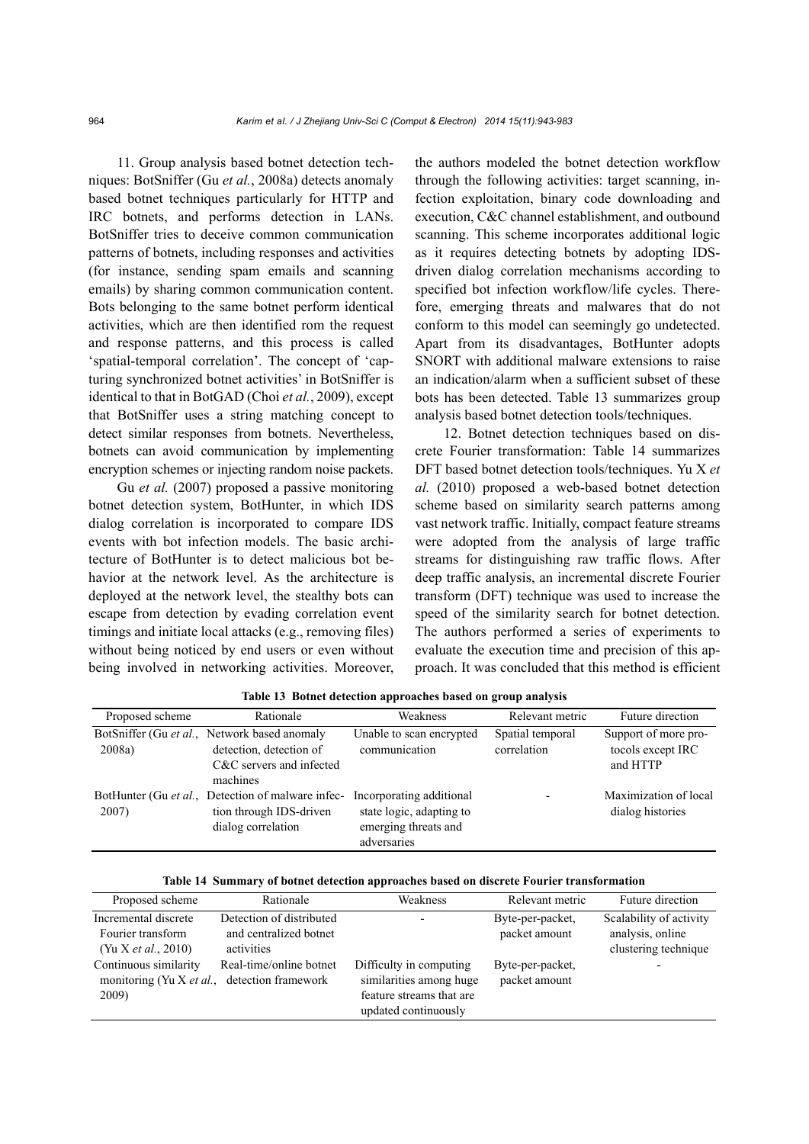11. Group analysis based botnet detection techniques: BotSniffer (Gu *et al.*, 2008a) detects anomaly based botnet techniques particularly for HTTP and IRC botnets, and performs detection in LANs. BotSniffer tries to deceive common communication patterns of botnets, including responses and activities (for instance, sending spam emails and scanning emails) by sharing common communication content. Bots belonging to the same botnet perform identical activities, which are then identified rom the request and response patterns, and this process is called 'spatial-temporal correlation'. The concept of 'capturing synchronized botnet activities' in BotSniffer is identical to that in BotGAD (Choi *et al.*, 2009), except that BotSniffer uses a string matching concept to detect similar responses from botnets. Nevertheless, botnets can avoid communication by implementing encryption schemes or injecting random noise packets.

Gu *et al.* (2007) proposed a passive monitoring botnet detection system, BotHunter, in which IDS dialog correlation is incorporated to compare IDS events with bot infection models. The basic architecture of BotHunter is to detect malicious bot behavior at the network level. As the architecture is deployed at the network level, the stealthy bots can escape from detection by evading correlation event timings and initiate local attacks (e.g., removing files) without being noticed by end users or even without being involved in networking activities. Moreover, the authors modeled the botnet detection workflow through the following activities: target scanning, infection exploitation, binary code downloading and execution, C&C channel establishment, and outbound scanning. This scheme incorporates additional logic as it requires detecting botnets by adopting IDSdriven dialog correlation mechanisms according to specified bot infection workflow/life cycles. Therefore, emerging threats and malwares that do not conform to this model can seemingly go undetected. Apart from its disadvantages, BotHunter adopts SNORT with additional malware extensions to raise an indication/alarm when a sufficient subset of these bots has been detected. Table 13 summarizes group analysis based botnet detection tools/techniques.

12. Botnet detection techniques based on discrete Fourier transformation: Table 14 summarizes DFT based botnet detection tools/techniques. Yu X *et al.* (2010) proposed a web-based botnet detection scheme based on similarity search patterns among vast network traffic. Initially, compact feature streams were adopted from the analysis of large traffic streams for distinguishing raw traffic flows. After deep traffic analysis, an incremental discrete Fourier transform (DFT) technique was used to increase the speed of the similarity search for botnet detection. The authors performed a series of experiments to evaluate the execution time and precision of this approach. It was concluded that this method is efficient

| Proposed scheme | Rationale                                                                                                       | Weakness                                                                                    | Relevant metric                 | Future direction                                      |
|-----------------|-----------------------------------------------------------------------------------------------------------------|---------------------------------------------------------------------------------------------|---------------------------------|-------------------------------------------------------|
| 2008a)          | BotSniffer (Gu et al., Network based anomaly<br>detection, detection of<br>C&C servers and infected<br>machines | Unable to scan encrypted<br>communication                                                   | Spatial temporal<br>correlation | Support of more pro-<br>tocols except IRC<br>and HTTP |
| 2007)           | BotHunter (Gu et al., Detection of malware infec-<br>tion through IDS-driven<br>dialog correlation              | Incorporating additional<br>state logic, adapting to<br>emerging threats and<br>adversaries | $\overline{\phantom{0}}$        | Maximization of local<br>dialog histories             |

**Table 13 Botnet detection approaches based on group analysis** 

|  |  |  |  |  | Table 14 Summary of botnet detection approaches based on discrete Fourier transformation |
|--|--|--|--|--|------------------------------------------------------------------------------------------|
|--|--|--|--|--|------------------------------------------------------------------------------------------|

| Proposed scheme                                                  | Rationale                                                                       | Weakness                                                                                               | Relevant metric                   | Future direction                                                    |
|------------------------------------------------------------------|---------------------------------------------------------------------------------|--------------------------------------------------------------------------------------------------------|-----------------------------------|---------------------------------------------------------------------|
| Incremental discrete<br>Fourier transform<br>(Yu X et al., 2010) | Detection of distributed<br>and centralized botnet<br>activities                |                                                                                                        | Byte-per-packet,<br>packet amount | Scalability of activity<br>analysis, online<br>clustering technique |
| Continuous similarity<br>2009)                                   | Real-time/online botnet<br>monitoring (Yu X <i>et al.</i> , detection framework | Difficulty in computing<br>similarities among huge<br>feature streams that are<br>updated continuously | Byte-per-packet,<br>packet amount | $\overline{\phantom{0}}$                                            |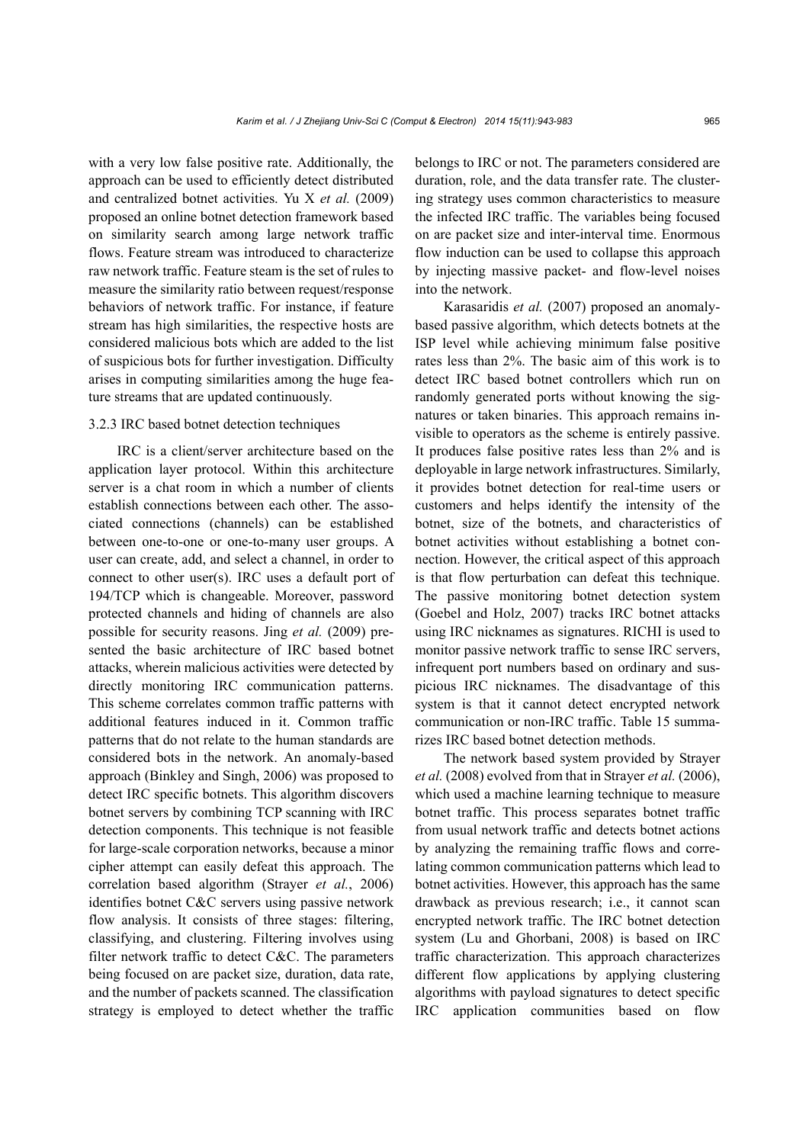with a very low false positive rate. Additionally, the approach can be used to efficiently detect distributed and centralized botnet activities. Yu X *et al.* (2009) proposed an online botnet detection framework based on similarity search among large network traffic flows. Feature stream was introduced to characterize raw network traffic. Feature steam is the set of rules to measure the similarity ratio between request/response behaviors of network traffic. For instance, if feature stream has high similarities, the respective hosts are considered malicious bots which are added to the list of suspicious bots for further investigation. Difficulty arises in computing similarities among the huge feature streams that are updated continuously.

#### 3.2.3 IRC based botnet detection techniques

IRC is a client/server architecture based on the application layer protocol. Within this architecture server is a chat room in which a number of clients establish connections between each other. The associated connections (channels) can be established between one-to-one or one-to-many user groups. A user can create, add, and select a channel, in order to connect to other user(s). IRC uses a default port of 194/TCP which is changeable. Moreover, password protected channels and hiding of channels are also possible for security reasons. Jing *et al.* (2009) presented the basic architecture of IRC based botnet attacks, wherein malicious activities were detected by directly monitoring IRC communication patterns. This scheme correlates common traffic patterns with additional features induced in it. Common traffic patterns that do not relate to the human standards are considered bots in the network. An anomaly-based approach (Binkley and Singh, 2006) was proposed to detect IRC specific botnets. This algorithm discovers botnet servers by combining TCP scanning with IRC detection components. This technique is not feasible for large-scale corporation networks, because a minor cipher attempt can easily defeat this approach. The correlation based algorithm (Strayer *et al.*, 2006) identifies botnet C&C servers using passive network flow analysis. It consists of three stages: filtering, classifying, and clustering. Filtering involves using filter network traffic to detect C&C. The parameters being focused on are packet size, duration, data rate, and the number of packets scanned. The classification strategy is employed to detect whether the traffic belongs to IRC or not. The parameters considered are duration, role, and the data transfer rate. The clustering strategy uses common characteristics to measure the infected IRC traffic. The variables being focused on are packet size and inter-interval time. Enormous flow induction can be used to collapse this approach by injecting massive packet- and flow-level noises into the network.

Karasaridis *et al.* (2007) proposed an anomalybased passive algorithm, which detects botnets at the ISP level while achieving minimum false positive rates less than 2%. The basic aim of this work is to detect IRC based botnet controllers which run on randomly generated ports without knowing the signatures or taken binaries. This approach remains invisible to operators as the scheme is entirely passive. It produces false positive rates less than 2% and is deployable in large network infrastructures. Similarly, it provides botnet detection for real-time users or customers and helps identify the intensity of the botnet, size of the botnets, and characteristics of botnet activities without establishing a botnet connection. However, the critical aspect of this approach is that flow perturbation can defeat this technique. The passive monitoring botnet detection system (Goebel and Holz, 2007) tracks IRC botnet attacks using IRC nicknames as signatures. RICHI is used to monitor passive network traffic to sense IRC servers, infrequent port numbers based on ordinary and suspicious IRC nicknames. The disadvantage of this system is that it cannot detect encrypted network communication or non-IRC traffic. Table 15 summarizes IRC based botnet detection methods.

The network based system provided by Strayer *et al.* (2008) evolved from that in Strayer *et al.* (2006), which used a machine learning technique to measure botnet traffic. This process separates botnet traffic from usual network traffic and detects botnet actions by analyzing the remaining traffic flows and correlating common communication patterns which lead to botnet activities. However, this approach has the same drawback as previous research; i.e., it cannot scan encrypted network traffic. The IRC botnet detection system (Lu and Ghorbani, 2008) is based on IRC traffic characterization. This approach characterizes different flow applications by applying clustering algorithms with payload signatures to detect specific IRC application communities based on flow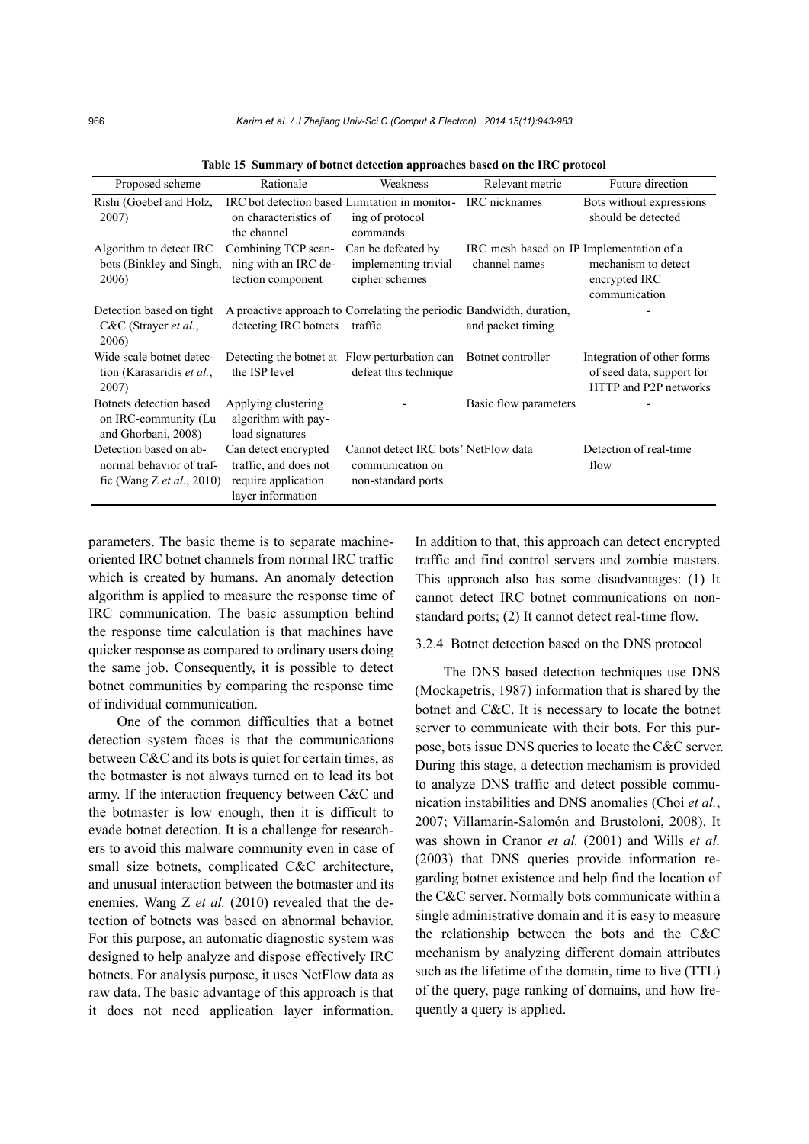| Proposed scheme                                                                 | Rationale                                                                                 | Weakness                                                                         | Relevant metric                                           | Future direction                                                                 |
|---------------------------------------------------------------------------------|-------------------------------------------------------------------------------------------|----------------------------------------------------------------------------------|-----------------------------------------------------------|----------------------------------------------------------------------------------|
| Rishi (Goebel and Holz,<br>2007)                                                | IRC bot detection based Limitation in monitor-<br>on characteristics of<br>the channel    | ing of protocol<br>commands                                                      | IRC nicknames                                             | Bots without expressions<br>should be detected                                   |
| Algorithm to detect IRC<br>bots (Binkley and Singh,<br>2006)                    | Combining TCP scan-<br>ning with an IRC de-<br>tection component                          | Can be defeated by<br>implementing trivial<br>cipher schemes                     | IRC mesh based on IP Implementation of a<br>channel names | mechanism to detect<br>encrypted IRC<br>communication                            |
| Detection based on tight<br>C&C (Strayer <i>et al.</i> ,<br>2006)               | detecting IRC botnets                                                                     | A proactive approach to Correlating the periodic Bandwidth, duration,<br>traffic | and packet timing                                         |                                                                                  |
| Wide scale botnet detec-<br>tion (Karasaridis et al.,<br>2007)                  | Detecting the botnet at Flow perturbation can<br>the ISP level                            | defeat this technique                                                            | Botnet controller                                         | Integration of other forms<br>of seed data, support for<br>HTTP and P2P networks |
| Botnets detection based<br>on IRC-community (Lu<br>and Ghorbani, 2008)          | Applying clustering<br>algorithm with pay-<br>load signatures                             |                                                                                  | Basic flow parameters                                     |                                                                                  |
| Detection based on ab-<br>normal behavior of traf-<br>fic (Wang Z et al., 2010) | Can detect encrypted<br>traffic, and does not<br>require application<br>layer information | Cannot detect IRC bots' NetFlow data<br>communication on<br>non-standard ports   |                                                           | Detection of real-time<br>flow                                                   |

**Table 15 Summary of botnet detection approaches based on the IRC protocol** 

parameters. The basic theme is to separate machineoriented IRC botnet channels from normal IRC traffic which is created by humans. An anomaly detection algorithm is applied to measure the response time of IRC communication. The basic assumption behind the response time calculation is that machines have quicker response as compared to ordinary users doing the same job. Consequently, it is possible to detect botnet communities by comparing the response time of individual communication.

One of the common difficulties that a botnet detection system faces is that the communications between C&C and its bots is quiet for certain times, as the botmaster is not always turned on to lead its bot army. If the interaction frequency between C&C and the botmaster is low enough, then it is difficult to evade botnet detection. It is a challenge for researchers to avoid this malware community even in case of small size botnets, complicated C&C architecture, and unusual interaction between the botmaster and its enemies. Wang Z *et al.* (2010) revealed that the detection of botnets was based on abnormal behavior. For this purpose, an automatic diagnostic system was designed to help analyze and dispose effectively IRC botnets. For analysis purpose, it uses NetFlow data as raw data. The basic advantage of this approach is that it does not need application layer information.

In addition to that, this approach can detect encrypted traffic and find control servers and zombie masters. This approach also has some disadvantages: (1) It cannot detect IRC botnet communications on nonstandard ports; (2) It cannot detect real-time flow.

#### 3.2.4 Botnet detection based on the DNS protocol

The DNS based detection techniques use DNS (Mockapetris, 1987) information that is shared by the botnet and C&C. It is necessary to locate the botnet server to communicate with their bots. For this purpose, bots issue DNS queries to locate the C&C server. During this stage, a detection mechanism is provided to analyze DNS traffic and detect possible communication instabilities and DNS anomalies (Choi *et al.*, 2007; Villamarín-Salomón and Brustoloni, 2008). It was shown in Cranor *et al.* (2001) and Wills *et al.* (2003) that DNS queries provide information regarding botnet existence and help find the location of the C&C server. Normally bots communicate within a single administrative domain and it is easy to measure the relationship between the bots and the C&C mechanism by analyzing different domain attributes such as the lifetime of the domain, time to live (TTL) of the query, page ranking of domains, and how frequently a query is applied.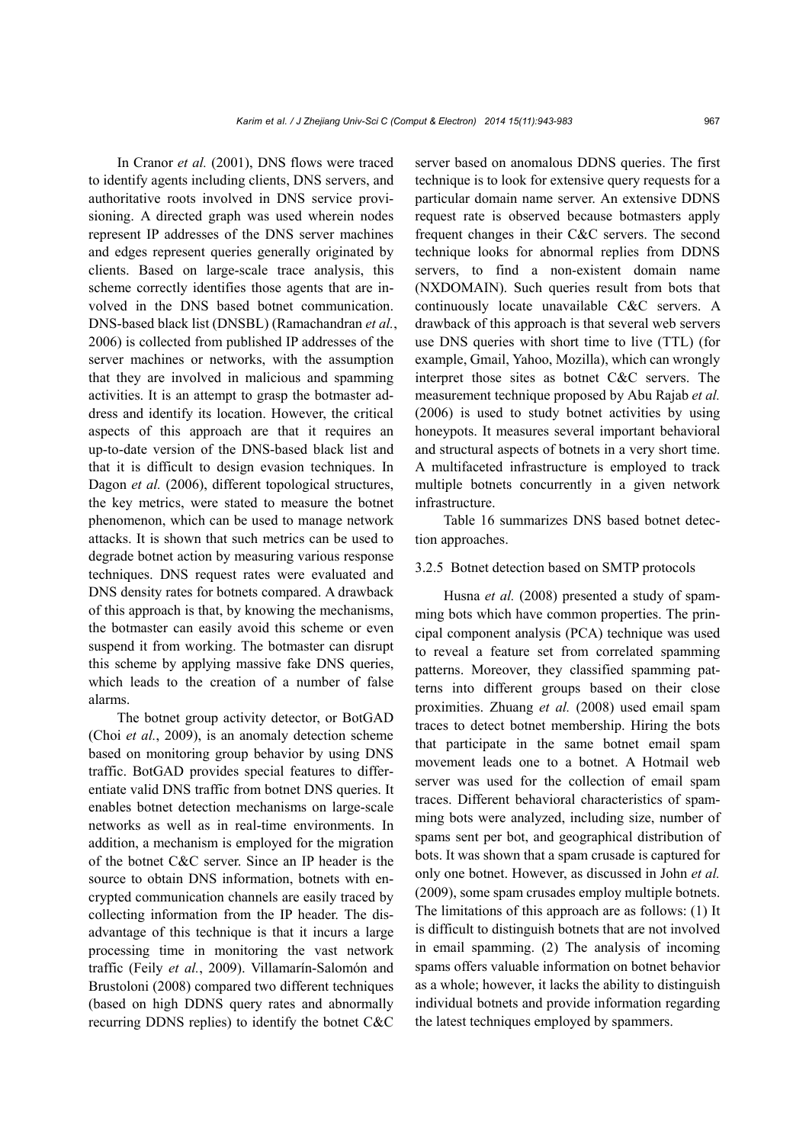In Cranor *et al.* (2001), DNS flows were traced to identify agents including clients, DNS servers, and authoritative roots involved in DNS service provisioning. A directed graph was used wherein nodes represent IP addresses of the DNS server machines and edges represent queries generally originated by clients. Based on large-scale trace analysis, this scheme correctly identifies those agents that are involved in the DNS based botnet communication. DNS-based black list (DNSBL) (Ramachandran *et al.*, 2006) is collected from published IP addresses of the server machines or networks, with the assumption that they are involved in malicious and spamming activities. It is an attempt to grasp the botmaster address and identify its location. However, the critical aspects of this approach are that it requires an up-to-date version of the DNS-based black list and that it is difficult to design evasion techniques. In Dagon *et al.* (2006), different topological structures, the key metrics, were stated to measure the botnet phenomenon, which can be used to manage network attacks. It is shown that such metrics can be used to degrade botnet action by measuring various response techniques. DNS request rates were evaluated and DNS density rates for botnets compared. A drawback of this approach is that, by knowing the mechanisms, the botmaster can easily avoid this scheme or even suspend it from working. The botmaster can disrupt this scheme by applying massive fake DNS queries, which leads to the creation of a number of false alarms.

The botnet group activity detector, or BotGAD (Choi *et al.*, 2009), is an anomaly detection scheme based on monitoring group behavior by using DNS traffic. BotGAD provides special features to differentiate valid DNS traffic from botnet DNS queries. It enables botnet detection mechanisms on large-scale networks as well as in real-time environments. In addition, a mechanism is employed for the migration of the botnet C&C server. Since an IP header is the source to obtain DNS information, botnets with encrypted communication channels are easily traced by collecting information from the IP header. The disadvantage of this technique is that it incurs a large processing time in monitoring the vast network traffic (Feily *et al.*, 2009). Villamarín-Salomón and Brustoloni (2008) compared two different techniques (based on high DDNS query rates and abnormally recurring DDNS replies) to identify the botnet C&C

server based on anomalous DDNS queries. The first technique is to look for extensive query requests for a particular domain name server. An extensive DDNS request rate is observed because botmasters apply frequent changes in their C&C servers. The second technique looks for abnormal replies from DDNS servers, to find a non-existent domain name (NXDOMAIN). Such queries result from bots that continuously locate unavailable C&C servers. A drawback of this approach is that several web servers use DNS queries with short time to live (TTL) (for example, Gmail, Yahoo, Mozilla), which can wrongly interpret those sites as botnet C&C servers. The measurement technique proposed by Abu Rajab *et al.* (2006) is used to study botnet activities by using honeypots. It measures several important behavioral and structural aspects of botnets in a very short time. A multifaceted infrastructure is employed to track multiple botnets concurrently in a given network infrastructure.

Table 16 summarizes DNS based botnet detection approaches.

#### 3.2.5 Botnet detection based on SMTP protocols

Husna *et al.* (2008) presented a study of spamming bots which have common properties. The principal component analysis (PCA) technique was used to reveal a feature set from correlated spamming patterns. Moreover, they classified spamming patterns into different groups based on their close proximities. Zhuang *et al.* (2008) used email spam traces to detect botnet membership. Hiring the bots that participate in the same botnet email spam movement leads one to a botnet. A Hotmail web server was used for the collection of email spam traces. Different behavioral characteristics of spamming bots were analyzed, including size, number of spams sent per bot, and geographical distribution of bots. It was shown that a spam crusade is captured for only one botnet. However, as discussed in John *et al.* (2009), some spam crusades employ multiple botnets. The limitations of this approach are as follows: (1) It is difficult to distinguish botnets that are not involved in email spamming. (2) The analysis of incoming spams offers valuable information on botnet behavior as a whole; however, it lacks the ability to distinguish individual botnets and provide information regarding the latest techniques employed by spammers.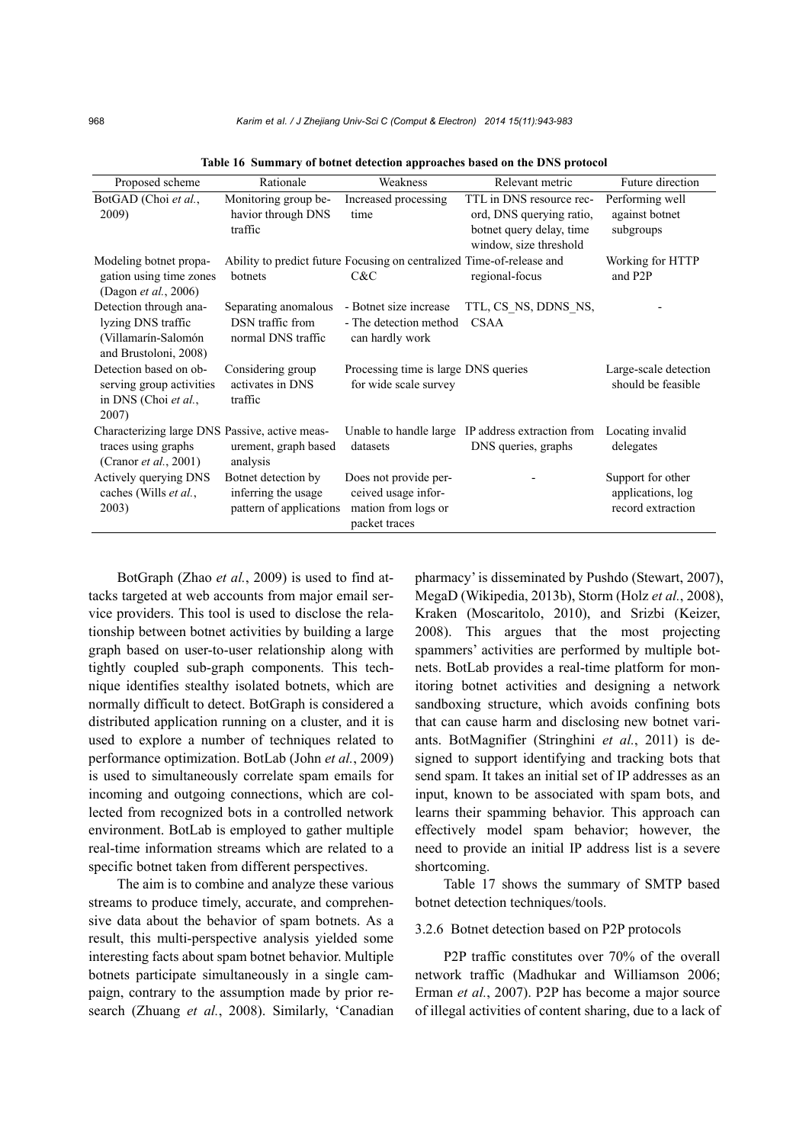| Proposed scheme                                                                                        | Rationale                                                             | Weakness                                                                             | Relevant metric                                                                                            | Future direction                                            |
|--------------------------------------------------------------------------------------------------------|-----------------------------------------------------------------------|--------------------------------------------------------------------------------------|------------------------------------------------------------------------------------------------------------|-------------------------------------------------------------|
| BotGAD (Choi et al.,<br>2009)                                                                          | Monitoring group be-<br>havior through DNS<br>traffic                 | Increased processing<br>time                                                         | TTL in DNS resource rec-<br>ord, DNS querying ratio,<br>botnet query delay, time<br>window, size threshold | Performing well<br>against botnet<br>subgroups              |
| Modeling botnet propa-<br>gation using time zones<br>(Dagon et al., 2006)                              | botnets                                                               | Ability to predict future Focusing on centralized Time-of-release and<br>C&C         | regional-focus                                                                                             | Working for HTTP<br>and P2P                                 |
| Detection through ana-<br>lyzing DNS traffic<br>(Villamarín-Salomón<br>and Brustoloni, 2008)           | Separating anomalous<br>DSN traffic from<br>normal DNS traffic        | - Botnet size increase<br>- The detection method<br>can hardly work                  | TTL, CS NS, DDNS NS,<br><b>CSAA</b>                                                                        |                                                             |
| Detection based on ob-<br>serving group activities<br>in DNS (Choi et al.,<br>2007)                    | Considering group<br>activates in DNS<br>traffic                      | Processing time is large DNS queries<br>for wide scale survey                        |                                                                                                            | Large-scale detection<br>should be feasible.                |
| Characterizing large DNS Passive, active meas-<br>traces using graphs<br>(Cranor <i>et al.</i> , 2001) | urement, graph based<br>analysis                                      | Unable to handle large<br>datasets                                                   | IP address extraction from<br>DNS queries, graphs                                                          | Locating invalid<br>delegates                               |
| Actively querying DNS<br>caches (Wills et al.,<br>2003)                                                | Botnet detection by<br>inferring the usage<br>pattern of applications | Does not provide per-<br>ceived usage infor-<br>mation from logs or<br>packet traces |                                                                                                            | Support for other<br>applications, log<br>record extraction |

**Table 16 Summary of botnet detection approaches based on the DNS protocol** 

BotGraph (Zhao *et al.*, 2009) is used to find attacks targeted at web accounts from major email service providers. This tool is used to disclose the relationship between botnet activities by building a large graph based on user-to-user relationship along with tightly coupled sub-graph components. This technique identifies stealthy isolated botnets, which are normally difficult to detect. BotGraph is considered a distributed application running on a cluster, and it is used to explore a number of techniques related to performance optimization. BotLab (John *et al.*, 2009) is used to simultaneously correlate spam emails for incoming and outgoing connections, which are collected from recognized bots in a controlled network environment. BotLab is employed to gather multiple real-time information streams which are related to a specific botnet taken from different perspectives.

The aim is to combine and analyze these various streams to produce timely, accurate, and comprehensive data about the behavior of spam botnets. As a result, this multi-perspective analysis yielded some interesting facts about spam botnet behavior. Multiple botnets participate simultaneously in a single campaign, contrary to the assumption made by prior research (Zhuang *et al.*, 2008). Similarly, 'Canadian

pharmacy' is disseminated by Pushdo (Stewart, 2007), MegaD (Wikipedia, 2013b), Storm (Holz *et al.*, 2008), Kraken (Moscaritolo, 2010), and Srizbi (Keizer, 2008). This argues that the most projecting spammers' activities are performed by multiple botnets. BotLab provides a real-time platform for monitoring botnet activities and designing a network sandboxing structure, which avoids confining bots that can cause harm and disclosing new botnet variants. BotMagnifier (Stringhini *et al.*, 2011) is designed to support identifying and tracking bots that send spam. It takes an initial set of IP addresses as an input, known to be associated with spam bots, and learns their spamming behavior. This approach can effectively model spam behavior; however, the need to provide an initial IP address list is a severe shortcoming.

Table 17 shows the summary of SMTP based botnet detection techniques/tools.

#### 3.2.6 Botnet detection based on P2P protocols

P2P traffic constitutes over 70% of the overall network traffic (Madhukar and Williamson 2006; Erman *et al.*, 2007). P2P has become a major source of illegal activities of content sharing, due to a lack of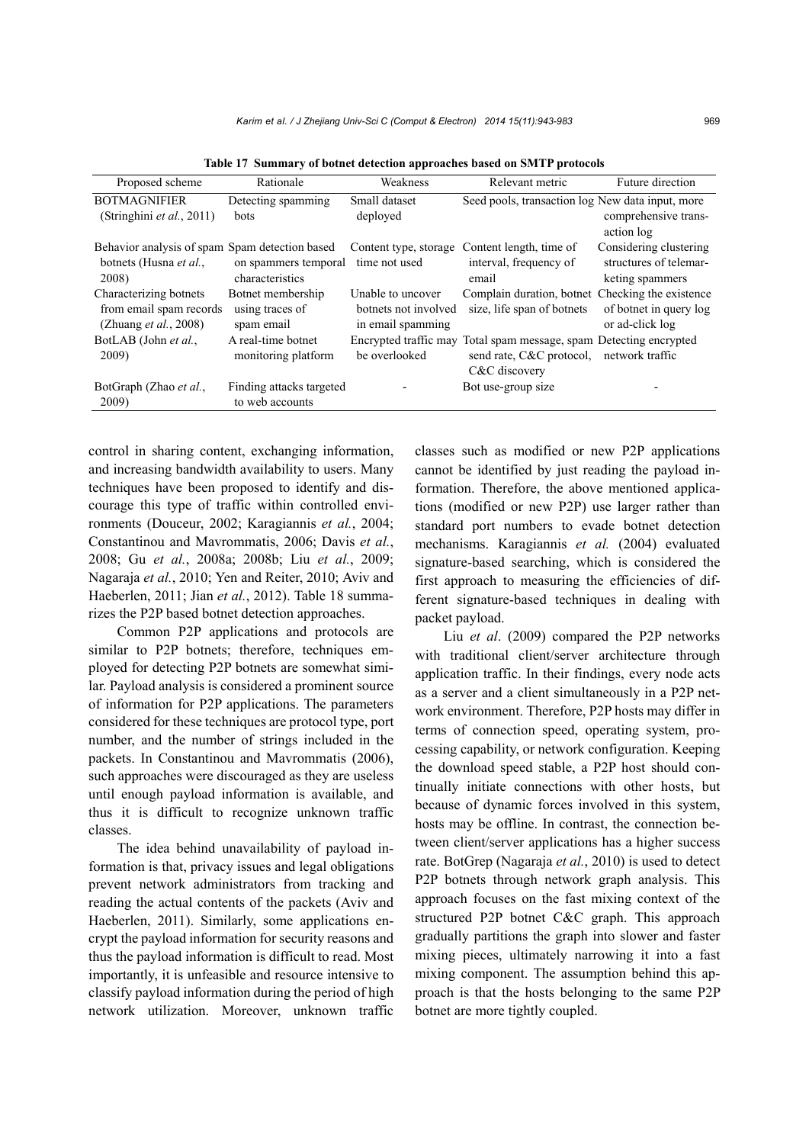| Proposed scheme                                                                    | Rationale                                          | Weakness                                                       | Relevant metric                                                                | Future direction                                                    |
|------------------------------------------------------------------------------------|----------------------------------------------------|----------------------------------------------------------------|--------------------------------------------------------------------------------|---------------------------------------------------------------------|
| <b>BOTMAGNIFIER</b>                                                                | Detecting spamming                                 | Small dataset                                                  | Seed pools, transaction log New data input, more                               |                                                                     |
| (Stringhini et al., 2011)                                                          | <b>bots</b>                                        | deployed                                                       |                                                                                | comprehensive trans-                                                |
|                                                                                    |                                                    |                                                                |                                                                                | action log                                                          |
| Behavior analysis of spam Spam detection based<br>botnets (Husna et al.,<br>2008)  | on spammers temporal<br>characteristics            | Content type, storage<br>time not used                         | Content length, time of<br>interval, frequency of<br>email                     | Considering clustering<br>structures of telemar-<br>keting spammers |
| Characterizing botnets<br>from email spam records<br>(Zhuang <i>et al.</i> , 2008) | Botnet membership<br>using traces of<br>spam email | Unable to uncover<br>botnets not involved<br>in email spamming | Complain duration, botnet Checking the existence<br>size, life span of botnets | of botnet in query log<br>or ad-click log                           |
| BotLAB (John et al.,<br>2009)                                                      | A real-time botnet<br>monitoring platform          | Encrypted traffic may<br>be overlooked                         | Total spam message, spam<br>send rate, C&C protocol,<br>C&C discovery          | Detecting encrypted<br>network traffic                              |
| BotGraph (Zhao <i>et al.</i> ,<br>2009)                                            | Finding attacks targeted<br>to web accounts        |                                                                | Bot use-group size                                                             |                                                                     |

**Table 17 Summary of botnet detection approaches based on SMTP protocols** 

control in sharing content, exchanging information, and increasing bandwidth availability to users. Many techniques have been proposed to identify and discourage this type of traffic within controlled environments (Douceur, 2002; Karagiannis *et al.*, 2004; Constantinou and Mavrommatis, 2006; Davis *et al.*, 2008; Gu *et al.*, 2008a; 2008b; Liu *et al.*, 2009; Nagaraja *et al.*, 2010; Yen and Reiter, 2010; Aviv and Haeberlen, 2011; Jian *et al.*, 2012). Table 18 summarizes the P2P based botnet detection approaches.

Common P2P applications and protocols are similar to P2P botnets; therefore, techniques employed for detecting P2P botnets are somewhat similar. Payload analysis is considered a prominent source of information for P2P applications. The parameters considered for these techniques are protocol type, port number, and the number of strings included in the packets. In Constantinou and Mavrommatis (2006), such approaches were discouraged as they are useless until enough payload information is available, and thus it is difficult to recognize unknown traffic classes.

The idea behind unavailability of payload information is that, privacy issues and legal obligations prevent network administrators from tracking and reading the actual contents of the packets (Aviv and Haeberlen, 2011). Similarly, some applications encrypt the payload information for security reasons and thus the payload information is difficult to read. Most importantly, it is unfeasible and resource intensive to classify payload information during the period of high network utilization. Moreover, unknown traffic

classes such as modified or new P2P applications cannot be identified by just reading the payload information. Therefore, the above mentioned applications (modified or new P2P) use larger rather than standard port numbers to evade botnet detection mechanisms. Karagiannis *et al.* (2004) evaluated signature-based searching, which is considered the first approach to measuring the efficiencies of different signature-based techniques in dealing with packet payload.

Liu *et al*. (2009) compared the P2P networks with traditional client/server architecture through application traffic. In their findings, every node acts as a server and a client simultaneously in a P2P network environment. Therefore, P2P hosts may differ in terms of connection speed, operating system, processing capability, or network configuration. Keeping the download speed stable, a P2P host should continually initiate connections with other hosts, but because of dynamic forces involved in this system, hosts may be offline. In contrast, the connection between client/server applications has a higher success rate. BotGrep (Nagaraja *et al.*, 2010) is used to detect P2P botnets through network graph analysis. This approach focuses on the fast mixing context of the structured P2P botnet C&C graph. This approach gradually partitions the graph into slower and faster mixing pieces, ultimately narrowing it into a fast mixing component. The assumption behind this approach is that the hosts belonging to the same P2P botnet are more tightly coupled.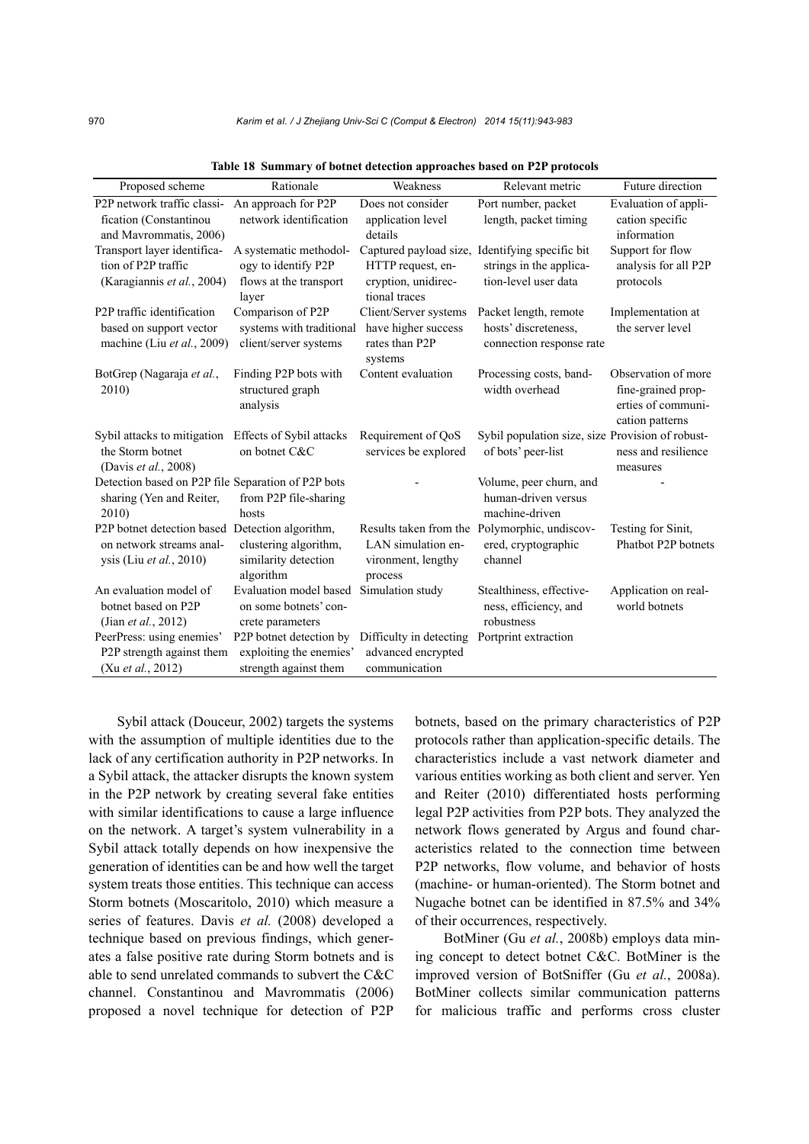| Proposed scheme                                                                                | Rationale                                                                          | Weakness                                                                  | Relevant metric                                                                                    | Future direction                                                                   |
|------------------------------------------------------------------------------------------------|------------------------------------------------------------------------------------|---------------------------------------------------------------------------|----------------------------------------------------------------------------------------------------|------------------------------------------------------------------------------------|
| P2P network traffic classi-<br>fication (Constantinou<br>and Mavrommatis, 2006)                | An approach for P2P<br>network identification                                      | Does not consider<br>application level<br>details                         | Port number, packet<br>length, packet timing                                                       | Evaluation of appli-<br>cation specific<br>information                             |
| Transport layer identifica-<br>tion of P2P traffic<br>(Karagiannis et al., 2004)               | A systematic methodol-<br>ogy to identify P2P<br>flows at the transport<br>layer   | HTTP request, en-<br>cryption, unidirec-<br>tional traces                 | Captured payload size, Identifying specific bit<br>strings in the applica-<br>tion-level user data | Support for flow<br>analysis for all P2P<br>protocols                              |
| P2P traffic identification<br>based on support vector<br>machine (Liu et al., 2009)            | Comparison of P2P<br>systems with traditional<br>client/server systems             | Client/Server systems<br>have higher success<br>rates than P2P<br>systems | Packet length, remote<br>hosts' discreteness,<br>connection response rate                          | Implementation at<br>the server level                                              |
| BotGrep (Nagaraja et al.,<br>2010)                                                             | Finding P2P bots with<br>structured graph<br>analysis                              | Content evaluation                                                        | Processing costs, band-<br>width overhead                                                          | Observation of more<br>fine-grained prop-<br>erties of communi-<br>cation patterns |
| Sybil attacks to mitigation<br>the Storm botnet<br>(Davis et al., 2008)                        | Effects of Sybil attacks<br>on botnet C&C                                          | Requirement of QoS<br>services be explored                                | Sybil population size, size Provision of robust-<br>of bots' peer-list                             | ness and resilience<br>measures                                                    |
| Detection based on P2P file Separation of P2P bots<br>sharing (Yen and Reiter,<br>2010)        | from P2P file-sharing<br>hosts                                                     |                                                                           | Volume, peer churn, and<br>human-driven versus<br>machine-driven                                   |                                                                                    |
| P <sub>2</sub> P botnet detection based<br>on network streams anal-<br>ysis (Liu et al., 2010) | Detection algorithm,<br>clustering algorithm,<br>similarity detection<br>algorithm | LAN simulation en-<br>vironment, lengthy<br>process                       | Results taken from the Polymorphic, undiscov-<br>ered, cryptographic<br>channel                    | Testing for Sinit,<br>Phatbot P2P botnets                                          |
| An evaluation model of<br>botnet based on P2P<br>(Jian et al., 2012)                           | Evaluation model based<br>on some botnets' con-<br>crete parameters                | Simulation study                                                          | Stealthiness, effective-<br>ness, efficiency, and<br>robustness                                    | Application on real-<br>world botnets                                              |
| PeerPress: using enemies'<br>P2P strength against them<br>(Xu et al., 2012)                    | P2P botnet detection by<br>exploiting the enemies'<br>strength against them        | Difficulty in detecting<br>advanced encrypted<br>communication            | Portprint extraction                                                                               |                                                                                    |

**Table 18 Summary of botnet detection approaches based on P2P protocols** 

Sybil attack (Douceur, 2002) targets the systems with the assumption of multiple identities due to the lack of any certification authority in P2P networks. In a Sybil attack, the attacker disrupts the known system in the P2P network by creating several fake entities with similar identifications to cause a large influence on the network. A target's system vulnerability in a Sybil attack totally depends on how inexpensive the generation of identities can be and how well the target system treats those entities. This technique can access Storm botnets (Moscaritolo, 2010) which measure a series of features. Davis *et al.* (2008) developed a technique based on previous findings, which generates a false positive rate during Storm botnets and is able to send unrelated commands to subvert the C&C channel. Constantinou and Mavrommatis (2006) proposed a novel technique for detection of P2P botnets, based on the primary characteristics of P2P protocols rather than application-specific details. The characteristics include a vast network diameter and various entities working as both client and server. Yen and Reiter (2010) differentiated hosts performing legal P2P activities from P2P bots. They analyzed the network flows generated by Argus and found characteristics related to the connection time between P2P networks, flow volume, and behavior of hosts (machine- or human-oriented). The Storm botnet and Nugache botnet can be identified in 87.5% and 34% of their occurrences, respectively.

BotMiner (Gu *et al.*, 2008b) employs data mining concept to detect botnet C&C. BotMiner is the improved version of BotSniffer (Gu *et al.*, 2008a). BotMiner collects similar communication patterns for malicious traffic and performs cross cluster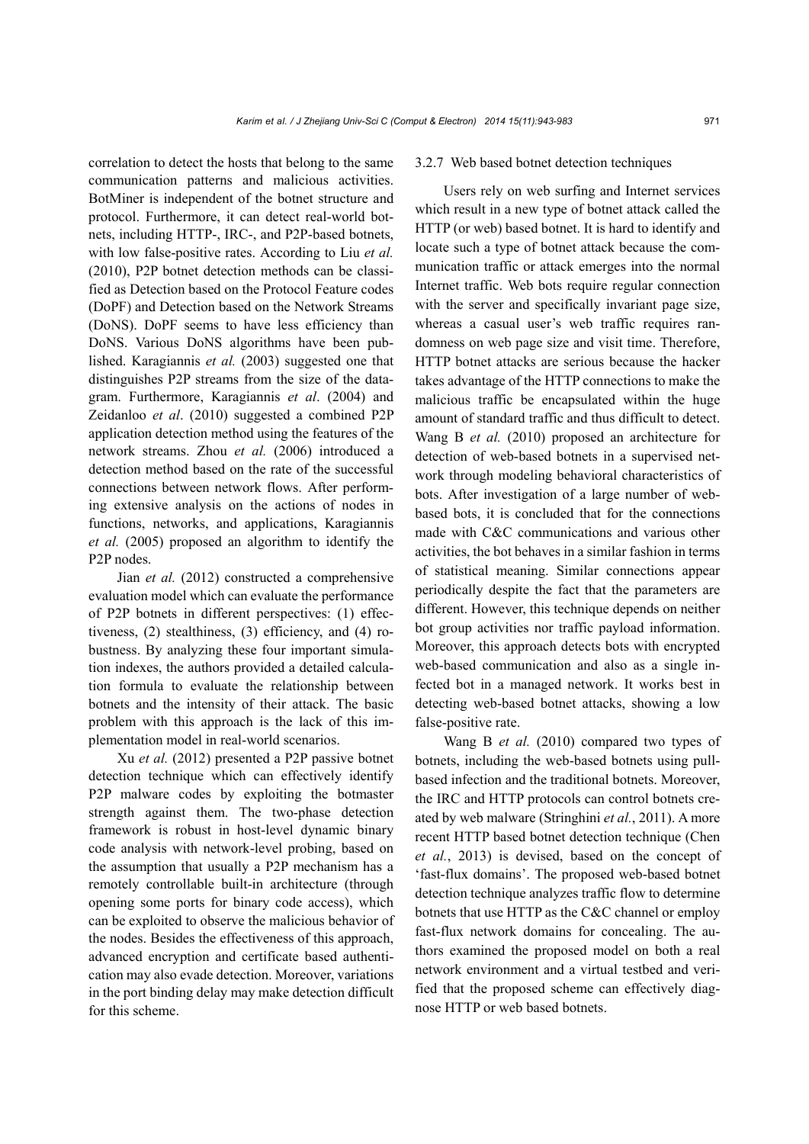correlation to detect the hosts that belong to the same communication patterns and malicious activities. BotMiner is independent of the botnet structure and protocol. Furthermore, it can detect real-world botnets, including HTTP-, IRC-, and P2P-based botnets, with low false-positive rates. According to Liu *et al.* (2010), P2P botnet detection methods can be classified as Detection based on the Protocol Feature codes (DoPF) and Detection based on the Network Streams (DoNS). DoPF seems to have less efficiency than DoNS. Various DoNS algorithms have been published. Karagiannis *et al.* (2003) suggested one that distinguishes P2P streams from the size of the datagram. Furthermore, Karagiannis *et al*. (2004) and Zeidanloo *et al*. (2010) suggested a combined P2P application detection method using the features of the network streams. Zhou *et al.* (2006) introduced a detection method based on the rate of the successful connections between network flows. After performing extensive analysis on the actions of nodes in functions, networks, and applications, Karagiannis *et al.* (2005) proposed an algorithm to identify the P2P nodes.

Jian *et al.* (2012) constructed a comprehensive evaluation model which can evaluate the performance of P2P botnets in different perspectives: (1) effectiveness, (2) stealthiness, (3) efficiency, and (4) robustness. By analyzing these four important simulation indexes, the authors provided a detailed calculation formula to evaluate the relationship between botnets and the intensity of their attack. The basic problem with this approach is the lack of this implementation model in real-world scenarios.

Xu *et al.* (2012) presented a P2P passive botnet detection technique which can effectively identify P2P malware codes by exploiting the botmaster strength against them. The two-phase detection framework is robust in host-level dynamic binary code analysis with network-level probing, based on the assumption that usually a P2P mechanism has a remotely controllable built-in architecture (through opening some ports for binary code access), which can be exploited to observe the malicious behavior of the nodes. Besides the effectiveness of this approach, advanced encryption and certificate based authentication may also evade detection. Moreover, variations in the port binding delay may make detection difficult for this scheme.

#### 3.2.7 Web based botnet detection techniques

Users rely on web surfing and Internet services which result in a new type of botnet attack called the HTTP (or web) based botnet. It is hard to identify and locate such a type of botnet attack because the communication traffic or attack emerges into the normal Internet traffic. Web bots require regular connection with the server and specifically invariant page size, whereas a casual user's web traffic requires randomness on web page size and visit time. Therefore, HTTP botnet attacks are serious because the hacker takes advantage of the HTTP connections to make the malicious traffic be encapsulated within the huge amount of standard traffic and thus difficult to detect. Wang B *et al.* (2010) proposed an architecture for detection of web-based botnets in a supervised network through modeling behavioral characteristics of bots. After investigation of a large number of webbased bots, it is concluded that for the connections made with C&C communications and various other activities, the bot behaves in a similar fashion in terms of statistical meaning. Similar connections appear periodically despite the fact that the parameters are different. However, this technique depends on neither bot group activities nor traffic payload information. Moreover, this approach detects bots with encrypted web-based communication and also as a single infected bot in a managed network. It works best in detecting web-based botnet attacks, showing a low false-positive rate.

Wang B *et al.* (2010) compared two types of botnets, including the web-based botnets using pullbased infection and the traditional botnets. Moreover, the IRC and HTTP protocols can control botnets created by web malware (Stringhini *et al.*, 2011). A more recent HTTP based botnet detection technique (Chen *et al.*, 2013) is devised, based on the concept of 'fast-flux domains'. The proposed web-based botnet detection technique analyzes traffic flow to determine botnets that use HTTP as the C&C channel or employ fast-flux network domains for concealing. The authors examined the proposed model on both a real network environment and a virtual testbed and verified that the proposed scheme can effectively diagnose HTTP or web based botnets.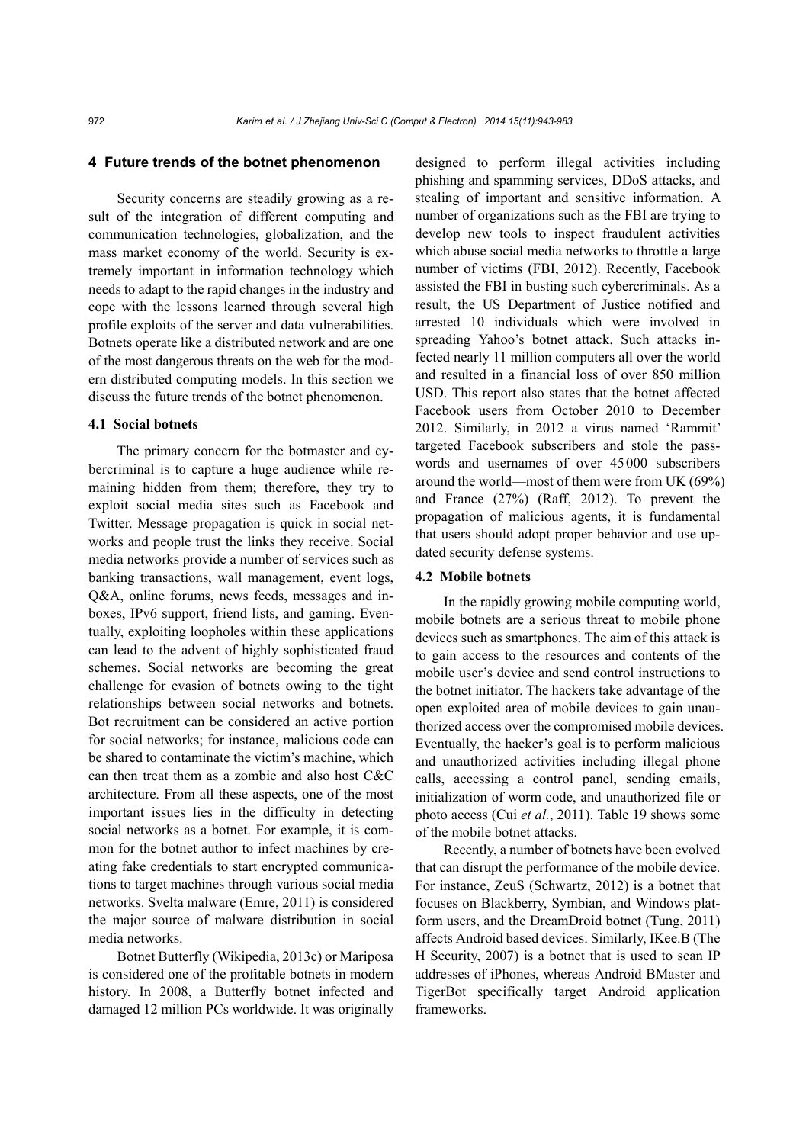#### **4 Future trends of the botnet phenomenon**

Security concerns are steadily growing as a result of the integration of different computing and communication technologies, globalization, and the mass market economy of the world. Security is extremely important in information technology which needs to adapt to the rapid changes in the industry and cope with the lessons learned through several high profile exploits of the server and data vulnerabilities. Botnets operate like a distributed network and are one of the most dangerous threats on the web for the modern distributed computing models. In this section we discuss the future trends of the botnet phenomenon.

#### **4.1 Social botnets**

The primary concern for the botmaster and cybercriminal is to capture a huge audience while remaining hidden from them; therefore, they try to exploit social media sites such as Facebook and Twitter. Message propagation is quick in social networks and people trust the links they receive. Social media networks provide a number of services such as banking transactions, wall management, event logs, Q&A, online forums, news feeds, messages and inboxes, IPv6 support, friend lists, and gaming. Eventually, exploiting loopholes within these applications can lead to the advent of highly sophisticated fraud schemes. Social networks are becoming the great challenge for evasion of botnets owing to the tight relationships between social networks and botnets. Bot recruitment can be considered an active portion for social networks; for instance, malicious code can be shared to contaminate the victim's machine, which can then treat them as a zombie and also host C&C architecture. From all these aspects, one of the most important issues lies in the difficulty in detecting social networks as a botnet. For example, it is common for the botnet author to infect machines by creating fake credentials to start encrypted communications to target machines through various social media networks. Svelta malware (Emre, 2011) is considered the major source of malware distribution in social media networks.

Botnet Butterfly (Wikipedia, 2013c) or Mariposa is considered one of the profitable botnets in modern history. In 2008, a Butterfly botnet infected and damaged 12 million PCs worldwide. It was originally designed to perform illegal activities including phishing and spamming services, DDoS attacks, and stealing of important and sensitive information. A number of organizations such as the FBI are trying to develop new tools to inspect fraudulent activities which abuse social media networks to throttle a large number of victims (FBI, 2012). Recently, Facebook assisted the FBI in busting such cybercriminals. As a result, the US Department of Justice notified and arrested 10 individuals which were involved in spreading Yahoo's botnet attack. Such attacks infected nearly 11 million computers all over the world and resulted in a financial loss of over 850 million USD. This report also states that the botnet affected Facebook users from October 2010 to December 2012. Similarly, in 2012 a virus named 'Rammit' targeted Facebook subscribers and stole the passwords and usernames of over 45000 subscribers around the world—most of them were from UK (69%) and France (27%) (Raff, 2012). To prevent the propagation of malicious agents, it is fundamental that users should adopt proper behavior and use updated security defense systems.

#### **4.2 Mobile botnets**

In the rapidly growing mobile computing world, mobile botnets are a serious threat to mobile phone devices such as smartphones. The aim of this attack is to gain access to the resources and contents of the mobile user's device and send control instructions to the botnet initiator. The hackers take advantage of the open exploited area of mobile devices to gain unauthorized access over the compromised mobile devices. Eventually, the hacker's goal is to perform malicious and unauthorized activities including illegal phone calls, accessing a control panel, sending emails, initialization of worm code, and unauthorized file or photo access (Cui *et al.*, 2011). Table 19 shows some of the mobile botnet attacks.

Recently, a number of botnets have been evolved that can disrupt the performance of the mobile device. For instance, ZeuS (Schwartz, 2012) is a botnet that focuses on Blackberry, Symbian, and Windows platform users, and the DreamDroid botnet (Tung, 2011) affects Android based devices. Similarly, IKee.B (The H Security, 2007) is a botnet that is used to scan IP addresses of iPhones, whereas Android BMaster and TigerBot specifically target Android application frameworks.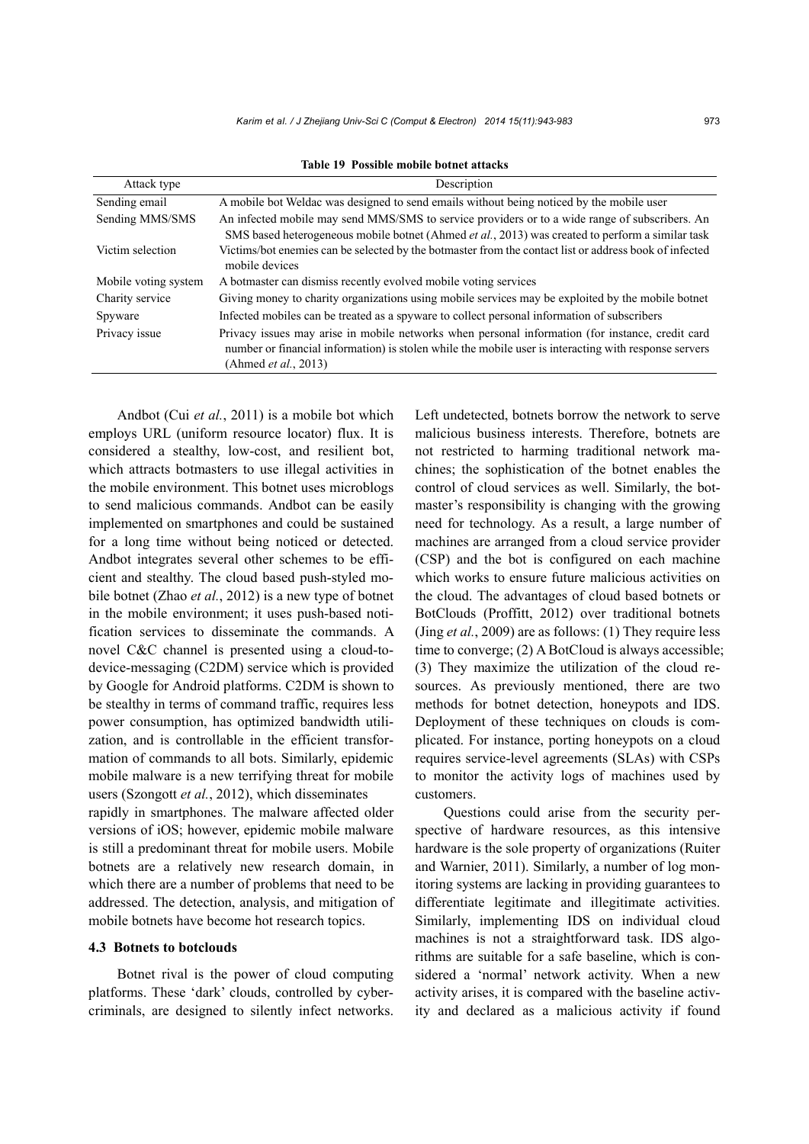| Attack type          | Description                                                                                                                                                                                                                               |
|----------------------|-------------------------------------------------------------------------------------------------------------------------------------------------------------------------------------------------------------------------------------------|
| Sending email        | A mobile bot Weldac was designed to send emails without being noticed by the mobile user                                                                                                                                                  |
| Sending MMS/SMS      | An infected mobile may send MMS/SMS to service providers or to a wide range of subscribers. An<br>SMS based heterogeneous mobile botnet (Ahmed <i>et al.</i> , 2013) was created to perform a similar task                                |
| Victim selection     | Victims/bot enemies can be selected by the botmaster from the contact list or address book of infected<br>mobile devices                                                                                                                  |
| Mobile voting system | A botmaster can dismiss recently evolved mobile voting services                                                                                                                                                                           |
| Charity service      | Giving money to charity organizations using mobile services may be exploited by the mobile botnet                                                                                                                                         |
| Spyware              | Infected mobiles can be treated as a spyware to collect personal information of subscribers                                                                                                                                               |
| Privacy issue        | Privacy issues may arise in mobile networks when personal information (for instance, credit card<br>number or financial information) is stolen while the mobile user is interacting with response servers<br>(Ahmed <i>et al.</i> , 2013) |

**Table 19 Possible mobile botnet attacks** 

Andbot (Cui *et al.*, 2011) is a mobile bot which employs URL (uniform resource locator) flux. It is considered a stealthy, low-cost, and resilient bot, which attracts botmasters to use illegal activities in the mobile environment. This botnet uses microblogs to send malicious commands. Andbot can be easily implemented on smartphones and could be sustained for a long time without being noticed or detected. Andbot integrates several other schemes to be efficient and stealthy. The cloud based push-styled mobile botnet (Zhao *et al.*, 2012) is a new type of botnet in the mobile environment; it uses push-based notification services to disseminate the commands. A novel C&C channel is presented using a cloud-todevice-messaging (C2DM) service which is provided by Google for Android platforms. C2DM is shown to be stealthy in terms of command traffic, requires less power consumption, has optimized bandwidth utilization, and is controllable in the efficient transformation of commands to all bots. Similarly, epidemic mobile malware is a new terrifying threat for mobile users (Szongott *et al.*, 2012), which disseminates rapidly in smartphones. The malware affected older versions of iOS; however, epidemic mobile malware is still a predominant threat for mobile users. Mobile botnets are a relatively new research domain, in which there are a number of problems that need to be addressed. The detection, analysis, and mitigation of mobile botnets have become hot research topics.

#### **4.3 Botnets to botclouds**

Botnet rival is the power of cloud computing platforms. These 'dark' clouds, controlled by cybercriminals, are designed to silently infect networks.

Left undetected, botnets borrow the network to serve malicious business interests. Therefore, botnets are not restricted to harming traditional network machines; the sophistication of the botnet enables the control of cloud services as well. Similarly, the botmaster's responsibility is changing with the growing need for technology. As a result, a large number of machines are arranged from a cloud service provider (CSP) and the bot is configured on each machine which works to ensure future malicious activities on the cloud. The advantages of cloud based botnets or BotClouds (Proffitt, 2012) over traditional botnets (Jing *et al.*, 2009) are as follows: (1) They require less time to converge; (2) A BotCloud is always accessible; (3) They maximize the utilization of the cloud resources. As previously mentioned, there are two methods for botnet detection, honeypots and IDS. Deployment of these techniques on clouds is complicated. For instance, porting honeypots on a cloud requires service-level agreements (SLAs) with CSPs to monitor the activity logs of machines used by customers.

Questions could arise from the security perspective of hardware resources, as this intensive hardware is the sole property of organizations (Ruiter and Warnier, 2011). Similarly, a number of log monitoring systems are lacking in providing guarantees to differentiate legitimate and illegitimate activities. Similarly, implementing IDS on individual cloud machines is not a straightforward task. IDS algorithms are suitable for a safe baseline, which is considered a 'normal' network activity. When a new activity arises, it is compared with the baseline activity and declared as a malicious activity if found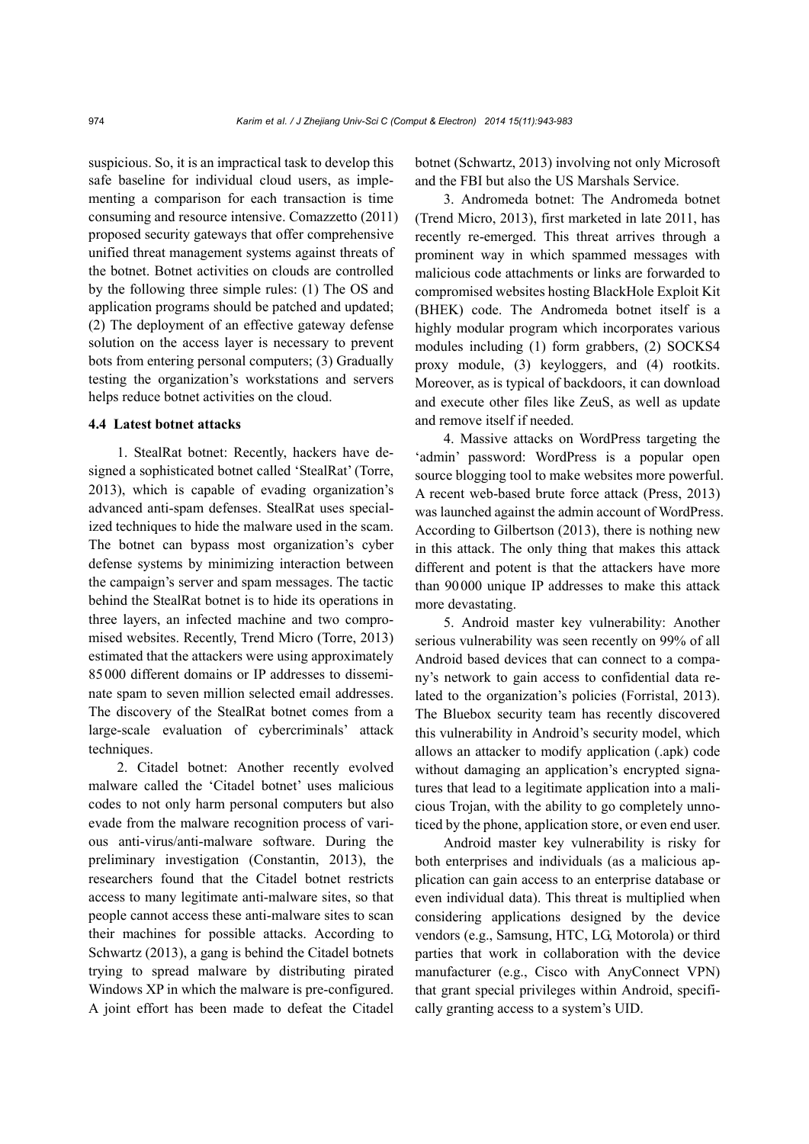suspicious. So, it is an impractical task to develop this safe baseline for individual cloud users, as implementing a comparison for each transaction is time consuming and resource intensive. Comazzetto (2011) proposed security gateways that offer comprehensive unified threat management systems against threats of the botnet. Botnet activities on clouds are controlled by the following three simple rules: (1) The OS and application programs should be patched and updated; (2) The deployment of an effective gateway defense solution on the access layer is necessary to prevent bots from entering personal computers; (3) Gradually testing the organization's workstations and servers helps reduce botnet activities on the cloud.

#### **4.4 Latest botnet attacks**

1. StealRat botnet: Recently, hackers have designed a sophisticated botnet called 'StealRat' (Torre, 2013), which is capable of evading organization's advanced anti-spam defenses. StealRat uses specialized techniques to hide the malware used in the scam. The botnet can bypass most organization's cyber defense systems by minimizing interaction between the campaign's server and spam messages. The tactic behind the StealRat botnet is to hide its operations in three layers, an infected machine and two compromised websites. Recently, Trend Micro (Torre, 2013) estimated that the attackers were using approximately 85000 different domains or IP addresses to disseminate spam to seven million selected email addresses. The discovery of the StealRat botnet comes from a large-scale evaluation of cybercriminals' attack techniques.

2. Citadel botnet: Another recently evolved malware called the 'Citadel botnet' uses malicious codes to not only harm personal computers but also evade from the malware recognition process of various anti-virus/anti-malware software. During the preliminary investigation (Constantin, 2013), the researchers found that the Citadel botnet restricts access to many legitimate anti-malware sites, so that people cannot access these anti-malware sites to scan their machines for possible attacks. According to Schwartz (2013), a gang is behind the Citadel botnets trying to spread malware by distributing pirated Windows XP in which the malware is pre-configured. A joint effort has been made to defeat the Citadel botnet (Schwartz, 2013) involving not only Microsoft and the FBI but also the US Marshals Service.

3. Andromeda botnet: The Andromeda botnet (Trend Micro, 2013), first marketed in late 2011, has recently re-emerged. This threat arrives through a prominent way in which spammed messages with malicious code attachments or links are forwarded to compromised websites hosting BlackHole Exploit Kit (BHEK) code. The Andromeda botnet itself is a highly modular program which incorporates various modules including (1) form grabbers, (2) SOCKS4 proxy module, (3) keyloggers, and (4) rootkits. Moreover, as is typical of backdoors, it can download and execute other files like ZeuS, as well as update and remove itself if needed.

4. Massive attacks on WordPress targeting the 'admin' password: WordPress is a popular open source blogging tool to make websites more powerful. A recent web-based brute force attack (Press, 2013) was launched against the admin account of WordPress. According to Gilbertson (2013), there is nothing new in this attack. The only thing that makes this attack different and potent is that the attackers have more than 90000 unique IP addresses to make this attack more devastating.

5. Android master key vulnerability: Another serious vulnerability was seen recently on 99% of all Android based devices that can connect to a company's network to gain access to confidential data related to the organization's policies (Forristal, 2013). The Bluebox security team has recently discovered this vulnerability in Android's security model, which allows an attacker to modify application (.apk) code without damaging an application's encrypted signatures that lead to a legitimate application into a malicious Trojan, with the ability to go completely unnoticed by the phone, application store, or even end user.

Android master key vulnerability is risky for both enterprises and individuals (as a malicious application can gain access to an enterprise database or even individual data). This threat is multiplied when considering applications designed by the device vendors (e.g., Samsung, HTC, LG, Motorola) or third parties that work in collaboration with the device manufacturer (e.g., Cisco with AnyConnect VPN) that grant special privileges within Android, specifically granting access to a system's UID.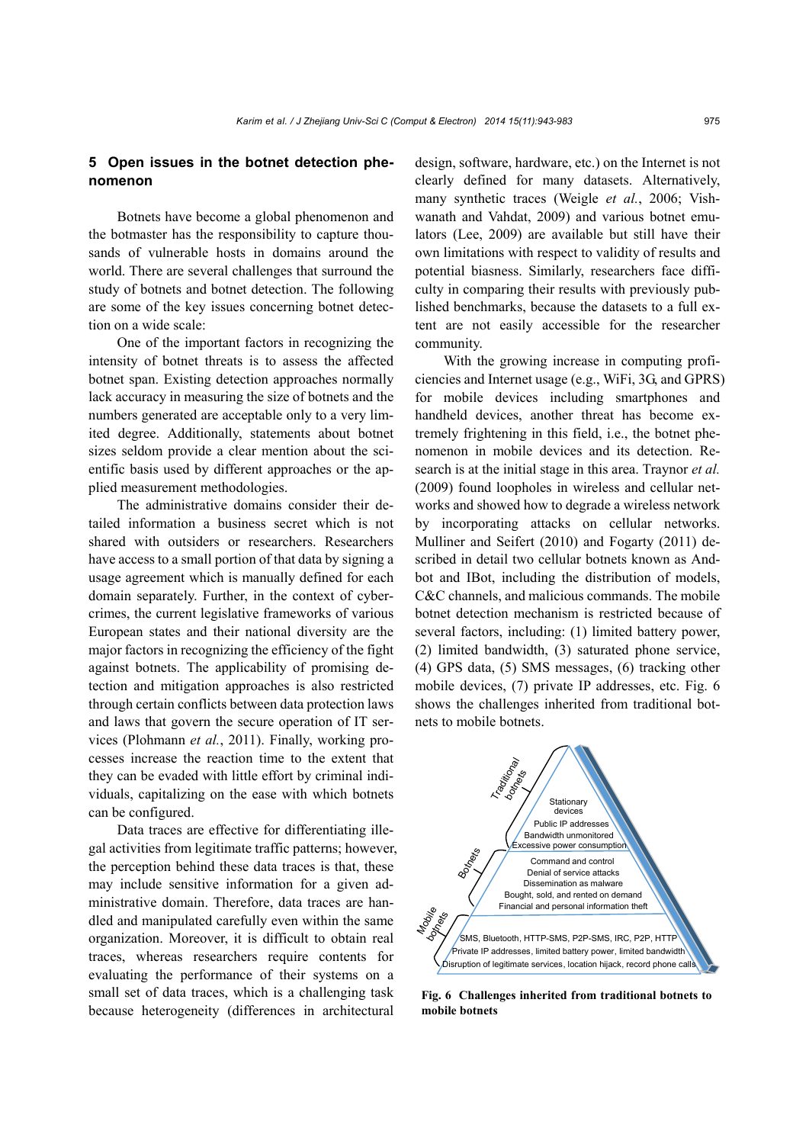### **5 Open issues in the botnet detection phenomenon**

Botnets have become a global phenomenon and the botmaster has the responsibility to capture thousands of vulnerable hosts in domains around the world. There are several challenges that surround the study of botnets and botnet detection. The following are some of the key issues concerning botnet detection on a wide scale:

One of the important factors in recognizing the intensity of botnet threats is to assess the affected botnet span. Existing detection approaches normally lack accuracy in measuring the size of botnets and the numbers generated are acceptable only to a very limited degree. Additionally, statements about botnet sizes seldom provide a clear mention about the scientific basis used by different approaches or the applied measurement methodologies.

The administrative domains consider their detailed information a business secret which is not shared with outsiders or researchers. Researchers have access to a small portion of that data by signing a usage agreement which is manually defined for each domain separately. Further, in the context of cybercrimes, the current legislative frameworks of various European states and their national diversity are the major factors in recognizing the efficiency of the fight against botnets. The applicability of promising detection and mitigation approaches is also restricted through certain conflicts between data protection laws and laws that govern the secure operation of IT services (Plohmann *et al.*, 2011). Finally, working processes increase the reaction time to the extent that they can be evaded with little effort by criminal individuals, capitalizing on the ease with which botnets can be configured.

Data traces are effective for differentiating illegal activities from legitimate traffic patterns; however, the perception behind these data traces is that, these may include sensitive information for a given administrative domain. Therefore, data traces are handled and manipulated carefully even within the same organization. Moreover, it is difficult to obtain real traces, whereas researchers require contents for evaluating the performance of their systems on a small set of data traces, which is a challenging task because heterogeneity (differences in architectural

design, software, hardware, etc.) on the Internet is not clearly defined for many datasets. Alternatively, many synthetic traces (Weigle *et al.*, 2006; Vishwanath and Vahdat, 2009) and various botnet emulators (Lee, 2009) are available but still have their own limitations with respect to validity of results and potential biasness. Similarly, researchers face difficulty in comparing their results with previously published benchmarks, because the datasets to a full extent are not easily accessible for the researcher community.

With the growing increase in computing proficiencies and Internet usage (e.g., WiFi, 3G, and GPRS) for mobile devices including smartphones and handheld devices, another threat has become extremely frightening in this field, i.e., the botnet phenomenon in mobile devices and its detection. Research is at the initial stage in this area. Traynor *et al.* (2009) found loopholes in wireless and cellular networks and showed how to degrade a wireless network by incorporating attacks on cellular networks. Mulliner and Seifert (2010) and Fogarty (2011) described in detail two cellular botnets known as Andbot and IBot, including the distribution of models, C&C channels, and malicious commands. The mobile botnet detection mechanism is restricted because of several factors, including: (1) limited battery power, (2) limited bandwidth, (3) saturated phone service, (4) GPS data, (5) SMS messages, (6) tracking other mobile devices, (7) private IP addresses, etc. Fig. 6 shows the challenges inherited from traditional botnets to mobile botnets.



**Fig. 6 Challenges inherited from traditional botnets to mobile botnets**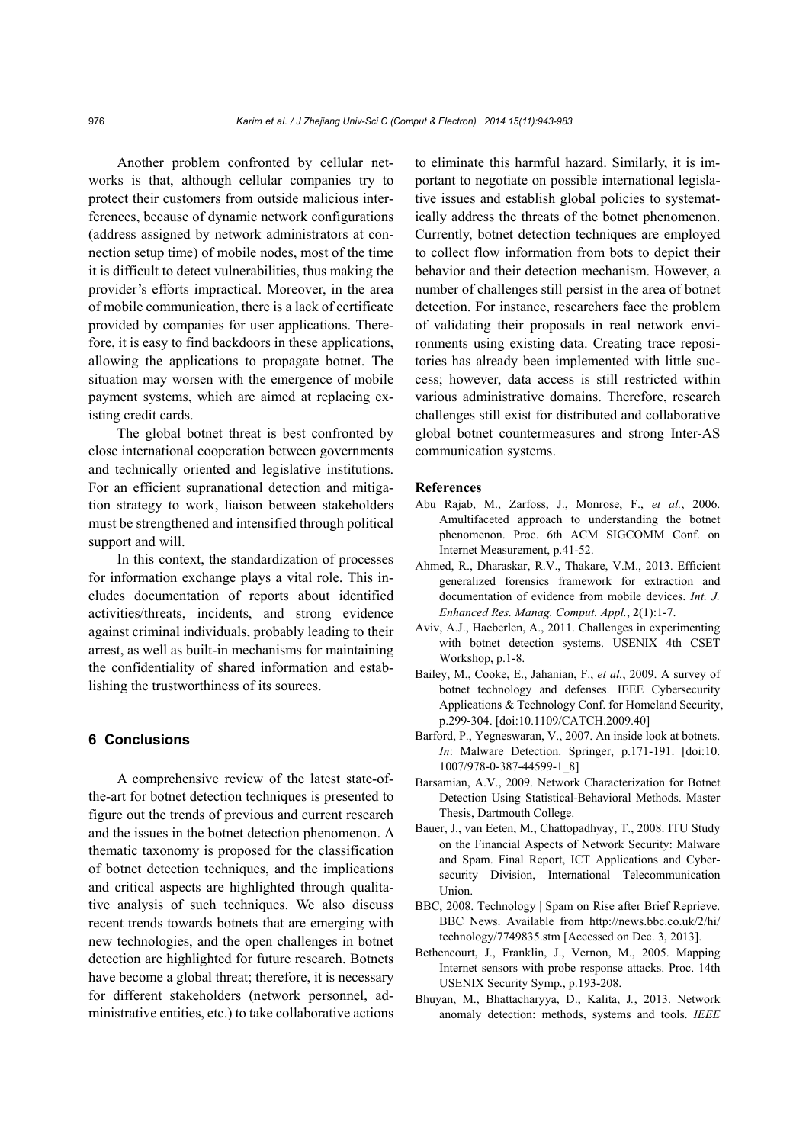Another problem confronted by cellular networks is that, although cellular companies try to protect their customers from outside malicious interferences, because of dynamic network configurations (address assigned by network administrators at connection setup time) of mobile nodes, most of the time it is difficult to detect vulnerabilities, thus making the provider's efforts impractical. Moreover, in the area of mobile communication, there is a lack of certificate provided by companies for user applications. Therefore, it is easy to find backdoors in these applications, allowing the applications to propagate botnet. The situation may worsen with the emergence of mobile payment systems, which are aimed at replacing existing credit cards.

The global botnet threat is best confronted by close international cooperation between governments and technically oriented and legislative institutions. For an efficient supranational detection and mitigation strategy to work, liaison between stakeholders must be strengthened and intensified through political support and will.

In this context, the standardization of processes for information exchange plays a vital role. This includes documentation of reports about identified activities/threats, incidents, and strong evidence against criminal individuals, probably leading to their arrest, as well as built-in mechanisms for maintaining the confidentiality of shared information and establishing the trustworthiness of its sources.

#### **6 Conclusions**

A comprehensive review of the latest state-ofthe-art for botnet detection techniques is presented to figure out the trends of previous and current research and the issues in the botnet detection phenomenon. A thematic taxonomy is proposed for the classification of botnet detection techniques, and the implications and critical aspects are highlighted through qualitative analysis of such techniques. We also discuss recent trends towards botnets that are emerging with new technologies, and the open challenges in botnet detection are highlighted for future research. Botnets have become a global threat; therefore, it is necessary for different stakeholders (network personnel, administrative entities, etc.) to take collaborative actions to eliminate this harmful hazard. Similarly, it is important to negotiate on possible international legislative issues and establish global policies to systematically address the threats of the botnet phenomenon. Currently, botnet detection techniques are employed to collect flow information from bots to depict their behavior and their detection mechanism. However, a number of challenges still persist in the area of botnet detection. For instance, researchers face the problem of validating their proposals in real network environments using existing data. Creating trace repositories has already been implemented with little success; however, data access is still restricted within various administrative domains. Therefore, research challenges still exist for distributed and collaborative global botnet countermeasures and strong Inter-AS communication systems.

#### **References**

- Abu Rajab, M., Zarfoss, J., Monrose, F., *et al.*, 2006. Amultifaceted approach to understanding the botnet phenomenon. Proc. 6th ACM SIGCOMM Conf. on Internet Measurement, p.41-52.
- Ahmed, R., Dharaskar, R.V., Thakare, V.M., 2013. Efficient generalized forensics framework for extraction and documentation of evidence from mobile devices. *Int. J. Enhanced Res. Manag. Comput. Appl.*, **2**(1):1-7.
- Aviv, A.J., Haeberlen, A., 2011. Challenges in experimenting with botnet detection systems. USENIX 4th CSET Workshop, p.1-8.
- Bailey, M., Cooke, E., Jahanian, F., *et al.*, 2009. A survey of botnet technology and defenses. IEEE Cybersecurity Applications & Technology Conf. for Homeland Security, p.299-304. [doi:10.1109/CATCH.2009.40]
- Barford, P., Yegneswaran, V., 2007. An inside look at botnets. *In*: Malware Detection. Springer, p.171-191. [doi:10. 1007/978-0-387-44599-1\_8]
- Barsamian, A.V., 2009. Network Characterization for Botnet Detection Using Statistical-Behavioral Methods. Master Thesis, Dartmouth College.
- Bauer, J., van Eeten, M., Chattopadhyay, T., 2008. ITU Study on the Financial Aspects of Network Security: Malware and Spam. Final Report, ICT Applications and Cybersecurity Division, International Telecommunication Union.
- BBC, 2008. Technology | Spam on Rise after Brief Reprieve. BBC News. Available from http://news.bbc.co.uk/2/hi/ technology/7749835.stm [Accessed on Dec. 3, 2013].
- Bethencourt, J., Franklin, J., Vernon, M., 2005. Mapping Internet sensors with probe response attacks. Proc. 14th USENIX Security Symp., p.193-208.
- Bhuyan, M., Bhattacharyya, D., Kalita, J*.*, 2013. Network anomaly detection: methods, systems and tools. *IEEE*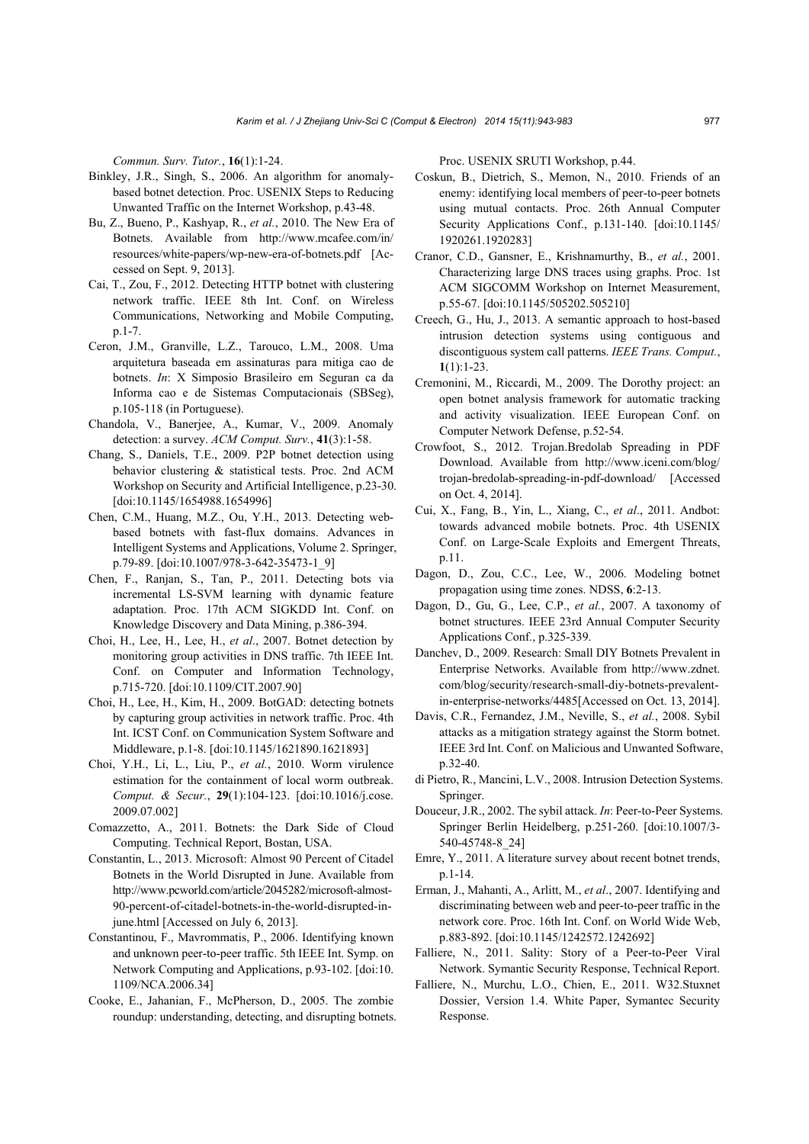*Commun. Surv. Tutor.*, **16**(1):1-24.

- Binkley, J.R., Singh, S., 2006. An algorithm for anomalybased botnet detection. Proc. USENIX Steps to Reducing Unwanted Traffic on the Internet Workshop, p.43-48.
- Bu, Z., Bueno, P., Kashyap, R., *et al.*, 2010. The New Era of Botnets. Available from http://www.mcafee.com/in/ resources/white-papers/wp-new-era-of-botnets.pdf [Accessed on Sept. 9, 2013].
- Cai, T., Zou, F., 2012. Detecting HTTP botnet with clustering network traffic. IEEE 8th Int. Conf. on Wireless Communications, Networking and Mobile Computing, p.1-7.
- Ceron, J.M., Granville, L.Z., Tarouco, L.M., 2008. Uma arquitetura baseada em assinaturas para mitiga cao de botnets. *In*: X Simposio Brasileiro em Seguran ca da Informa cao e de Sistemas Computacionais (SBSeg), p.105-118 (in Portuguese).
- Chandola, V., Banerjee, A., Kumar, V., 2009. Anomaly detection: a survey. *ACM Comput. Surv.*, **41**(3):1-58.
- Chang, S., Daniels, T.E., 2009. P2P botnet detection using behavior clustering & statistical tests. Proc. 2nd ACM Workshop on Security and Artificial Intelligence, p.23-30. [doi:10.1145/1654988.1654996]
- Chen, C.M., Huang, M.Z., Ou, Y.H., 2013. Detecting webbased botnets with fast-flux domains. Advances in Intelligent Systems and Applications, Volume 2. Springer, p.79-89. [doi:10.1007/978-3-642-35473-1\_9]
- Chen, F., Ranjan, S., Tan, P., 2011. Detecting bots via incremental LS-SVM learning with dynamic feature adaptation. Proc. 17th ACM SIGKDD Int. Conf. on Knowledge Discovery and Data Mining, p.386-394.
- Choi, H., Lee, H., Lee, H., *et al*., 2007. Botnet detection by monitoring group activities in DNS traffic. 7th IEEE Int. Conf. on Computer and Information Technology, p.715-720. [doi:10.1109/CIT.2007.90]
- Choi, H., Lee, H., Kim, H., 2009. BotGAD: detecting botnets by capturing group activities in network traffic. Proc. 4th Int. ICST Conf. on Communication System Software and Middleware, p.1-8. [doi:10.1145/1621890.1621893]
- Choi, Y.H., Li, L., Liu, P., *et al.*, 2010. Worm virulence estimation for the containment of local worm outbreak. *Comput. & Secur.*, **29**(1):104-123. [doi:10.1016/j.cose. 2009.07.002]
- Comazzetto, A., 2011. Botnets: the Dark Side of Cloud Computing. Technical Report, Bostan, USA.
- Constantin, L., 2013. Microsoft: Almost 90 Percent of Citadel Botnets in the World Disrupted in June. Available from http://www.pcworld.com/article/2045282/microsoft-almost-90-percent-of-citadel-botnets-in-the-world-disrupted-injune.html [Accessed on July 6, 2013].
- Constantinou, F., Mavrommatis, P., 2006. Identifying known and unknown peer-to-peer traffic. 5th IEEE Int. Symp. on Network Computing and Applications, p.93-102. [doi:10. 1109/NCA.2006.34]
- Cooke, E., Jahanian, F., McPherson, D., 2005. The zombie roundup: understanding, detecting, and disrupting botnets.

Proc. USENIX SRUTI Workshop, p.44.

- Coskun, B., Dietrich, S., Memon, N., 2010. Friends of an enemy: identifying local members of peer-to-peer botnets using mutual contacts. Proc. 26th Annual Computer Security Applications Conf., p.131-140. [doi:10.1145/ 1920261.1920283]
- Cranor, C.D., Gansner, E., Krishnamurthy, B., *et al.*, 2001. Characterizing large DNS traces using graphs. Proc. 1st ACM SIGCOMM Workshop on Internet Measurement, p.55-67. [doi:10.1145/505202.505210]
- Creech, G., Hu, J., 2013. A semantic approach to host-based intrusion detection systems using contiguous and discontiguous system call patterns. *IEEE Trans. Comput.*,  $1(1):1-23$ .
- Cremonini, M., Riccardi, M., 2009. The Dorothy project: an open botnet analysis framework for automatic tracking and activity visualization. IEEE European Conf. on Computer Network Defense, p.52-54.
- Crowfoot, S., 2012. Trojan.Bredolab Spreading in PDF Download. Available from http://www.iceni.com/blog/ trojan-bredolab-spreading-in-pdf-download/ [Accessed on Oct. 4, 2014].
- Cui, X., Fang, B., Yin, L., Xiang, C., *et al*., 2011. Andbot: towards advanced mobile botnets. Proc. 4th USENIX Conf. on Large-Scale Exploits and Emergent Threats, p.11.
- Dagon, D., Zou, C.C., Lee, W., 2006. Modeling botnet propagation using time zones. NDSS, **6**:2-13.
- Dagon, D., Gu, G., Lee, C.P., *et al.*, 2007. A taxonomy of botnet structures. IEEE 23rd Annual Computer Security Applications Conf., p.325-339.
- Danchev, D., 2009. Research: Small DIY Botnets Prevalent in Enterprise Networks. Available from http://www.zdnet. com/blog/security/research-small-diy-botnets-prevalentin-enterprise-networks/4485[Accessed on Oct. 13, 2014].
- Davis, C.R., Fernandez, J.M., Neville, S., *et al.*, 2008. Sybil attacks as a mitigation strategy against the Storm botnet. IEEE 3rd Int. Conf. on Malicious and Unwanted Software, p.32-40.
- di Pietro, R., Mancini, L.V., 2008. Intrusion Detection Systems. Springer.
- Douceur, J.R., 2002. The sybil attack. *In*: Peer-to-Peer Systems. Springer Berlin Heidelberg, p.251-260. [doi:10.1007/3- 540-45748-8\_24]
- Emre, Y., 2011. A literature survey about recent botnet trends, p.1-14.
- Erman, J., Mahanti, A., Arlitt, M., *et al*., 2007. Identifying and discriminating between web and peer-to-peer traffic in the network core. Proc. 16th Int. Conf. on World Wide Web, p.883-892. [doi:10.1145/1242572.1242692]
- Falliere, N., 2011. Sality: Story of a Peer-to-Peer Viral Network. Symantic Security Response, Technical Report.
- Falliere, N., Murchu, L.O., Chien, E., 2011. W32.Stuxnet Dossier, Version 1.4. White Paper, Symantec Security Response.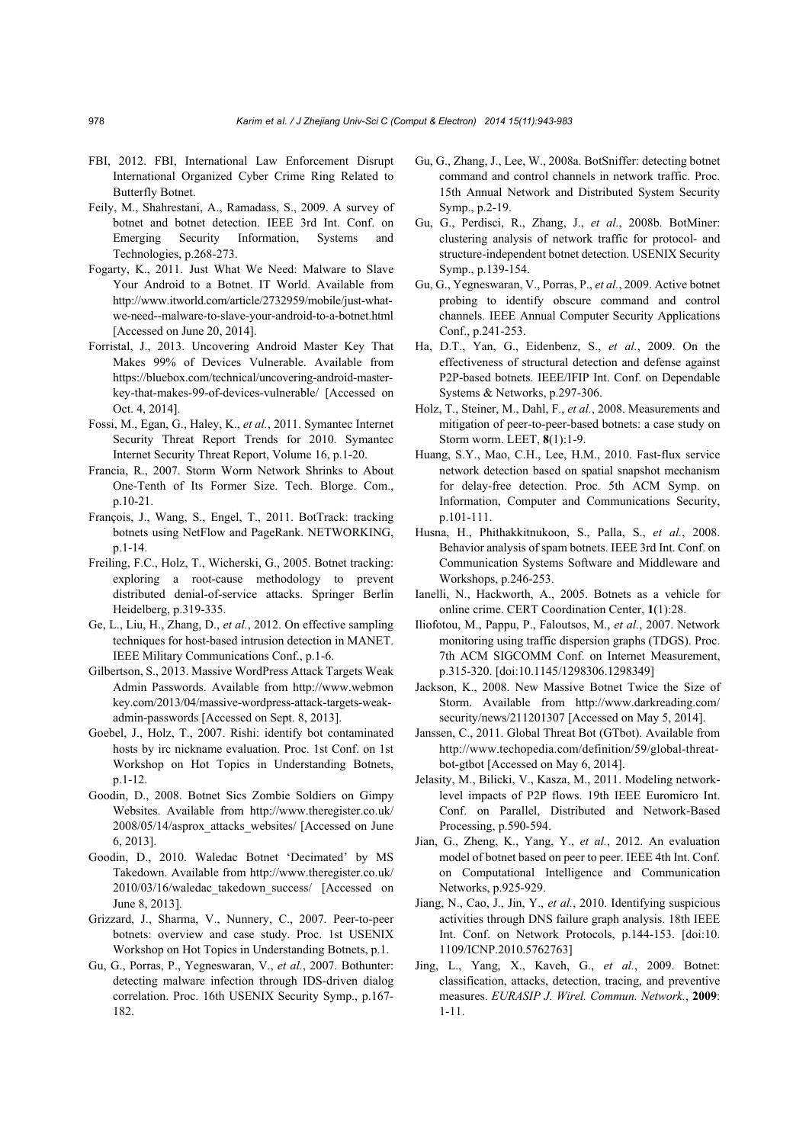- FBI, 2012. FBI, International Law Enforcement Disrupt International Organized Cyber Crime Ring Related to Butterfly Botnet.
- Feily, M., Shahrestani, A., Ramadass, S., 2009. A survey of botnet and botnet detection. IEEE 3rd Int. Conf. on Emerging Security Information, Systems and Technologies, p.268-273.
- Fogarty, K., 2011. Just What We Need: Malware to Slave Your Android to a Botnet. IT World. Available from http://www.itworld.com/article/2732959/mobile/just-whatwe-need--malware-to-slave-your-android-to-a-botnet.html [Accessed on June 20, 2014].
- Forristal, J., 2013. Uncovering Android Master Key That Makes 99% of Devices Vulnerable. Available from https://bluebox.com/technical/uncovering-android-masterkey-that-makes-99-of-devices-vulnerable/ [Accessed on Oct. 4, 2014].
- Fossi, M., Egan, G., Haley, K., *et al.*, 2011. Symantec Internet Security Threat Report Trends for 2010. Symantec Internet Security Threat Report, Volume 16, p.1-20.
- Francia, R., 2007. Storm Worm Network Shrinks to About One-Tenth of Its Former Size. Tech. Blorge. Com., p.10-21.
- François, J., Wang, S., Engel, T., 2011. BotTrack: tracking botnets using NetFlow and PageRank. NETWORKING, p.1-14.
- Freiling, F.C., Holz, T., Wicherski, G., 2005. Botnet tracking: exploring a root-cause methodology to prevent distributed denial-of-service attacks. Springer Berlin Heidelberg, p.319-335.
- Ge, L., Liu, H., Zhang, D., *et al.*, 2012. On effective sampling techniques for host-based intrusion detection in MANET. IEEE Military Communications Conf., p.1-6.
- Gilbertson, S., 2013. Massive WordPress Attack Targets Weak Admin Passwords. Available from http://www.webmon key.com/2013/04/massive-wordpress-attack-targets-weakadmin-passwords [Accessed on Sept. 8, 2013].
- Goebel, J., Holz, T., 2007. Rishi: identify bot contaminated hosts by irc nickname evaluation. Proc. 1st Conf. on 1st Workshop on Hot Topics in Understanding Botnets, p.1-12.
- Goodin, D., 2008. Botnet Sics Zombie Soldiers on Gimpy Websites. Available from http://www.theregister.co.uk/ 2008/05/14/asprox\_attacks\_websites/ [Accessed on June 6, 2013].
- Goodin, D., 2010. Waledac Botnet 'Decimated' by MS Takedown. Available from http://www.theregister.co.uk/ 2010/03/16/waledac\_takedown\_success/ [Accessed on June 8, 2013].
- Grizzard, J., Sharma, V., Nunnery, C., 2007. Peer-to-peer botnets: overview and case study. Proc. 1st USENIX Workshop on Hot Topics in Understanding Botnets, p.1.
- Gu, G., Porras, P., Yegneswaran, V., *et al.*, 2007. Bothunter: detecting malware infection through IDS-driven dialog correlation. Proc. 16th USENIX Security Symp., p.167- 182.
- Gu, G., Zhang, J., Lee, W., 2008a. BotSniffer: detecting botnet command and control channels in network traffic. Proc. 15th Annual Network and Distributed System Security Symp., p.2-19.
- Gu, G., Perdisci, R., Zhang, J., *et al.*, 2008b. BotMiner: clustering analysis of network traffic for protocol- and structure-independent botnet detection. USENIX Security Symp., p.139-154.
- Gu, G., Yegneswaran, V., Porras, P., *et al.*, 2009. Active botnet probing to identify obscure command and control channels. IEEE Annual Computer Security Applications Conf., p.241-253.
- Ha, D.T., Yan, G., Eidenbenz, S., *et al.*, 2009. On the effectiveness of structural detection and defense against P2P-based botnets. IEEE/IFIP Int. Conf. on Dependable Systems & Networks, p.297-306.
- Holz, T., Steiner, M., Dahl, F., *et al.*, 2008. Measurements and mitigation of peer-to-peer-based botnets: a case study on Storm worm. LEET, **8**(1):1-9.
- Huang, S.Y., Mao, C.H., Lee, H.M., 2010. Fast-flux service network detection based on spatial snapshot mechanism for delay-free detection. Proc. 5th ACM Symp. on Information, Computer and Communications Security, p.101-111.
- Husna, H., Phithakkitnukoon, S., Palla, S., *et al.*, 2008. Behavior analysis of spam botnets. IEEE 3rd Int. Conf. on Communication Systems Software and Middleware and Workshops, p.246-253.
- Ianelli, N., Hackworth, A., 2005. Botnets as a vehicle for online crime. CERT Coordination Center, **1**(1):28.
- Iliofotou, M., Pappu, P., Faloutsos, M., *et al.*, 2007. Network monitoring using traffic dispersion graphs (TDGS). Proc. 7th ACM SIGCOMM Conf. on Internet Measurement, p.315-320. [doi:10.1145/1298306.1298349]
- Jackson, K., 2008. New Massive Botnet Twice the Size of Storm. Available from http://www.darkreading.com/ security/news/211201307 [Accessed on May 5, 2014].
- Janssen, C., 2011. Global Threat Bot (GTbot). Available from http://www.techopedia.com/definition/59/global-threatbot-gtbot [Accessed on May 6, 2014].
- Jelasity, M., Bilicki, V., Kasza, M., 2011. Modeling networklevel impacts of P2P flows. 19th IEEE Euromicro Int. Conf. on Parallel, Distributed and Network-Based Processing, p.590-594.
- Jian, G., Zheng, K., Yang, Y., *et al.*, 2012. An evaluation model of botnet based on peer to peer. IEEE 4th Int. Conf. on Computational Intelligence and Communication Networks, p.925-929.
- Jiang, N., Cao, J., Jin, Y., *et al.*, 2010. Identifying suspicious activities through DNS failure graph analysis. 18th IEEE Int. Conf. on Network Protocols, p.144-153. [doi:10. 1109/ICNP.2010.5762763]
- Jing, L., Yang, X., Kaveh, G., *et al.*, 2009. Botnet: classification, attacks, detection, tracing, and preventive measures. *EURASIP J. Wirel. Commun. Network.*, **2009**: 1-11.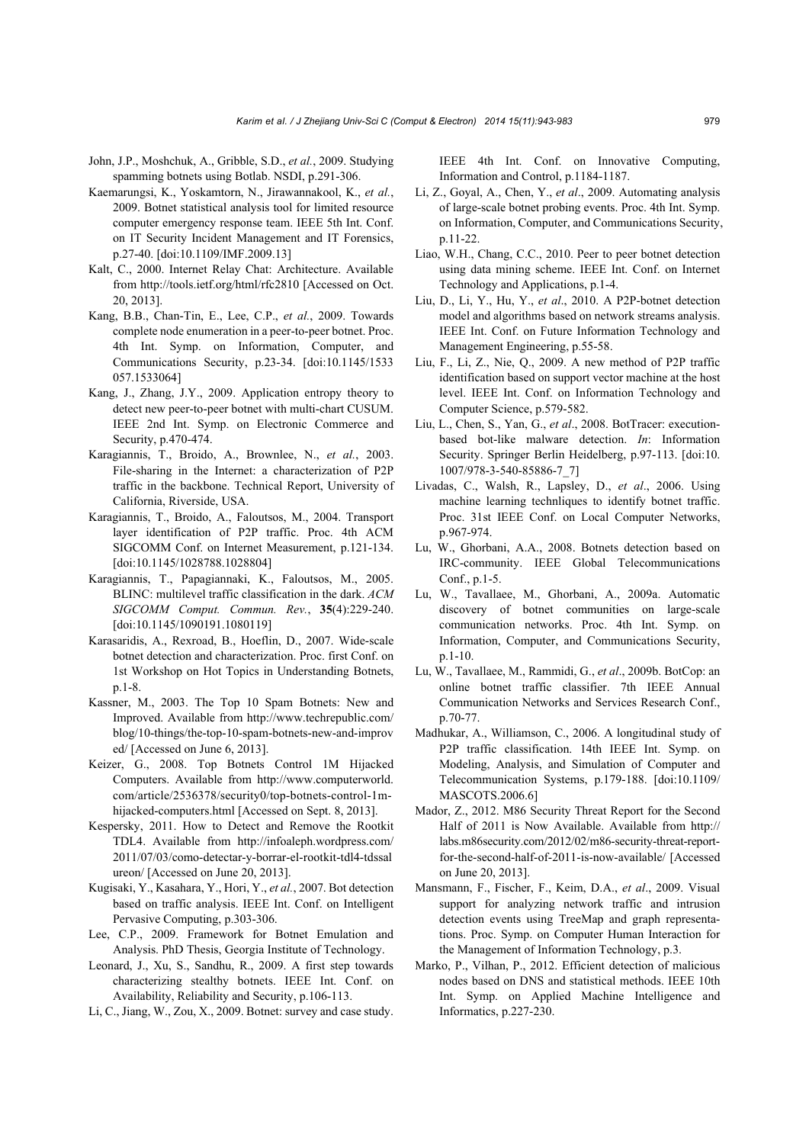- John, J.P., Moshchuk, A., Gribble, S.D., *et al.*, 2009. Studying spamming botnets using Botlab. NSDI, p.291-306.
- Kaemarungsi, K., Yoskamtorn, N., Jirawannakool, K., *et al.*, 2009. Botnet statistical analysis tool for limited resource computer emergency response team. IEEE 5th Int. Conf. on IT Security Incident Management and IT Forensics, p.27-40. [doi:10.1109/IMF.2009.13]
- Kalt, C., 2000. Internet Relay Chat: Architecture. Available from http://tools.ietf.org/html/rfc2810 [Accessed on Oct. 20, 2013].
- Kang, B.B., Chan-Tin, E., Lee, C.P., *et al.*, 2009. Towards complete node enumeration in a peer-to-peer botnet. Proc. 4th Int. Symp. on Information, Computer, and Communications Security, p.23-34. [doi:10.1145/1533 057.1533064]
- Kang, J., Zhang, J.Y., 2009. Application entropy theory to detect new peer-to-peer botnet with multi-chart CUSUM. IEEE 2nd Int. Symp. on Electronic Commerce and Security, p.470-474.
- Karagiannis, T., Broido, A., Brownlee, N., *et al.*, 2003. File-sharing in the Internet: a characterization of P2P traffic in the backbone. Technical Report, University of California, Riverside, USA.
- Karagiannis, T., Broido, A., Faloutsos, M., 2004. Transport layer identification of P2P traffic. Proc. 4th ACM SIGCOMM Conf. on Internet Measurement, p.121-134. [doi:10.1145/1028788.1028804]
- Karagiannis, T., Papagiannaki, K., Faloutsos, M., 2005. BLINC: multilevel traffic classification in the dark. *ACM SIGCOMM Comput. Commun. Rev.*, **35**(4):229-240. [doi:10.1145/1090191.1080119]
- Karasaridis, A., Rexroad, B., Hoeflin, D., 2007. Wide-scale botnet detection and characterization. Proc. first Conf. on 1st Workshop on Hot Topics in Understanding Botnets, p.1-8.
- Kassner, M., 2003. The Top 10 Spam Botnets: New and Improved. Available from http://www.techrepublic.com/ blog/10-things/the-top-10-spam-botnets-new-and-improv ed/ [Accessed on June 6, 2013].
- Keizer, G., 2008. Top Botnets Control 1M Hijacked Computers. Available from http://www.computerworld. com/article/2536378/security0/top-botnets-control-1mhijacked-computers.html [Accessed on Sept. 8, 2013].
- Kespersky, 2011. How to Detect and Remove the Rootkit TDL4. Available from http://infoaleph.wordpress.com/ 2011/07/03/como-detectar-y-borrar-el-rootkit-tdl4-tdssal ureon/ [Accessed on June 20, 2013].
- Kugisaki, Y., Kasahara, Y., Hori, Y., *et al.*, 2007. Bot detection based on traffic analysis. IEEE Int. Conf. on Intelligent Pervasive Computing, p.303-306.
- Lee, C.P., 2009. Framework for Botnet Emulation and Analysis. PhD Thesis, Georgia Institute of Technology.
- Leonard, J., Xu, S., Sandhu, R., 2009. A first step towards characterizing stealthy botnets. IEEE Int. Conf. on Availability, Reliability and Security, p.106-113.
- Li, C., Jiang, W., Zou, X., 2009. Botnet: survey and case study.

IEEE 4th Int. Conf. on Innovative Computing, Information and Control, p.1184-1187.

- Li, Z., Goyal, A., Chen, Y., *et al*., 2009. Automating analysis of large-scale botnet probing events. Proc. 4th Int. Symp. on Information, Computer, and Communications Security, p.11-22.
- Liao, W.H., Chang, C.C., 2010. Peer to peer botnet detection using data mining scheme. IEEE Int. Conf. on Internet Technology and Applications, p.1-4.
- Liu, D., Li, Y., Hu, Y., *et al*., 2010. A P2P-botnet detection model and algorithms based on network streams analysis. IEEE Int. Conf. on Future Information Technology and Management Engineering, p.55-58.
- Liu, F., Li, Z., Nie, Q., 2009. A new method of P2P traffic identification based on support vector machine at the host level. IEEE Int. Conf. on Information Technology and Computer Science, p.579-582.
- Liu, L., Chen, S., Yan, G., *et al*., 2008. BotTracer: executionbased bot-like malware detection. *In*: Information Security. Springer Berlin Heidelberg, p.97-113. [doi:10. 1007/978-3-540-85886-7\_7]
- Livadas, C., Walsh, R., Lapsley, D., *et al*., 2006. Using machine learning technliques to identify botnet traffic. Proc. 31st IEEE Conf. on Local Computer Networks, p.967-974.
- Lu, W., Ghorbani, A.A., 2008. Botnets detection based on IRC-community. IEEE Global Telecommunications Conf., p.1-5.
- Lu, W., Tavallaee, M., Ghorbani, A., 2009a. Automatic discovery of botnet communities on large-scale communication networks. Proc. 4th Int. Symp. on Information, Computer, and Communications Security, p.1-10.
- Lu, W., Tavallaee, M., Rammidi, G., *et al*., 2009b. BotCop: an online botnet traffic classifier. 7th IEEE Annual Communication Networks and Services Research Conf., p.70-77.
- Madhukar, A., Williamson, C., 2006. A longitudinal study of P2P traffic classification. 14th IEEE Int. Symp. on Modeling, Analysis, and Simulation of Computer and Telecommunication Systems, p.179-188. [doi:10.1109/ MASCOTS.2006.6]
- Mador, Z., 2012. M86 Security Threat Report for the Second Half of 2011 is Now Available. Available from http:// labs.m86security.com/2012/02/m86-security-threat-reportfor-the-second-half-of-2011-is-now-available/ [Accessed on June 20, 2013].
- Mansmann, F., Fischer, F., Keim, D.A., *et al*., 2009. Visual support for analyzing network traffic and intrusion detection events using TreeMap and graph representations. Proc. Symp. on Computer Human Interaction for the Management of Information Technology, p.3.
- Marko, P., Vilhan, P., 2012. Efficient detection of malicious nodes based on DNS and statistical methods. IEEE 10th Int. Symp. on Applied Machine Intelligence and Informatics, p.227-230.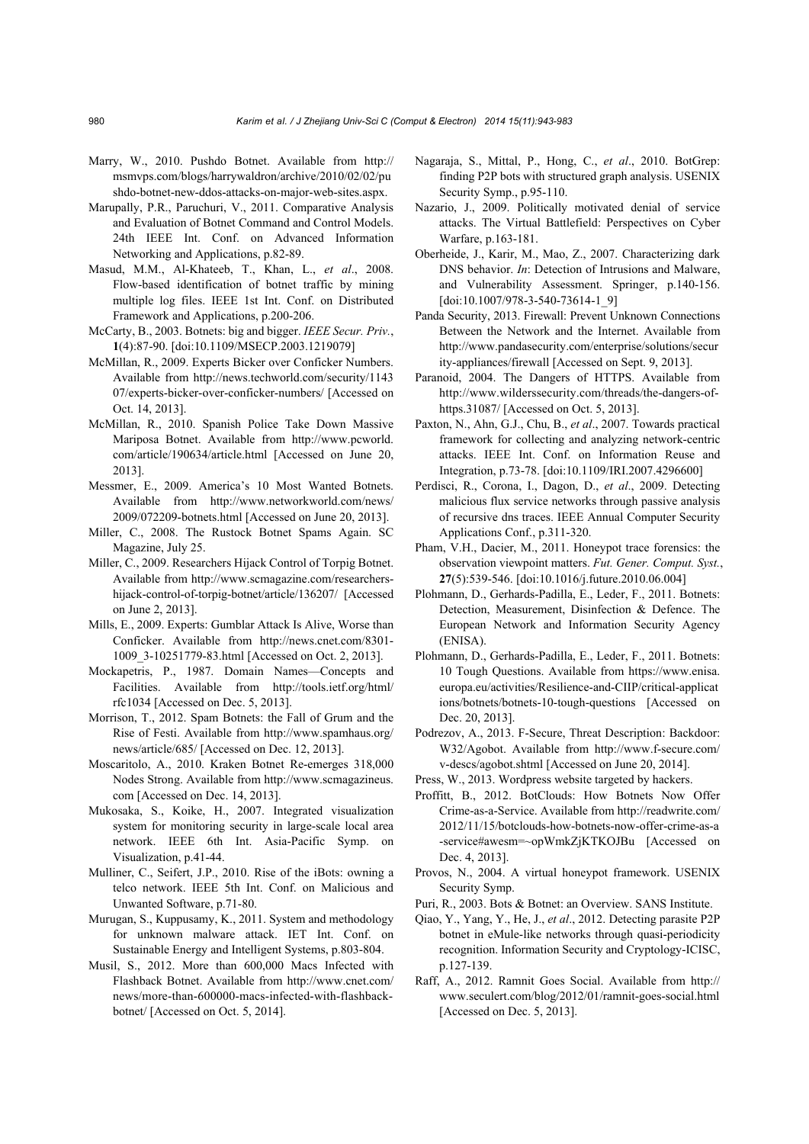- Marry, W., 2010. Pushdo Botnet. Available from http:// msmvps.com/blogs/harrywaldron/archive/2010/02/02/pu shdo-botnet-new-ddos-attacks-on-major-web-sites.aspx.
- Marupally, P.R., Paruchuri, V., 2011. Comparative Analysis and Evaluation of Botnet Command and Control Models. 24th IEEE Int. Conf. on Advanced Information Networking and Applications, p.82-89.
- Masud, M.M., Al-Khateeb, T., Khan, L., *et al*., 2008. Flow-based identification of botnet traffic by mining multiple log files. IEEE 1st Int. Conf. on Distributed Framework and Applications, p.200-206.
- McCarty, B., 2003. Botnets: big and bigger. *IEEE Secur. Priv.*, **1**(4):87-90. [doi:10.1109/MSECP.2003.1219079]
- McMillan, R., 2009. Experts Bicker over Conficker Numbers. Available from http://news.techworld.com/security/1143 07/experts-bicker-over-conficker-numbers/ [Accessed on Oct. 14, 2013].
- McMillan, R., 2010. Spanish Police Take Down Massive Mariposa Botnet. Available from http://www.pcworld. com/article/190634/article.html [Accessed on June 20, 2013].
- Messmer, E., 2009. America's 10 Most Wanted Botnets. Available from http://www.networkworld.com/news/ 2009/072209-botnets.html [Accessed on June 20, 2013].
- Miller, C., 2008. The Rustock Botnet Spams Again. SC Magazine, July 25.
- Miller, C., 2009. Researchers Hijack Control of Torpig Botnet. Available from http://www.scmagazine.com/researchershijack-control-of-torpig-botnet/article/136207/ [Accessed on June 2, 2013].
- Mills, E., 2009. Experts: Gumblar Attack Is Alive, Worse than Conficker. Available from http://news.cnet.com/8301- 1009\_3-10251779-83.html [Accessed on Oct. 2, 2013].
- Mockapetris, P., 1987. Domain Names—Concepts and Facilities. Available from http://tools.ietf.org/html/ rfc1034 [Accessed on Dec. 5, 2013].
- Morrison, T., 2012. Spam Botnets: the Fall of Grum and the Rise of Festi. Available from http://www.spamhaus.org/ news/article/685/ [Accessed on Dec. 12, 2013].
- Moscaritolo, A., 2010. Kraken Botnet Re-emerges 318,000 Nodes Strong. Available from http://www.scmagazineus. com [Accessed on Dec. 14, 2013].
- Mukosaka, S., Koike, H., 2007. Integrated visualization system for monitoring security in large-scale local area network. IEEE 6th Int. Asia-Pacific Symp. on Visualization, p.41-44.
- Mulliner, C., Seifert, J.P., 2010. Rise of the iBots: owning a telco network. IEEE 5th Int. Conf. on Malicious and Unwanted Software, p.71-80.
- Murugan, S., Kuppusamy, K., 2011. System and methodology for unknown malware attack. IET Int. Conf. on Sustainable Energy and Intelligent Systems, p.803-804.
- Musil, S., 2012. More than 600,000 Macs Infected with Flashback Botnet. Available from http://www.cnet.com/ news/more-than-600000-macs-infected-with-flashbackbotnet/ [Accessed on Oct. 5, 2014].
- Nagaraja, S., Mittal, P., Hong, C., *et al*., 2010. BotGrep: finding P2P bots with structured graph analysis. USENIX Security Symp., p.95-110.
- Nazario, J., 2009. Politically motivated denial of service attacks. The Virtual Battlefield: Perspectives on Cyber Warfare, p.163-181.
- Oberheide, J., Karir, M., Mao, Z., 2007. Characterizing dark DNS behavior. *In*: Detection of Intrusions and Malware, and Vulnerability Assessment. Springer, p.140-156. [doi:10.1007/978-3-540-73614-1\_9]
- Panda Security, 2013. Firewall: Prevent Unknown Connections Between the Network and the Internet. Available from http://www.pandasecurity.com/enterprise/solutions/secur ity-appliances/firewall [Accessed on Sept. 9, 2013].
- Paranoid, 2004. The Dangers of HTTPS. Available from http://www.wilderssecurity.com/threads/the-dangers-ofhttps.31087/ [Accessed on Oct. 5, 2013].
- Paxton, N., Ahn, G.J., Chu, B., *et al*., 2007. Towards practical framework for collecting and analyzing network-centric attacks. IEEE Int. Conf. on Information Reuse and Integration, p.73-78. [doi:10.1109/IRI.2007.4296600]
- Perdisci, R., Corona, I., Dagon, D., *et al*., 2009. Detecting malicious flux service networks through passive analysis of recursive dns traces. IEEE Annual Computer Security Applications Conf., p.311-320.
- Pham, V.H., Dacier, M., 2011. Honeypot trace forensics: the observation viewpoint matters. *Fut. Gener. Comput. Syst.*, **27**(5):539-546. [doi:10.1016/j.future.2010.06.004]
- Plohmann, D., Gerhards-Padilla, E., Leder, F., 2011. Botnets: Detection, Measurement, Disinfection & Defence. The European Network and Information Security Agency (ENISA).
- Plohmann, D., Gerhards-Padilla, E., Leder, F., 2011. Botnets: 10 Tough Questions. Available from https://www.enisa. europa.eu/activities/Resilience-and-CIIP/critical-applicat ions/botnets/botnets-10-tough-questions [Accessed on Dec. 20, 2013].
- Podrezov, A., 2013. F-Secure, Threat Description: Backdoor: W32/Agobot. Available from http://www.f-secure.com/ v-descs/agobot.shtml [Accessed on June 20, 2014].
- Press, W., 2013. Wordpress website targeted by hackers.
- Proffitt, B., 2012. BotClouds: How Botnets Now Offer Crime-as-a-Service. Available from http://readwrite.com/ 2012/11/15/botclouds-how-botnets-now-offer-crime-as-a -service#awesm=~opWmkZjKTKOJBu [Accessed on Dec. 4, 2013].
- Provos, N., 2004. A virtual honeypot framework. USENIX Security Symp.
- Puri, R., 2003. Bots & Botnet: an Overview. SANS Institute.
- Qiao, Y., Yang, Y., He, J., *et al*., 2012. Detecting parasite P2P botnet in eMule-like networks through quasi-periodicity recognition. Information Security and Cryptology-ICISC, p.127-139.
- Raff, A., 2012. Ramnit Goes Social. Available from http:// www.seculert.com/blog/2012/01/ramnit-goes-social.html [Accessed on Dec. 5, 2013].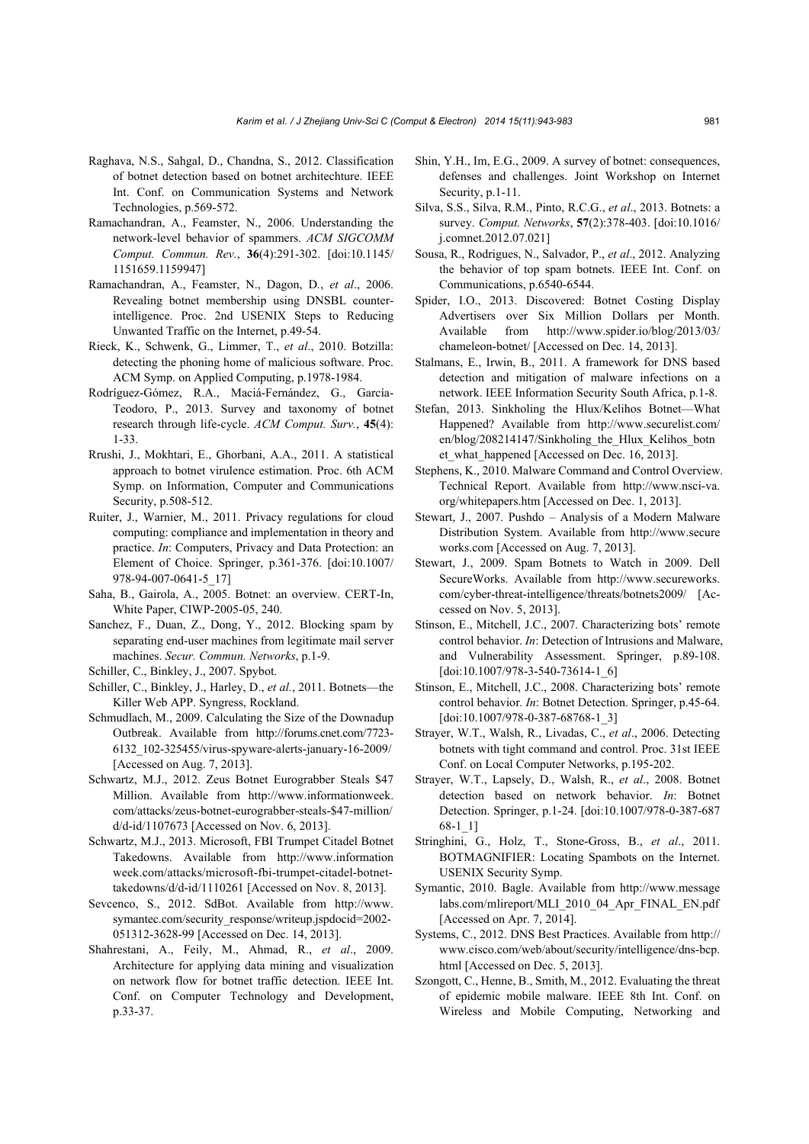- Raghava, N.S., Sahgal, D., Chandna, S., 2012. Classification of botnet detection based on botnet architechture. IEEE Int. Conf. on Communication Systems and Network Technologies, p.569-572.
- Ramachandran, A., Feamster, N., 2006. Understanding the network-level behavior of spammers. *ACM SIGCOMM Comput. Commun. Rev.*, **36**(4):291-302. [doi:10.1145/ 1151659.1159947]
- Ramachandran, A., Feamster, N., Dagon, D*.*, *et al*., 2006. Revealing botnet membership using DNSBL counterintelligence. Proc. 2nd USENIX Steps to Reducing Unwanted Traffic on the Internet, p.49-54.
- Rieck, K., Schwenk, G., Limmer, T., *et al*., 2010. Botzilla: detecting the phoning home of malicious software. Proc. ACM Symp. on Applied Computing, p.1978-1984.
- Rodríguez-Gómez, R.A., Maciá-Fernández, G., García-Teodoro, P., 2013. Survey and taxonomy of botnet research through life-cycle. *ACM Comput. Surv.*, **45**(4): 1-33.
- Rrushi, J., Mokhtari, E., Ghorbani, A.A., 2011. A statistical approach to botnet virulence estimation. Proc. 6th ACM Symp. on Information, Computer and Communications Security, p.508-512.
- Ruiter, J., Warnier, M., 2011. Privacy regulations for cloud computing: compliance and implementation in theory and practice. *In*: Computers, Privacy and Data Protection: an Element of Choice. Springer, p.361-376. [doi:10.1007/ 978-94-007-0641-5\_17]
- Saha, B., Gairola, A., 2005. Botnet: an overview. CERT-In, White Paper, CIWP-2005-05, 240.
- Sanchez, F., Duan, Z., Dong, Y., 2012. Blocking spam by separating end-user machines from legitimate mail server machines. *Secur. Commun. Networks*, p.1-9.
- Schiller, C., Binkley, J., 2007. Spybot.
- Schiller, C., Binkley, J., Harley, D., *et al.*, 2011. Botnets—the Killer Web APP. Syngress, Rockland.
- Schmudlach, M., 2009. Calculating the Size of the Downadup Outbreak. Available from http://forums.cnet.com/7723- 6132\_102-325455/virus-spyware-alerts-january-16-2009/ [Accessed on Aug. 7, 2013].
- Schwartz, M.J., 2012. Zeus Botnet Eurograbber Steals \$47 Million. Available from http://www.informationweek. com/attacks/zeus-botnet-eurograbber-steals-\$47-million/ d/d-id/1107673 [Accessed on Nov. 6, 2013].
- Schwartz, M.J., 2013. Microsoft, FBI Trumpet Citadel Botnet Takedowns. Available from http://www.information week.com/attacks/microsoft-fbi-trumpet-citadel-botnettakedowns/d/d-id/1110261 [Accessed on Nov. 8, 2013].
- Sevcenco, S., 2012. SdBot. Available from http://www. symantec.com/security\_response/writeup.jspdocid=2002-051312-3628-99 [Accessed on Dec. 14, 2013].
- Shahrestani, A., Feily, M., Ahmad, R., *et al*., 2009. Architecture for applying data mining and visualization on network flow for botnet traffic detection. IEEE Int. Conf. on Computer Technology and Development, p.33-37.
- Shin, Y.H., Im, E.G., 2009. A survey of botnet: consequences, defenses and challenges. Joint Workshop on Internet Security, p.1-11.
- Silva, S.S., Silva, R.M., Pinto, R.C.G., *et al*., 2013. Botnets: a survey. *Comput. Networks*, **57**(2):378-403. [doi:10.1016/ j.comnet.2012.07.021]
- Sousa, R., Rodrigues, N., Salvador, P., *et al*., 2012. Analyzing the behavior of top spam botnets. IEEE Int. Conf. on Communications, p.6540-6544.
- Spider, I.O., 2013. Discovered: Botnet Costing Display Advertisers over Six Million Dollars per Month. Available from http://www.spider.io/blog/2013/03/ chameleon-botnet/ [Accessed on Dec. 14, 2013].
- Stalmans, E., Irwin, B., 2011. A framework for DNS based detection and mitigation of malware infections on a network. IEEE Information Security South Africa, p.1-8.
- Stefan, 2013. Sinkholing the Hlux/Kelihos Botnet—What Happened? Available from http://www.securelist.com/ en/blog/208214147/Sinkholing\_the\_Hlux\_Kelihos\_botn et what happened [Accessed on Dec. 16, 2013].
- Stephens, K., 2010. Malware Command and Control Overview. Technical Report. Available from http://www.nsci-va. org/whitepapers.htm [Accessed on Dec. 1, 2013].
- Stewart, J., 2007. Pushdo Analysis of a Modern Malware Distribution System. Available from http://www.secure works.com [Accessed on Aug. 7, 2013].
- Stewart, J., 2009. Spam Botnets to Watch in 2009. Dell SecureWorks. Available from http://www.secureworks. com/cyber-threat-intelligence/threats/botnets2009/ [Accessed on Nov. 5, 2013].
- Stinson, E., Mitchell, J.C., 2007. Characterizing bots' remote control behavior. *In*: Detection of Intrusions and Malware, and Vulnerability Assessment. Springer, p.89-108. [doi:10.1007/978-3-540-73614-1\_6]
- Stinson, E., Mitchell, J.C., 2008. Characterizing bots' remote control behavior. *In*: Botnet Detection. Springer, p.45-64. [doi:10.1007/978-0-387-68768-1\_3]
- Strayer, W.T., Walsh, R., Livadas, C., *et al*., 2006. Detecting botnets with tight command and control. Proc. 31st IEEE Conf. on Local Computer Networks, p.195-202.
- Strayer, W.T., Lapsely, D., Walsh, R., *et al*., 2008. Botnet detection based on network behavior. *In*: Botnet Detection. Springer, p.1-24. [doi:10.1007/978-0-387-687 68-1\_1]
- Stringhini, G., Holz, T., Stone-Gross, B., *et al*., 2011. BOTMAGNIFIER: Locating Spambots on the Internet. USENIX Security Symp.
- Symantic, 2010. Bagle. Available from http://www.message labs.com/mlireport/MLI\_2010\_04\_Apr\_FINAL\_EN.pdf [Accessed on Apr. 7, 2014].
- Systems, C., 2012. DNS Best Practices. Available from http:// www.cisco.com/web/about/security/intelligence/dns-bcp. html [Accessed on Dec. 5, 2013].
- Szongott, C., Henne, B., Smith, M., 2012. Evaluating the threat of epidemic mobile malware. IEEE 8th Int. Conf. on Wireless and Mobile Computing, Networking and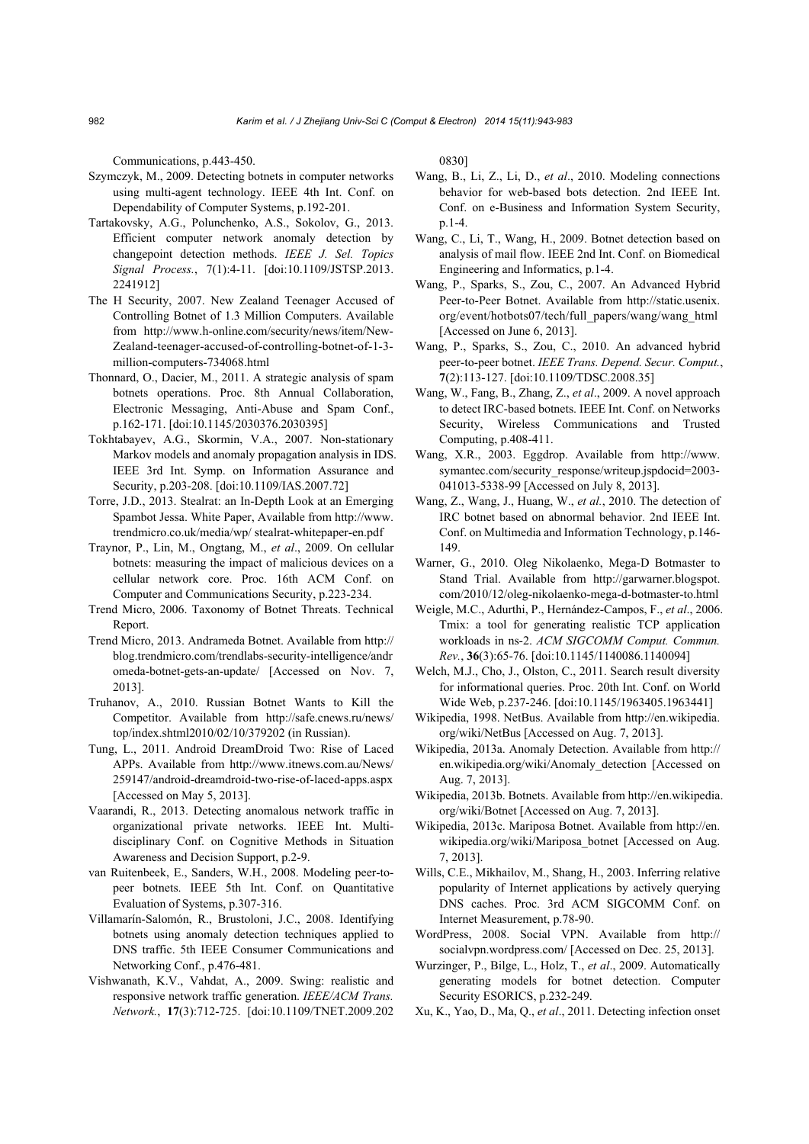Communications, p.443-450.

- Szymczyk, M., 2009. Detecting botnets in computer networks using multi-agent technology. IEEE 4th Int. Conf. on Dependability of Computer Systems, p.192-201.
- Tartakovsky, A.G., Polunchenko, A.S., Sokolov, G., 2013. Efficient computer network anomaly detection by changepoint detection methods. *IEEE J. Sel. Topics Signal Process.*, 7(1):4-11. [doi:10.1109/JSTSP.2013. 2241912]
- The H Security, 2007. New Zealand Teenager Accused of Controlling Botnet of 1.3 Million Computers. Available from http://www.h-online.com/security/news/item/New-Zealand-teenager-accused-of-controlling-botnet-of-1-3 million-computers-734068.html
- Thonnard, O., Dacier, M., 2011. A strategic analysis of spam botnets operations. Proc. 8th Annual Collaboration, Electronic Messaging, Anti-Abuse and Spam Conf., p.162-171. [doi:10.1145/2030376.2030395]
- Tokhtabayev, A.G., Skormin, V.A., 2007. Non-stationary Markov models and anomaly propagation analysis in IDS. IEEE 3rd Int. Symp. on Information Assurance and Security, p.203-208. [doi:10.1109/IAS.2007.72]
- Torre, J.D., 2013. Stealrat: an In-Depth Look at an Emerging Spambot Jessa. White Paper, Available from http://www. trendmicro.co.uk/media/wp/ stealrat-whitepaper-en.pdf
- Traynor, P., Lin, M., Ongtang, M., *et al*., 2009. On cellular botnets: measuring the impact of malicious devices on a cellular network core. Proc. 16th ACM Conf. on Computer and Communications Security, p.223-234.
- Trend Micro, 2006. Taxonomy of Botnet Threats. Technical Report.
- Trend Micro, 2013. Andrameda Botnet. Available from http:// blog.trendmicro.com/trendlabs-security-intelligence/andr omeda-botnet-gets-an-update/ [Accessed on Nov. 7, 2013].
- Truhanov, A., 2010. Russian Botnet Wants to Kill the Competitor. Available from http://safe.cnews.ru/news/ top/index.shtml2010/02/10/379202 (in Russian).
- Tung, L., 2011. Android DreamDroid Two: Rise of Laced APPs. Available from http://www.itnews.com.au/News/ 259147/android-dreamdroid-two-rise-of-laced-apps.aspx [Accessed on May 5, 2013].
- Vaarandi, R., 2013. Detecting anomalous network traffic in organizational private networks. IEEE Int. Multidisciplinary Conf. on Cognitive Methods in Situation Awareness and Decision Support, p.2-9.
- van Ruitenbeek, E., Sanders, W.H., 2008. Modeling peer-topeer botnets. IEEE 5th Int. Conf. on Quantitative Evaluation of Systems, p.307-316.
- Villamarín-Salomón, R., Brustoloni, J.C., 2008. Identifying botnets using anomaly detection techniques applied to DNS traffic. 5th IEEE Consumer Communications and Networking Conf., p.476-481.
- Vishwanath, K.V., Vahdat, A., 2009. Swing: realistic and responsive network traffic generation. *IEEE/ACM Trans. Network.*, **17**(3):712-725. [doi:10.1109/TNET.2009.202

0830]

- Wang, B., Li, Z., Li, D., *et al*., 2010. Modeling connections behavior for web-based bots detection. 2nd IEEE Int. Conf. on e-Business and Information System Security, p.1-4.
- Wang, C., Li, T., Wang, H., 2009. Botnet detection based on analysis of mail flow. IEEE 2nd Int. Conf. on Biomedical Engineering and Informatics, p.1-4.
- Wang, P., Sparks, S., Zou, C., 2007. An Advanced Hybrid Peer-to-Peer Botnet. Available from http://static.usenix. org/event/hotbots07/tech/full\_papers/wang/wang\_html [Accessed on June 6, 2013].
- Wang, P., Sparks, S., Zou, C., 2010. An advanced hybrid peer-to-peer botnet. *IEEE Trans. Depend. Secur. Comput.*, **7**(2):113-127. [doi:10.1109/TDSC.2008.35]
- Wang, W., Fang, B., Zhang, Z., *et al*., 2009. A novel approach to detect IRC-based botnets. IEEE Int. Conf. on Networks Security, Wireless Communications and Trusted Computing, p.408-411.
- Wang, X.R., 2003. Eggdrop. Available from http://www. symantec.com/security\_response/writeup.jspdocid=2003-041013-5338-99 [Accessed on July 8, 2013].
- Wang, Z., Wang, J., Huang, W., *et al.*, 2010. The detection of IRC botnet based on abnormal behavior. 2nd IEEE Int. Conf. on Multimedia and Information Technology, p.146- 149.
- Warner, G., 2010. Oleg Nikolaenko, Mega-D Botmaster to Stand Trial. Available from http://garwarner.blogspot. com/2010/12/oleg-nikolaenko-mega-d-botmaster-to.html
- Weigle, M.C., Adurthi, P., Hernández-Campos, F., *et al*., 2006. Tmix: a tool for generating realistic TCP application workloads in ns-2. *ACM SIGCOMM Comput. Commun. Rev.*, **36**(3):65-76. [doi:10.1145/1140086.1140094]
- Welch, M.J., Cho, J., Olston, C., 2011. Search result diversity for informational queries. Proc. 20th Int. Conf. on World Wide Web, p.237-246. [doi:10.1145/1963405.1963441]
- Wikipedia, 1998. NetBus. Available from http://en.wikipedia. org/wiki/NetBus [Accessed on Aug. 7, 2013].
- Wikipedia, 2013a. Anomaly Detection. Available from http:// en.wikipedia.org/wiki/Anomaly\_detection [Accessed on Aug. 7, 2013].
- Wikipedia, 2013b. Botnets. Available from http://en.wikipedia. org/wiki/Botnet [Accessed on Aug. 7, 2013].
- Wikipedia, 2013c. Mariposa Botnet. Available from http://en. wikipedia.org/wiki/Mariposa\_botnet [Accessed on Aug. 7, 2013].
- Wills, C.E., Mikhailov, M., Shang, H., 2003. Inferring relative popularity of Internet applications by actively querying DNS caches. Proc. 3rd ACM SIGCOMM Conf. on Internet Measurement, p.78-90.
- WordPress, 2008. Social VPN. Available from http:// socialypn.wordpress.com/ [Accessed on Dec. 25, 2013].
- Wurzinger, P., Bilge, L., Holz, T., *et al*., 2009. Automatically generating models for botnet detection. Computer Security ESORICS, p.232-249.
- Xu, K., Yao, D., Ma, Q., *et al*., 2011. Detecting infection onset